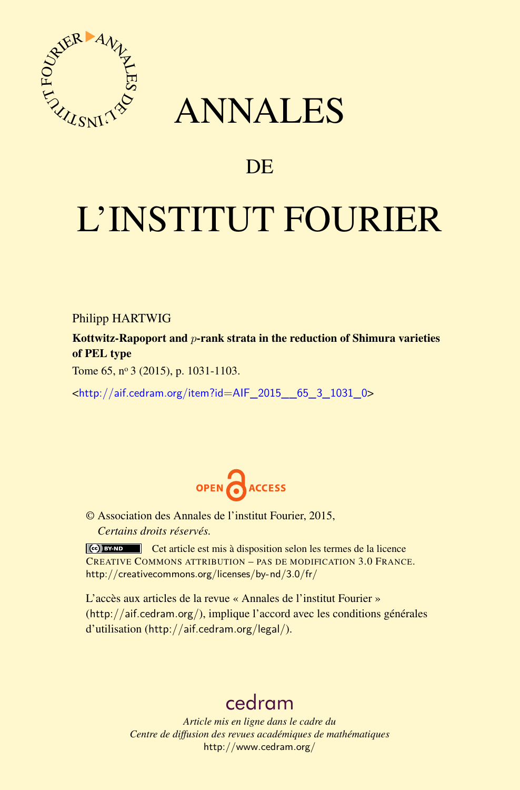

## ANNALES

### **DE**

# L'INSTITUT FOURIER

Philipp HARTWIG

Kottwitz-Rapoport and *p*-rank strata in the reduction of Shimura varieties of PEL type

Tome 65, nº 3 (2015), p. 1031-1103.

<[http://aif.cedram.org/item?id=AIF\\_2015\\_\\_65\\_3\\_1031\\_0](http://aif.cedram.org/item?id=AIF_2015__65_3_1031_0)>



© Association des Annales de l'institut Fourier, 2015, *Certains droits réservés.*

Cet article est mis à disposition selon les termes de la licence CREATIVE COMMONS ATTRIBUTION – PAS DE MODIFICATION 3.0 FRANCE. <http://creativecommons.org/licenses/by-nd/3.0/fr/>

L'accès aux articles de la revue « Annales de l'institut Fourier » (<http://aif.cedram.org/>), implique l'accord avec les conditions générales d'utilisation (<http://aif.cedram.org/legal/>).

## [cedram](http://www.cedram.org/)

*Article mis en ligne dans le cadre du Centre de diffusion des revues académiques de mathématiques* <http://www.cedram.org/>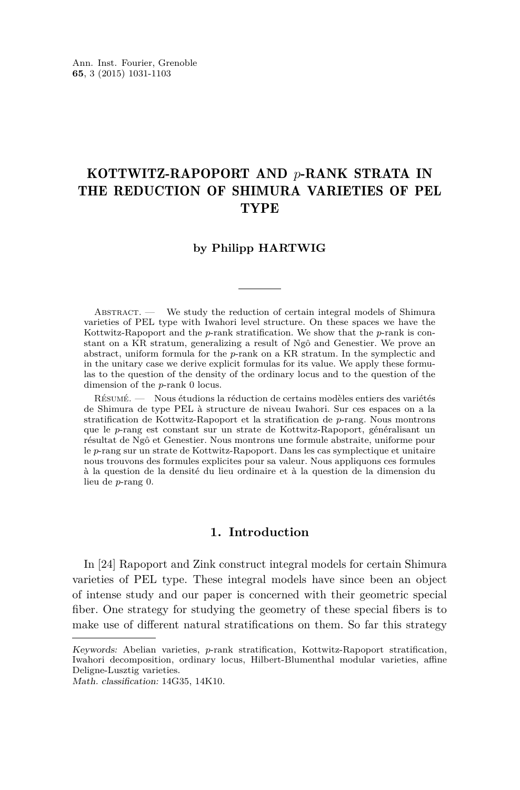#### KOTTWITZ-RAPOPORT AND *p*-RANK STRATA IN THE REDUCTION OF SHIMURA VARIETIES OF PEL TYPE

#### **by Philipp HARTWIG**

Abstract. — We study the reduction of certain integral models of Shimura varieties of PEL type with Iwahori level structure. On these spaces we have the Kottwitz-Rapoport and the *p*-rank stratification. We show that the *p*-rank is constant on a KR stratum, generalizing a result of Ngô and Genestier. We prove an abstract, uniform formula for the *p*-rank on a KR stratum. In the symplectic and in the unitary case we derive explicit formulas for its value. We apply these formulas to the question of the density of the ordinary locus and to the question of the dimension of the *p*-rank 0 locus.

Résumé. — Nous étudions la réduction de certains modèles entiers des variétés de Shimura de type PEL à structure de niveau Iwahori. Sur ces espaces on a la stratification de Kottwitz-Rapoport et la stratification de *p*-rang. Nous montrons que le *p*-rang est constant sur un strate de Kottwitz-Rapoport, généralisant un résultat de Ngô et Genestier. Nous montrons une formule abstraite, uniforme pour le *p*-rang sur un strate de Kottwitz-Rapoport. Dans les cas symplectique et unitaire nous trouvons des formules explicites pour sa valeur. Nous appliquons ces formules à la question de la densité du lieu ordinaire et à la question de la dimension du lieu de *p*-rang 0.

#### **1. Introduction**

In [\[24\]](#page-72-0) Rapoport and Zink construct integral models for certain Shimura varieties of PEL type. These integral models have since been an object of intense study and our paper is concerned with their geometric special fiber. One strategy for studying the geometry of these special fibers is to make use of different natural stratifications on them. So far this strategy

Keywords: Abelian varieties, *p*-rank stratification, Kottwitz-Rapoport stratification, Iwahori decomposition, ordinary locus, Hilbert-Blumenthal modular varieties, affine Deligne-Lusztig varieties.

Math. classification: 14G35, 14K10.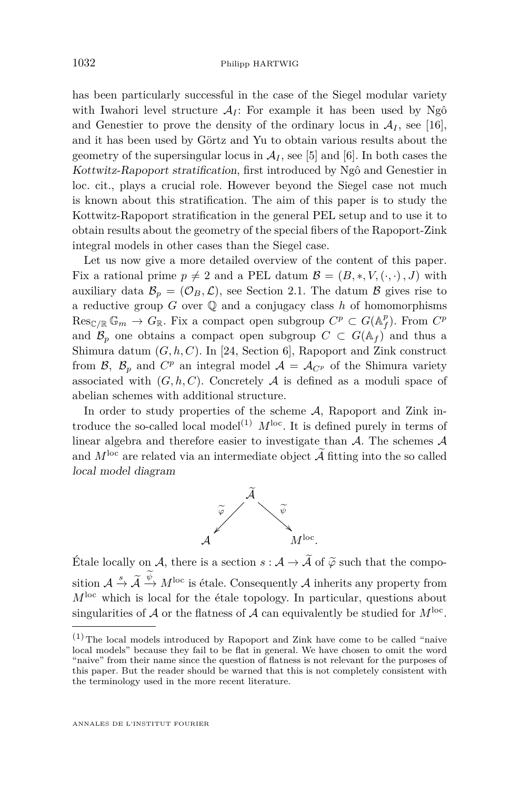has been particularly successful in the case of the Siegel modular variety with Iwahori level structure  $A_I$ : For example it has been used by Ngô and Genestier to prove the density of the ordinary locus in  $A_I$ , see [\[16\]](#page-72-0), and it has been used by Görtz and Yu to obtain various results about the geometry of the supersingular locus in  $A_I$ , see [\[5\]](#page-71-0) and [\[6\]](#page-71-0). In both cases the Kottwitz-Rapoport stratification, first introduced by Ngô and Genestier in loc. cit., plays a crucial role. However beyond the Siegel case not much is known about this stratification. The aim of this paper is to study the Kottwitz-Rapoport stratification in the general PEL setup and to use it to obtain results about the geometry of the special fibers of the Rapoport-Zink integral models in other cases than the Siegel case.

Let us now give a more detailed overview of the content of this paper. Fix a rational prime  $p \neq 2$  and a PEL datum  $\mathcal{B} = (B, *, V, (·, ·), J)$  with auxiliary data  $\mathcal{B}_p = (\mathcal{O}_B, \mathcal{L})$ , see Section [2.1.](#page-8-0) The datum  $\mathcal{B}$  gives rise to a reductive group  $G$  over  $\mathbb Q$  and a conjugacy class  $h$  of homomorphisms  $Res_{\mathbb{C}/\mathbb{R}} \mathbb{G}_m \to G_{\mathbb{R}}$ . Fix a compact open subgroup  $C^p \subset G(\mathbb{A}_f^p)$ . From  $C^p$ and  $\mathcal{B}_p$  one obtains a compact open subgroup  $C \subset G(\mathbb{A}_f)$  and thus a Shimura datum (*G, h, C*). In [\[24,](#page-72-0) Section 6], Rapoport and Zink construct from  $\mathcal{B}$ ,  $\mathcal{B}_p$  and  $C^p$  an integral model  $\mathcal{A} = \mathcal{A}_{C^p}$  of the Shimura variety associated with  $(G, h, C)$ . Concretely A is defined as a moduli space of abelian schemes with additional structure.

In order to study properties of the scheme  $A$ , Rapoport and Zink introduce the so-called local model<sup>(1)</sup>  $M^{\text{loc}}$ . It is defined purely in terms of linear algebra and therefore easier to investigate than  $A$ . The schemes  $A$ and  $M^{\text{loc}}$  are related via an intermediate object  $\widetilde{\mathcal{A}}$  fitting into the so called local model diagram



Étale locally on A, there is a section  $s : A \to \tilde{A}$  of  $\tilde{\varphi}$  such that the composition  $A \stackrel{s}{\to} \widetilde{A} \stackrel{\psi}{\to} M^{\text{loc}}$  is étale. Consequently A inherits any property from  $M<sup>loc</sup>$  which is local for the étale topology. In particular, questions about singularities of  $A$  or the flatness of  $A$  can equivalently be studied for  $M^{\text{loc}}$ .

 $(1)$  The local models introduced by Rapoport and Zink have come to be called "naive local models" because they fail to be flat in general. We have chosen to omit the word "naive" from their name since the question of flatness is not relevant for the purposes of this paper. But the reader should be warned that this is not completely consistent with the terminology used in the more recent literature.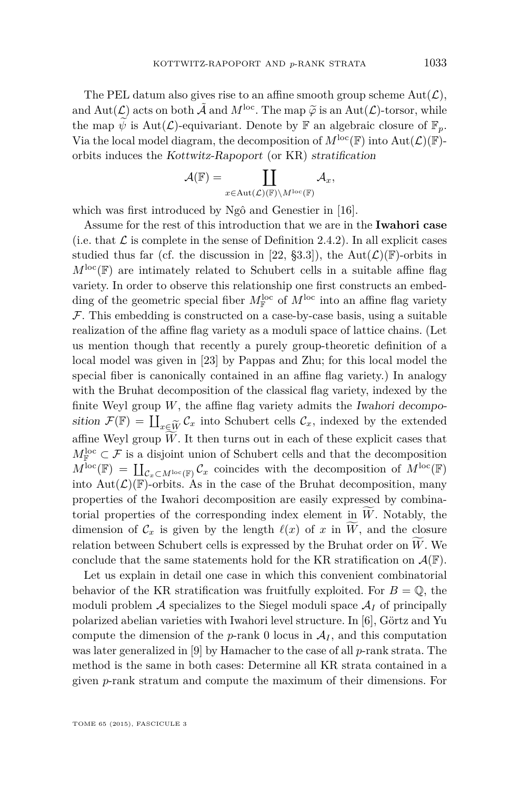The PEL datum also gives rise to an affine smooth group scheme  $Aut(\mathcal{L}),$ and  $Aut(\mathcal{L})$  acts on both  $\tilde{\mathcal{A}}$  and  $M^{\text{loc}}$ . The map  $\tilde{\varphi}$  is an  $Aut(\mathcal{L})$ -torsor, while the map  $\widetilde{\psi}$  is Aut( $\mathcal{L}$ )-equivariant. Denote by  $\mathbb{F}$  an algebraic closure of  $\mathbb{F}_p$ . Via the local model diagram, the decomposition of  $M^{\text{loc}}(\mathbb{F})$  into  $\text{Aut}(\mathcal{L})(\mathbb{F})$ orbits induces the Kottwitz-Rapoport (or KR) stratification

$$
\mathcal{A}(\mathbb{F})=\coprod_{x\in \mathrm{Aut}(\mathcal{L})(\mathbb{F})\backslash M^{\mathrm{loc}}(\mathbb{F})}\mathcal{A}_{x},
$$

which was first introduced by Ngô and Genestier in [\[16\]](#page-72-0).

Assume for the rest of this introduction that we are in the **Iwahori case** (i.e. that  $\mathcal L$  is complete in the sense of Definition [2.4.2\)](#page-14-0). In all explicit cases studied thus far (cf. the discussion in [\[22,](#page-72-0) §3.3]), the Aut( $\mathcal{L}(\mathbb{F})$ -orbits in  $M^{\text{loc}}(\mathbb{F})$  are intimately related to Schubert cells in a suitable affine flag variety. In order to observe this relationship one first constructs an embedding of the geometric special fiber  $M_{\mathbb{F}}^{\text{loc}}$  of  $M^{\text{loc}}$  into an affine flag variety  $\mathcal F$ . This embedding is constructed on a case-by-case basis, using a suitable realization of the affine flag variety as a moduli space of lattice chains. (Let us mention though that recently a purely group-theoretic definition of a local model was given in [\[23\]](#page-72-0) by Pappas and Zhu; for this local model the special fiber is canonically contained in an affine flag variety.) In analogy with the Bruhat decomposition of the classical flag variety, indexed by the finite Weyl group  $W$ , the affine flag variety admits the Iwahori decomposition  $\mathcal{F}(\mathbb{F}) = \coprod_{x \in \widetilde{W}} \mathcal{C}_x$  into Schubert cells  $\mathcal{C}_x$ , indexed by the extended *<sup>x</sup>*∈*W*<sup>e</sup> affine Weyl group  $W$ . It then turns out in each of these explicit cases that  $M_{\mathbb{F}}^{\text{loc}} \subset \mathcal{F}$  is a disjoint union of Schubert cells and that the decomposition  $M^{\text{loc}}(\mathbb{F}) = \coprod_{\mathcal{C}_x \subset M^{\text{loc}}(\mathbb{F})} \mathcal{C}_x$  coincides with the decomposition of  $M^{\text{loc}}(\mathbb{F})$ into  $Aut(\mathcal{L})(\mathbb{F})$ -orbits. As in the case of the Bruhat decomposition, many properties of the Iwahori decomposition are easily expressed by combinatorial properties of the corresponding index element in *W*. Notably, the dimension of  $\mathcal{C}_x$  is given by the length  $\ell(x)$  of *x* in *W*, and the closure relation between Schubert cells is expressed by the Bruhat order on  $W$ . We conclude that the same statements hold for the KR stratification on  $\mathcal{A}(\mathbb{F})$ .

Let us explain in detail one case in which this convenient combinatorial behavior of the KR stratification was fruitfully exploited. For  $B = \mathbb{Q}$ , the moduli problem  $\mathcal A$  specializes to the Siegel moduli space  $\mathcal A_I$  of principally polarized abelian varieties with Iwahori level structure. In [\[6\]](#page-71-0), Görtz and Yu compute the dimension of the *p*-rank 0 locus in  $A_I$ , and this computation was later generalized in [\[9\]](#page-71-0) by Hamacher to the case of all *p*-rank strata. The method is the same in both cases: Determine all KR strata contained in a given *p*-rank stratum and compute the maximum of their dimensions. For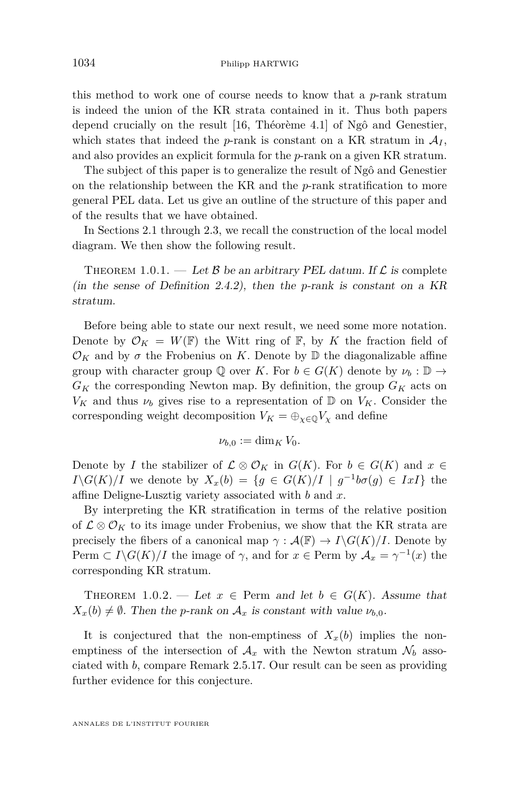this method to work one of course needs to know that a *p*-rank stratum is indeed the union of the KR strata contained in it. Thus both papers depend crucially on the result [\[16,](#page-72-0) Théorème 4.1] of Ngô and Genestier, which states that indeed the *p*-rank is constant on a KR stratum in  $A_I$ , and also provides an explicit formula for the *p*-rank on a given KR stratum.

The subject of this paper is to generalize the result of Ngô and Genestier on the relationship between the KR and the *p*-rank stratification to more general PEL data. Let us give an outline of the structure of this paper and of the results that we have obtained.

In Sections [2.1](#page-8-0) through [2.3,](#page-11-0) we recall the construction of the local model diagram. We then show the following result.

THEOREM 1.0.1. — Let B be an arbitrary PEL datum. If  $\mathcal L$  is complete (in the sense of Definition [2.4.2\)](#page-14-0), then the *p*-rank is constant on a KR stratum.

Before being able to state our next result, we need some more notation. Denote by  $\mathcal{O}_K = W(\mathbb{F})$  the Witt ring of  $\mathbb{F}$ , by K the fraction field of  $\mathcal{O}_K$  and by  $\sigma$  the Frobenius on *K*. Denote by  $\mathbb D$  the diagonalizable affine group with character group  $\mathbb{Q}$  over *K*. For  $b \in G(K)$  denote by  $\nu_b : \mathbb{D} \to$  $G_K$  the corresponding Newton map. By definition, the group  $G_K$  acts on  $V_K$  and thus  $\nu_b$  gives rise to a representation of D on  $V_K$ . Consider the corresponding weight decomposition  $V_K = \bigoplus_{\chi \in \mathbb{Q}} V_\chi$  and define

$$
\nu_{b,0}:=\dim_K V_0.
$$

Denote by *I* the stabilizer of  $\mathcal{L} \otimes \mathcal{O}_K$  in  $G(K)$ . For  $b \in G(K)$  and  $x \in$ *I*\*G*(*K*)/*I* we denote by  $X_x(b) = \{g \in G(K)/I \mid g^{-1}b\sigma(g) \in IxI\}$  the affine Deligne-Lusztig variety associated with *b* and *x*.

By interpreting the KR stratification in terms of the relative position of  $\mathcal{L} \otimes \mathcal{O}_K$  to its image under Frobenius, we show that the KR strata are precisely the fibers of a canonical map  $\gamma : \mathcal{A}(\mathbb{F}) \to I \backslash G(K)/I$ . Denote by Perm  $\subset I \backslash G(K)/I$  the image of  $\gamma$ , and for  $x \in \text{Perm}$  by  $\mathcal{A}_x = \gamma^{-1}(x)$  the corresponding KR stratum.

THEOREM 1.0.2. — Let  $x \in \text{Perm}$  and let  $b \in G(K)$ . Assume that  $X_x(b) \neq \emptyset$ . Then the *p*-rank on  $A_x$  is constant with value  $\nu_{b,0}$ .

It is conjectured that the non-emptiness of  $X_x(b)$  implies the nonemptiness of the intersection of  $A_x$  with the Newton stratum  $\mathcal{N}_b$  associated with *b*, compare Remark [2.5.17.](#page-23-0) Our result can be seen as providing further evidence for this conjecture.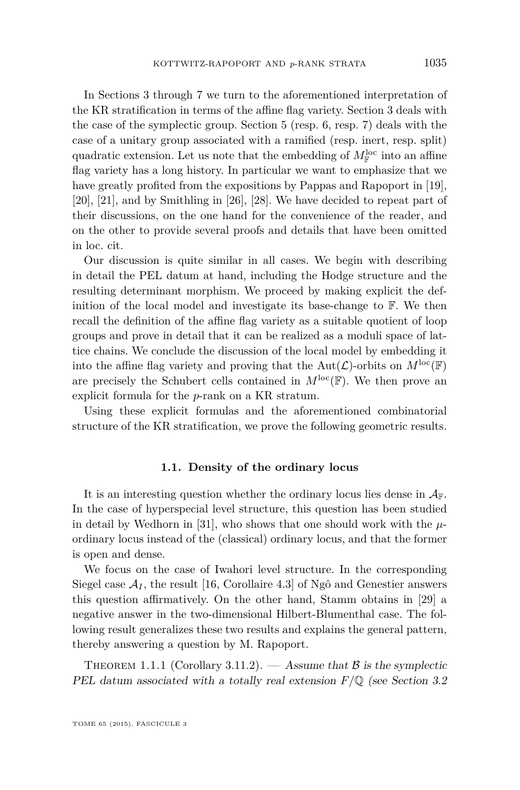<span id="page-5-0"></span>In Sections [3](#page-25-0) through [7](#page-64-0) we turn to the aforementioned interpretation of the KR stratification in terms of the affine flag variety. Section [3](#page-25-0) deals with the case of the symplectic group. Section [5](#page-43-0) (resp. [6,](#page-54-0) resp. [7\)](#page-64-0) deals with the case of a unitary group associated with a ramified (resp. inert, resp. split) quadratic extension. Let us note that the embedding of  $M_{\mathbb{F}}^{\text{loc}}$  into an affine flag variety has a long history. In particular we want to emphasize that we have greatly profited from the expositions by Pappas and Rapoport in [\[19\]](#page-72-0), [\[20\]](#page-72-0), [\[21\]](#page-72-0), and by Smithling in [\[26\]](#page-72-0), [\[28\]](#page-72-0). We have decided to repeat part of their discussions, on the one hand for the convenience of the reader, and on the other to provide several proofs and details that have been omitted in loc. cit.

Our discussion is quite similar in all cases. We begin with describing in detail the PEL datum at hand, including the Hodge structure and the resulting determinant morphism. We proceed by making explicit the definition of the local model and investigate its base-change to F. We then recall the definition of the affine flag variety as a suitable quotient of loop groups and prove in detail that it can be realized as a moduli space of lattice chains. We conclude the discussion of the local model by embedding it into the affine flag variety and proving that the  $Aut(\mathcal{L})$ -orbits on  $M^{\text{loc}}(\mathbb{F})$ are precisely the Schubert cells contained in  $M^{\text{loc}}(\mathbb{F})$ . We then prove an explicit formula for the *p*-rank on a KR stratum.

Using these explicit formulas and the aforementioned combinatorial structure of the KR stratification, we prove the following geometric results.

#### **1.1. Density of the ordinary locus**

It is an interesting question whether the ordinary locus lies dense in  $A_{\mathbb{F}}$ . In the case of hyperspecial level structure, this question has been studied in detail by Wedhorn in [\[31\]](#page-72-0), who shows that one should work with the  $\mu$ ordinary locus instead of the (classical) ordinary locus, and that the former is open and dense.

We focus on the case of Iwahori level structure. In the corresponding Siegel case  $A_I$ , the result [\[16,](#page-72-0) Corollaire 4.3] of Ngô and Genestier answers this question affirmatively. On the other hand, Stamm obtains in [\[29\]](#page-72-0) a negative answer in the two-dimensional Hilbert-Blumenthal case. The following result generalizes these two results and explains the general pattern, thereby answering a question by M. Rapoport.

THEOREM 1.1.1 (Corollary [3.11.2\)](#page-40-0). — Assume that  $\beta$  is the symplectic PEL datum associated with a totally real extension *F/*Q (see Section [3.2](#page-26-0)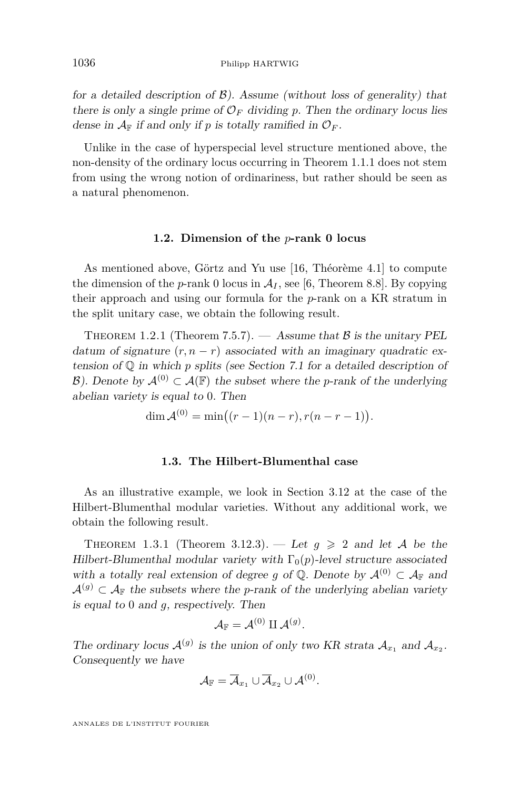for a detailed description of  $\mathcal{B}$ ). Assume (without loss of generality) that there is only a single prime of  $\mathcal{O}_F$  dividing p. Then the ordinary locus lies dense in  $A_F$  if and only if p is totally ramified in  $\mathcal{O}_F$ .

Unlike in the case of hyperspecial level structure mentioned above, the non-density of the ordinary locus occurring in Theorem [1.1.1](#page-5-0) does not stem from using the wrong notion of ordinariness, but rather should be seen as a natural phenomenon.

#### **1.2. Dimension of the** *p***-rank 0 locus**

As mentioned above, Görtz and Yu use [\[16,](#page-72-0) Théorème 4.1] to compute the dimension of the  $p$ -rank 0 locus in  $A_I$ , see [\[6,](#page-71-0) Theorem 8.8]. By copying their approach and using our formula for the *p*-rank on a KR stratum in the split unitary case, we obtain the following result.

THEOREM 1.2.1 (Theorem [7.5.7\)](#page-71-0).  $-$  Assume that  $\beta$  is the unitary PEL datum of signature  $(r, n - r)$  associated with an imaginary quadratic extension of Q in which *p* splits (see Section [7.1](#page-64-0) for a detailed description of B). Denote by  $\mathcal{A}^{(0)} \subset \mathcal{A}(\mathbb{F})$  the subset where the *p*-rank of the underlying abelian variety is equal to 0. Then

$$
\dim \mathcal{A}^{(0)} = \min((r-1)(n-r), r(n-r-1)).
$$

#### **1.3. The Hilbert-Blumenthal case**

As an illustrative example, we look in Section [3.12](#page-40-0) at the case of the Hilbert-Blumenthal modular varieties. Without any additional work, we obtain the following result.

THEOREM 1.3.1 (Theorem [3.12.3\)](#page-41-0). — Let  $g \geq 2$  and let A be the Hilbert-Blumenthal modular variety with  $\Gamma_0(p)$ -level structure associated with a totally real extension of degree *q* of  $\mathbb{Q}$ . Denote by  $\mathcal{A}^{(0)} \subset \mathcal{A}_{\mathbb{F}}$  and  $A^{(g)} \subset A_{\mathbb{F}}$  the subsets where the *p*-rank of the underlying abelian variety is equal to 0 and *g*, respectively. Then

$$
\mathcal{A}_{\mathbb{F}}=\mathcal{A}^{(0)}\amalg\mathcal{A}^{(g)}.
$$

The ordinary locus  $\mathcal{A}^{(g)}$  is the union of only two KR strata  $\mathcal{A}_{x_1}$  and  $\mathcal{A}_{x_2}$ . Consequently we have

$$
\mathcal{A}_\mathbb{F}=\overline{\mathcal{A}}_{x_1}\cup\overline{\mathcal{A}}_{x_2}\cup\mathcal{A}^{(0)}.
$$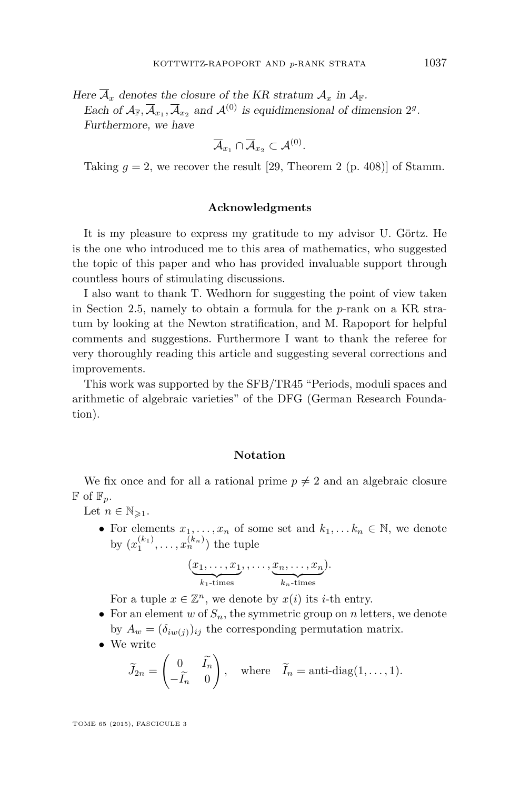Here  $\overline{A}_x$  denotes the closure of the KR stratum  $A_x$  in  $A_{\mathbb{F}}$ .

Each of  $A_{\mathbb{F}}, \overline{A}_{x_1}, \overline{A}_{x_2}$  and  $A^{(0)}$  is equidimensional of dimension  $2^g$ . Furthermore, we have

$$
\overline{\cal A}_{x_1}\cap\overline{\cal A}_{x_2}\subset{\cal A}^{(0)}.
$$

Taking  $g = 2$ , we recover the result [\[29,](#page-72-0) Theorem 2 (p. 408)] of Stamm.

#### **Acknowledgments**

It is my pleasure to express my gratitude to my advisor U. Görtz. He is the one who introduced me to this area of mathematics, who suggested the topic of this paper and who has provided invaluable support through countless hours of stimulating discussions.

I also want to thank T. Wedhorn for suggesting the point of view taken in Section [2.5,](#page-16-0) namely to obtain a formula for the *p*-rank on a KR stratum by looking at the Newton stratification, and M. Rapoport for helpful comments and suggestions. Furthermore I want to thank the referee for very thoroughly reading this article and suggesting several corrections and improvements.

This work was supported by the SFB/TR45 "Periods, moduli spaces and arithmetic of algebraic varieties" of the DFG (German Research Foundation).

#### **Notation**

We fix once and for all a rational prime  $p \neq 2$  and an algebraic closure  $\mathbb{F}$  of  $\mathbb{F}_p$ .

Let  $n \in \mathbb{N}_{\geqslant 1}$ .

• For elements  $x_1, \ldots, x_n$  of some set and  $k_1, \ldots, k_n \in \mathbb{N}$ , we denote by  $(x_1^{(k_1)},...,x_n^{(k_n)})$  the tuple

$$
(\underbrace{x_1,\ldots,x_1}_{k_1\text{-times}},\ldots,\underbrace{x_n,\ldots,x_n}_{k_n\text{-times}}).
$$

For a tuple  $x \in \mathbb{Z}^n$ , we denote by  $x(i)$  its *i*-th entry.

- For an element *w* of  $S_n$ , the symmetric group on *n* letters, we denote by  $A_w = (\delta_{iw(j)})_{ij}$  the corresponding permutation matrix.
- We write

$$
\widetilde{J}_{2n} = \begin{pmatrix} 0 & \widetilde{I}_n \\ -\widetilde{I}_n & 0 \end{pmatrix}, \text{ where } \widetilde{I}_n = \text{anti-diag}(1, \dots, 1).
$$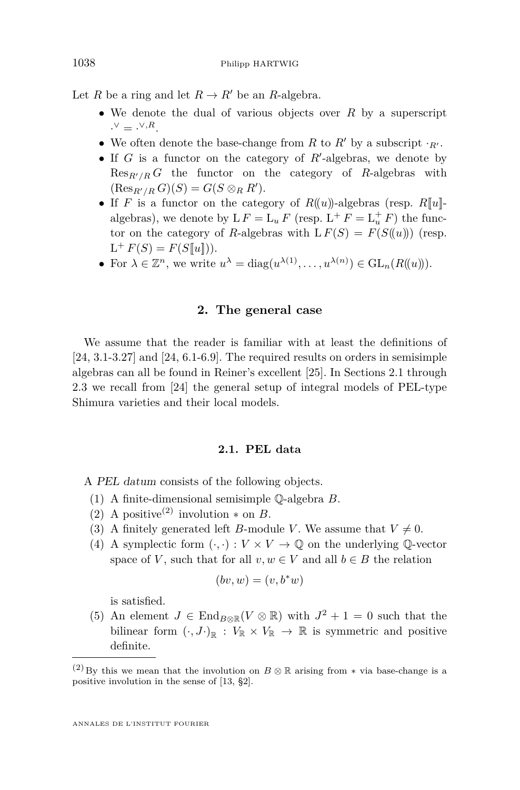<span id="page-8-0"></span>Let *R* be a ring and let  $R \to R'$  be an *R*-algebra.

- We denote the dual of various objects over *R* by a superscript  $\cdot^{\vee} = \cdot^{\vee, R}.$
- We often denote the base-change from *R* to *R'* by a subscript  $\cdot_{R'}$ .
- If  $G$  is a functor on the category of  $R'$ -algebras, we denote by  $\text{Res}_{R'/R} G$  the functor on the category of *R*-algebras with  $(\text{Res}_{R'/R} G)(S) = G(S \otimes_R R').$
- If *F* is a functor on the category of  $R((u))$ -algebras (resp.  $R[[u]]$ algebras), we denote by  $LF = L_u F$  (resp.  $L^+ F = L_u^+ F$ ) the functor on the category of *R*-algebras with  $LF(S) = F(S(\lbrace u \rbrace))$  (resp.  $L^+ F(S) = F(S[\![u]\!]).$
- For  $\lambda \in \mathbb{Z}^n$ , we write  $u^{\lambda} = \text{diag}(u^{\lambda(1)}, \dots, u^{\lambda(n)}) \in \text{GL}_n(R(\!(u)\!)).$

#### **2. The general case**

We assume that the reader is familiar with at least the definitions of [\[24,](#page-72-0) 3.1-3.27] and [\[24,](#page-72-0) 6.1-6.9]. The required results on orders in semisimple algebras can all be found in Reiner's excellent [\[25\]](#page-72-0). In Sections 2.1 through [2.3](#page-11-0) we recall from [\[24\]](#page-72-0) the general setup of integral models of PEL-type Shimura varieties and their local models.

#### **2.1. PEL data**

A PEL datum consists of the following objects.

- (1) A finite-dimensional semisimple Q-algebra *B*.
- (2) A positive<sup>(2)</sup> involution  $*$  on *B*.
- (3) A finitely generated left *B*-module *V*. We assume that  $V \neq 0$ .
- (4) A symplectic form  $(\cdot, \cdot): V \times V \to \mathbb{Q}$  on the underlying  $\mathbb{Q}\text{-vector}$ space of *V*, such that for all  $v, w \in V$  and all  $b \in B$  the relation

$$
(bv, w) = (v, b^*w)
$$

is satisfied.

(5) An element  $J \in \text{End}_{B \otimes \mathbb{R}}(V \otimes \mathbb{R})$  with  $J^2 + 1 = 0$  such that the bilinear form  $(\cdot, J)_{\mathbb{R}} : V_{\mathbb{R}} \times V_{\mathbb{R}} \to \mathbb{R}$  is symmetric and positive definite.

<sup>(2)</sup> By this we mean that the involution on  $B \otimes \mathbb{R}$  arising from  $*$  via base-change is a positive involution in the sense of [\[13,](#page-72-0) §2].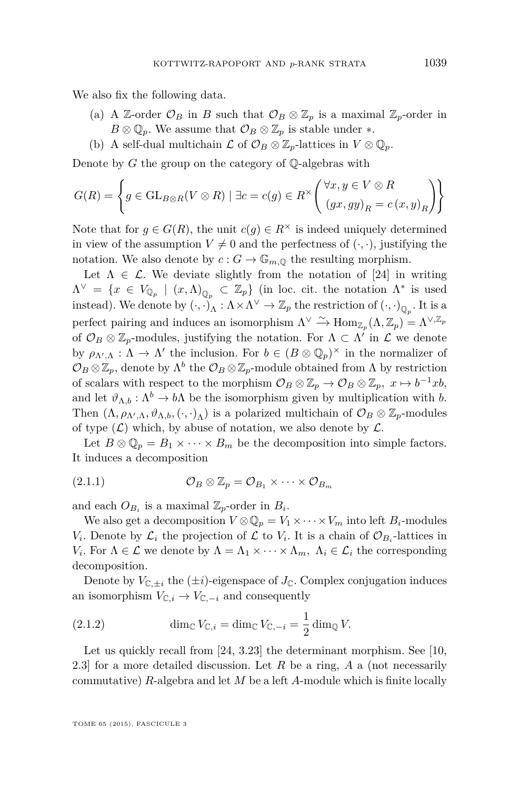<span id="page-9-0"></span>We also fix the following data.

- (a) A Z-order  $\mathcal{O}_B$  in *B* such that  $\mathcal{O}_B \otimes \mathbb{Z}_p$  is a maximal  $\mathbb{Z}_p$ -order in  $B \otimes \mathbb{Q}_p$ . We assume that  $\mathcal{O}_B \otimes \mathbb{Z}_p$  is stable under  $*$ .
- (b) A self-dual multichain  $\mathcal L$  of  $\mathcal O_B \otimes \mathbb Z_p$ -lattices in  $V \otimes \mathbb Q_p$ .

Denote by *G* the group on the category of Q-algebras with

$$
G(R) = \left\{ g \in \text{GL}_{B \otimes R}(V \otimes R) \mid \exists c = c(g) \in R^{\times} \left( \begin{array}{c} \forall x, y \in V \otimes R \\ (gx, gy)_R = c(x, y)_R \end{array} \right) \right\}
$$

Note that for  $g \in G(R)$ , the unit  $c(g) \in R^{\times}$  is indeed uniquely determined in view of the assumption  $V \neq 0$  and the perfectness of  $(\cdot, \cdot)$ , justifying the notation. We also denote by  $c: G \to \mathbb{G}_{m, \mathbb{Q}}$  the resulting morphism.

Let  $\Lambda \in \mathcal{L}$ . We deviate slightly from the notation of [\[24\]](#page-72-0) in writing  $\Lambda^{\vee} = \{x \in V_{\mathbb{Q}_p} \mid (x, \Lambda)_{\mathbb{Q}_p} \subset \mathbb{Z}_p\}$  (in loc. cit. the notation  $\Lambda^*$  is used instead). We denote by  $(\cdot, \cdot)_{\Lambda} : \Lambda \times \Lambda^{\vee} \to \mathbb{Z}_p$  the restriction of  $(\cdot, \cdot)_{\mathbb{Q}_p}$ . It is a perfect pairing and induces an isomorphism  $\Lambda^{\vee} \xrightarrow{\sim} \text{Hom}_{\mathbb{Z}_p}(\Lambda, \mathbb{Z}_p) = \Lambda^{\vee, \mathbb{Z}_p}$ of  $\mathcal{O}_B \otimes \mathbb{Z}_p$ -modules, justifying the notation. For  $\Lambda \subset \Lambda'$  in  $\mathcal{L}$  we denote by  $\rho_{\Lambda',\Lambda} : \Lambda \to \Lambda'$  the inclusion. For  $b \in (B \otimes \mathbb{Q}_p)^\times$  in the normalizer of  $\mathcal{O}_B \otimes \mathbb{Z}_p$ , denote by  $\Lambda^b$  the  $\mathcal{O}_B \otimes \mathbb{Z}_p$ -module obtained from  $\Lambda$  by restriction of scalars with respect to the morphism  $\mathcal{O}_B \otimes \mathbb{Z}_p \to \mathcal{O}_B \otimes \mathbb{Z}_p$ ,  $x \mapsto b^{-1}xb$ , and let  $\vartheta_{\Lambda,b} : \Lambda^b \to b\Lambda$  be the isomorphism given by multiplication with *b*. Then  $(\Lambda, \rho_{\Lambda',\Lambda}, \vartheta_{\Lambda,b}, (\cdot, \cdot)_{\Lambda})$  is a polarized multichain of  $\mathcal{O}_B \otimes \mathbb{Z}_p$ -modules of type  $(\mathcal{L})$  which, by abuse of notation, we also denote by  $\mathcal{L}$ .

Let  $B \otimes \mathbb{Q}_p = B_1 \times \cdots \times B_m$  be the decomposition into simple factors. It induces a decomposition

(2.1.1) 
$$
\mathcal{O}_B \otimes \mathbb{Z}_p = \mathcal{O}_{B_1} \times \cdots \times \mathcal{O}_{B_m}
$$

and each  $O_{B_i}$  is a maximal  $\mathbb{Z}_p$ -order in  $B_i$ .

We also get a decomposition  $V \otimes \mathbb{Q}_p = V_1 \times \cdots \times V_m$  into left  $B_i$ -modules *V*<sub>*i*</sub>. Denote by  $\mathcal{L}_i$  the projection of  $\mathcal{L}$  to *V*<sub>*i*</sub>. It is a chain of  $\mathcal{O}_{B_i}$ -lattices in *V*<sub>*i*</sub>. For  $\Lambda \in \mathcal{L}$  we denote by  $\Lambda = \Lambda_1 \times \cdots \times \Lambda_m$ ,  $\Lambda_i \in \mathcal{L}_i$  the corresponding decomposition.

Denote by  $V_{\mathbb{C},\pm i}$  the  $(\pm i)$ -eigenspace of  $J_{\mathbb{C}}$ . Complex conjugation induces an isomorphism  $V_{\mathbb{C},i} \to V_{\mathbb{C},-i}$  and consequently

(2.1.2) 
$$
\dim_{\mathbb{C}} V_{\mathbb{C},i} = \dim_{\mathbb{C}} V_{\mathbb{C},-i} = \frac{1}{2} \dim_{\mathbb{Q}} V.
$$

Let us quickly recall from [\[24,](#page-72-0) 3.23] the determinant morphism. See [\[10,](#page-71-0) 2.3] for a more detailed discussion. Let *R* be a ring, *A* a (not necessarily commutative) *R*-algebra and let *M* be a left *A*-module which is finite locally

TOME 65 (2015), FASCICULE 3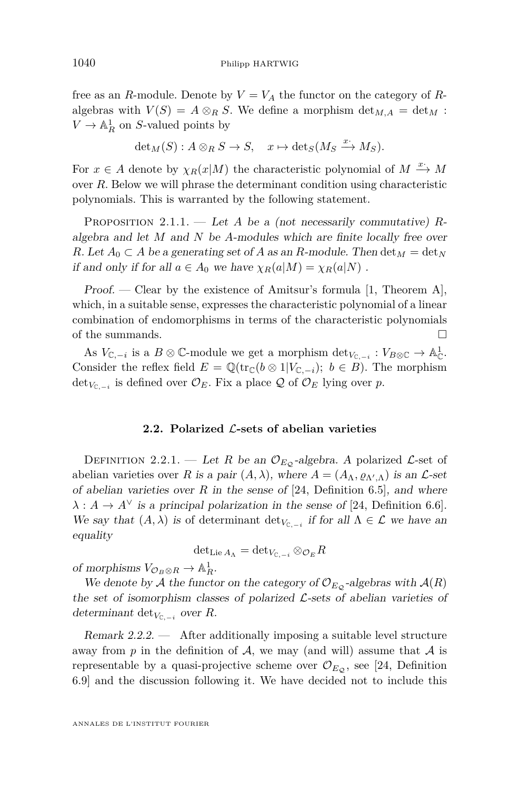<span id="page-10-0"></span>free as an *R*-module. Denote by  $V = V_A$  the functor on the category of *R*algebras with  $V(S) = A \otimes_R S$ . We define a morphism  $\det_{M,A} = \det_M$ :  $V \to \mathbb{A}^1_R$  on *S*-valued points by

$$
\det_M(S) : A \otimes_R S \to S, \quad x \mapsto \det_S(M_S \xrightarrow{x^*} M_S).
$$

For  $x \in A$  denote by  $\chi_R(x|M)$  the characteristic polynomial of  $M \xrightarrow{x} M$ over *R*. Below we will phrase the determinant condition using characteristic polynomials. This is warranted by the following statement.

Proposition 2.1.1. — Let *A* be a (not necessarily commutative) *R*algebra and let *M* and *N* be *A*-modules which are finite locally free over *R*. Let  $A_0 \subset A$  be a generating set of A as an *R*-module. Then  $\det_M = \det_N$ if and only if for all  $a \in A_0$  we have  $\chi_R(a|M) = \chi_R(a|N)$ .

Proof. — Clear by the existence of Amitsur's formula [\[1,](#page-71-0) Theorem A], which, in a suitable sense, expresses the characteristic polynomial of a linear combination of endomorphisms in terms of the characteristic polynomials of the summands.  $\Box$ 

As  $V_{\mathbb{C}, -i}$  is a  $B \otimes \mathbb{C}$ -module we get a morphism  $\det_{V_{\mathbb{C}, -i}} : V_{B \otimes \mathbb{C}} \to \mathbb{A}^1_{\mathbb{C}}$ . Consider the reflex field  $E = \mathbb{Q}(\text{tr}_{\mathbb{C}}(b \otimes 1|V_{\mathbb{C},-i}); b \in B)$ . The morphism  $\det_{V_{\mathbb{C}, -i}}$  is defined over  $\mathcal{O}_E$ . Fix a place Q of  $\mathcal{O}_E$  lying over *p*.

#### **2.2. Polarized** L**-sets of abelian varieties**

DEFINITION 2.2.1. — Let *R* be an  $\mathcal{O}_{E_{\mathcal{O}}}$ -algebra. A polarized  $\mathcal{L}$ -set of abelian varieties over *R* is a pair  $(A, \lambda)$ , where  $A = (A_{\Lambda}, \varrho_{\Lambda', \Lambda})$  is an  $\mathcal{L}$ -set of abelian varieties over  $R$  in the sense of [\[24,](#page-72-0) Definition 6.5], and where  $\lambda: A \to A^{\vee}$  is a principal polarization in the sense of [\[24,](#page-72-0) Definition 6.6]. We say that  $(A, \lambda)$  is of determinant  $\det_{V_{\mathbb{C}, -i}}$  if for all  $\Lambda \in \mathcal{L}$  we have an equality

$$
\mathrm{det}_{\mathrm{Lie}\, A_\Lambda}=\mathrm{det}_{V_{\mathbb{C},-i}}\otimes_{\mathcal{O}_E}R
$$

of morphisms  $V_{\mathcal{O}_B \otimes R} \to \mathbb{A}^1_R$ .

We denote by A the functor on the category of  $\mathcal{O}_{E_{\mathcal{O}}}$ -algebras with  $\mathcal{A}(R)$ the set of isomorphism classes of polarized  $\mathcal{L}$ -sets of abelian varieties of determinant det<sub>*V*<sub>C,−*i*</sub></sub> over *R*.

Remark  $2.2.2.$  — After additionally imposing a suitable level structure away from  $p$  in the definition of  $A$ , we may (and will) assume that  $A$  is representable by a quasi-projective scheme over  $\mathcal{O}_{E_{\mathcal{O}}}$ , see [\[24,](#page-72-0) Definition 6.9] and the discussion following it. We have decided not to include this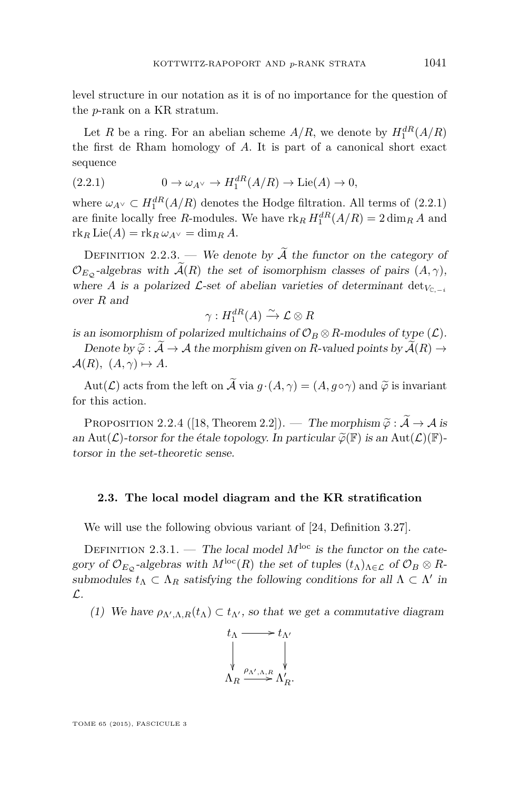<span id="page-11-0"></span>level structure in our notation as it is of no importance for the question of the *p*-rank on a KR stratum.

Let *R* be a ring. For an abelian scheme  $A/R$ , we denote by  $H_1^{dR}(A/R)$ the first de Rham homology of *A*. It is part of a canonical short exact sequence

(2.2.1) 
$$
0 \to \omega_{A} \vee \to H_1^{dR}(A/R) \to \text{Lie}(A) \to 0,
$$

where  $\omega_{A} \subset H_1^{dR}(A/R)$  denotes the Hodge filtration. All terms of (2.2.1) are finite locally free *R*-modules. We have  $\text{rk}_R H_1^{dR}(A/R) = 2 \dim_R A$  and  $rk_R$  Lie $(A) = rk_R \omega_{A}$   $\vee$  = dim<sub>*R*</sub>  $A$ .

DEFINITION 2.2.3. — We denote by  $\widetilde{A}$  the functor on the category of  $\mathcal{O}_{E_{\mathcal{O}}}$ -algebras with  $\widetilde{\mathcal{A}}(R)$  the set of isomorphism classes of pairs  $(A, \gamma)$ , where *A* is a polarized  $\mathcal{L}$ -set of abelian varieties of determinant det<sub>*V*C<sub>*-i*</sub></sub> over *R* and

$$
\gamma: H_1^{dR}(A) \xrightarrow{\sim} \mathcal{L} \otimes R
$$

is an isomorphism of polarized multichains of  $\mathcal{O}_B \otimes R$ -modules of type  $(\mathcal{L})$ .

Denote by  $\widetilde{\varphi}: \widetilde{\mathcal{A}} \to \mathcal{A}$  the morphism given on *R*-valued points by  $\widetilde{\mathcal{A}}(R) \to$  $\mathcal{A}(R)$ ,  $(A, \gamma) \mapsto A$ .

Aut( $\mathcal{L}$ ) acts from the left on  $\widetilde{\mathcal{A}}$  via  $g \cdot (A, \gamma) = (A, g \circ \gamma)$  and  $\widetilde{\varphi}$  is invariant for this action.

PROPOSITION 2.2.4 ([\[18,](#page-72-0) Theorem 2.2]). — The morphism  $\tilde{\varphi} : \tilde{\mathcal{A}} \to \mathcal{A}$  is an Aut( $\mathcal{L}$ )-torsor for the étale topology. In particular  $\widetilde{\varphi}(\mathbb{F})$  is an Aut( $\mathcal{L}(\mathbb{F})$ torsor in the set-theoretic sense.

#### **2.3. The local model diagram and the KR stratification**

We will use the following obvious variant of [\[24,](#page-72-0) Definition 3.27].

DEFINITION 2.3.1. — The local model  $M^{\text{loc}}$  is the functor on the category of  $\mathcal{O}_{E_{\mathcal{O}}}$ -algebras with  $M^{\text{loc}}(R)$  the set of tuples  $(t_{\Lambda})_{\Lambda \in \mathcal{L}}$  of  $\mathcal{O}_{B} \otimes R$ submodules  $t_{\Lambda} \subset \Lambda_R$  satisfying the following conditions for all  $\Lambda \subset \Lambda'$  in L.

(1) We have  $\rho_{\Lambda',\Lambda,R}(t_\Lambda) \subset t_{\Lambda'}$ , so that we get a commutative diagram

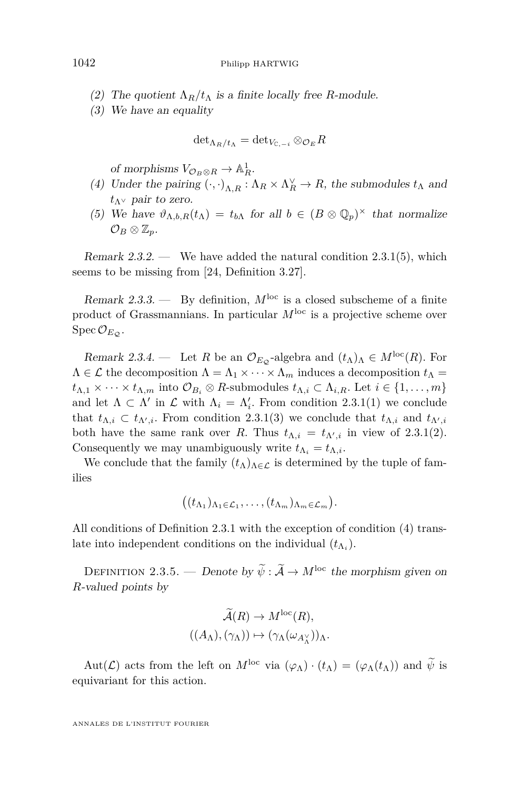- (2) The quotient  $\Lambda_R/t_\Lambda$  is a finite locally free *R*-module.
- (3) We have an equality

$$
{\det}_{{\Lambda}_R / t_{\Lambda}} = {\det}_{V_{{\mathbb{C}},-i}} \otimes_{{\mathcal{O}}_E} R
$$

of morphisms  $V_{\mathcal{O}_B \otimes R} \to \mathbb{A}^1_R$ .

- (4) Under the pairing  $(\cdot, \cdot)_{\Lambda,R} : \Lambda_R \times \Lambda_R^{\vee} \to R$ , the submodules  $t_{\Lambda}$  and *t*Λ<sup>∨</sup> pair to zero.
- (5) We have  $\vartheta_{\Lambda,b,R}(t_\Lambda) = t_{b\Lambda}$  for all  $b \in (B \otimes \mathbb{Q}_p)^\times$  that normalize  $\mathcal{O}_B\otimes \mathbb{Z}_p$ .

Remark  $2.3.2.$  — We have added the natural condition  $2.3.1(5)$  $2.3.1(5)$ , which seems to be missing from [\[24,](#page-72-0) Definition 3.27].

Remark 2.3.3. — By definition,  $M^{\text{loc}}$  is a closed subscheme of a finite product of Grassmannians. In particular *M*loc is a projective scheme over  $Spec \mathcal{O}_{E_{\mathcal{O}}}$ .

Remark 2.3.4. — Let *R* be an  $\mathcal{O}_{E_{\mathcal{O}}}$ -algebra and  $(t_{\Lambda})_{\Lambda} \in M^{\text{loc}}(R)$ . For  $\Lambda \in \mathcal{L}$  the decomposition  $\Lambda = \Lambda_1 \times \cdots \times \Lambda_m$  induces a decomposition  $t_{\Lambda} =$  $t_{\Lambda,1} \times \cdots \times t_{\Lambda,m}$  into  $\mathcal{O}_{B_i} \otimes R$ -submodules  $t_{\Lambda,i} \subset \Lambda_{i,R}$ . Let  $i \in \{1,\ldots,m\}$ and let  $\Lambda \subset \Lambda'$  in  $\mathcal L$  with  $\Lambda_i = \Lambda'_i$ . From condition [2.3.1\(1\)](#page-11-0) we conclude that  $t_{\Lambda,i} \subset t_{\Lambda',i}$ . From condition [2.3.1\(](#page-11-0)3) we conclude that  $t_{\Lambda,i}$  and  $t_{\Lambda',i}$ both have the same rank over *R*. Thus  $t_{\Lambda,i} = t_{\Lambda',i}$  in view of [2.3.1\(](#page-11-0)2). Consequently we may unambiguously write  $t_{\Lambda_i} = t_{\Lambda,i}$ .

We conclude that the family  $(t_\Lambda)_{\Lambda \in \mathcal{L}}$  is determined by the tuple of families

$$
((t_{\Lambda_1})_{\Lambda_1\in\mathcal{L}_1},\ldots,(t_{\Lambda_m})_{\Lambda_m\in\mathcal{L}_m}).
$$

All conditions of Definition [2.3.1](#page-11-0) with the exception of condition (4) translate into independent conditions on the individual  $(t_{\Lambda_i})$ .

DEFINITION 2.3.5. — Denote by  $\widetilde{\psi}$  :  $\widetilde{\mathcal{A}} \to M^{\text{loc}}$  the morphism given on *R*-valued points by

$$
\widetilde{\mathcal{A}}(R) \to M^{\text{loc}}(R),
$$
  

$$
((A_{\Lambda}), (\gamma_{\Lambda})) \mapsto (\gamma_{\Lambda}(\omega_{A_{\Lambda}^{\vee}}))_{\Lambda}.
$$

Aut( $\mathcal{L}$ ) acts from the left on  $M^{\text{loc}}$  via  $(\varphi_{\Lambda}) \cdot (t_{\Lambda}) = (\varphi_{\Lambda}(t_{\Lambda}))$  and  $\tilde{\psi}$  is equivariant for this action.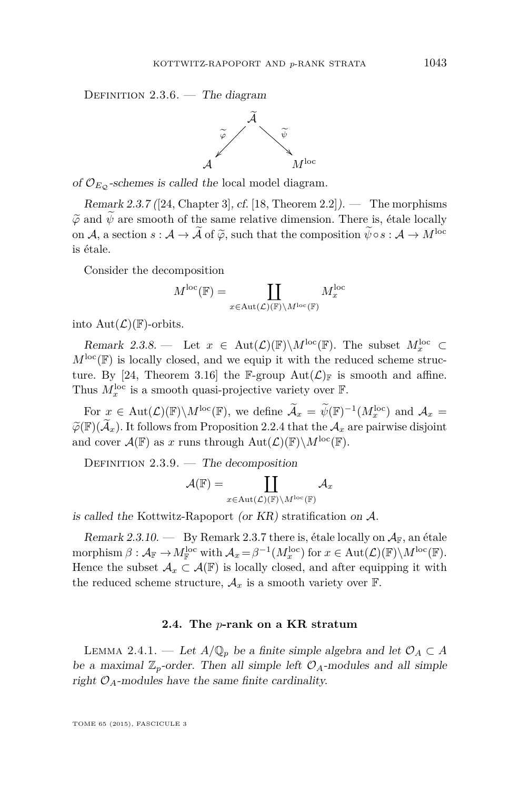<span id="page-13-0"></span>DEFINITION  $2.3.6.$  — The diagram



of  $\mathcal{O}_{E_{\mathcal{O}}}$ -schemes is called the local model diagram.

Remark 2.3.7 ([\[24,](#page-72-0) Chapter 3], cf. [\[18,](#page-72-0) Theorem 2.2]). — The morphisms  $\widetilde{\varphi}$  and  $\widetilde{\psi}$  are smooth of the same relative dimension. There is, étale locally on A, a section  $s : A \to \tilde{A}$  of  $\tilde{\varphi}$ , such that the composition  $\tilde{\psi} \circ s : A \to M^{\text{loc}}$ is étale.

Consider the decomposition

$$
M^{\mathrm{loc}}(\mathbb{F})=\coprod_{x\in\mathrm{Aut}(\mathcal{L})(\mathbb{F})\backslash M^{\mathrm{loc}}(\mathbb{F})}M^{\mathrm{loc}}_x
$$

into  $Aut(\mathcal{L})(\mathbb{F})$ -orbits.

Remark 2.3.8. — Let  $x \in Aut(\mathcal{L})(\mathbb{F})\backslash M^{\text{loc}}(\mathbb{F})$ . The subset  $M_x^{\text{loc}} \subset$  $M^{\text{loc}}(\mathbb{F})$  is locally closed, and we equip it with the reduced scheme struc-ture. By [\[24,](#page-72-0) Theorem 3.16] the F-group  $Aut(\mathcal{L})_{\mathbb{F}}$  is smooth and affine. Thus  $M_x^{\text{loc}}$  is a smooth quasi-projective variety over  $\mathbb{F}$ .

For  $x \in Aut(\mathcal{L})(\mathbb{F})\backslash M^{\text{loc}}(\mathbb{F})$ , we define  $\widetilde{\mathcal{A}}_x = \widetilde{\psi}(\mathbb{F})^{-1}(M_x^{\text{loc}})$  and  $\mathcal{A}_x =$  $\widetilde{\varphi}(\mathbb{F})(\widetilde{\mathcal{A}}_x)$ . It follows from Proposition [2.2.4](#page-11-0) that the  $\mathcal{A}_x$  are pairwise disjoint and cover  $\mathcal{A}(\mathbb{F})$  as *x* runs through  $Aut(\mathcal{L})(\mathbb{F})\backslash M^{\text{loc}}(\mathbb{F})$ .

DEFINITION  $2.3.9.$  — The decomposition

$$
\mathcal{A}(\mathbb{F})=\coprod_{x\in \text{Aut}(\mathcal{L})(\mathbb{F})\backslash M^{\text{loc}}(\mathbb{F})}\mathcal{A}_{x}
$$

is called the Kottwitz-Rapoport (or  $KR$ ) stratification on  $A$ .

Remark 2.3.10. — By Remark 2.3.7 there is, étale locally on  $A_{\mathbb{F}}$ , an étale  $\text{morphism }\beta: \mathcal{A}_{\mathbb{F}} \to M^{\text{loc}}_{\mathbb{F}} \text{ with } \mathcal{A}_x = \beta^{-1}(M^{\text{loc}}_x) \text{ for } x \in \text{Aut}(\mathcal{L})(\mathbb{F})\backslash M^{\text{loc}}(\mathbb{F}).$ Hence the subset  $\mathcal{A}_x \subset \mathcal{A}(\mathbb{F})$  is locally closed, and after equipping it with the reduced scheme structure,  $\mathcal{A}_x$  is a smooth variety over  $\mathbb{F}$ .

#### **2.4. The** *p***-rank on a KR stratum**

LEMMA 2.4.1. — Let  $A/\mathbb{Q}_p$  be a finite simple algebra and let  $\mathcal{O}_A \subset A$ be a maximal  $\mathbb{Z}_p$ -order. Then all simple left  $\mathcal{O}_A$ -modules and all simple right  $\mathcal{O}_A$ -modules have the same finite cardinality.

TOME 65 (2015), FASCICULE 3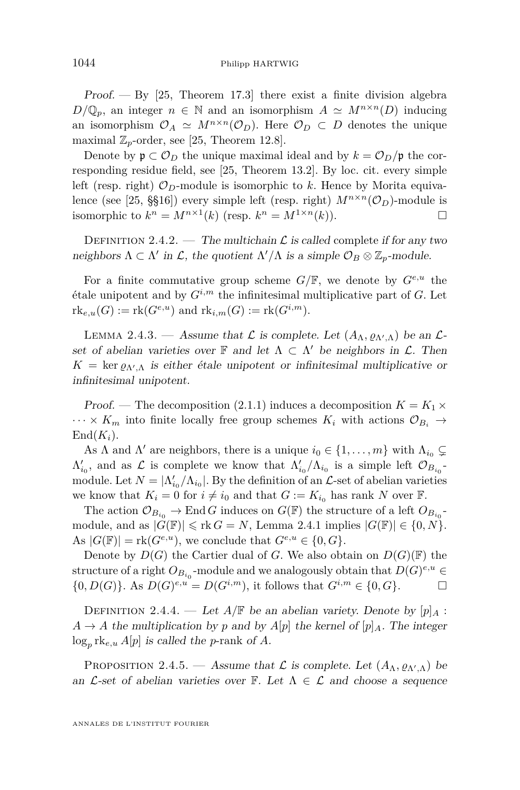<span id="page-14-0"></span>Proof.  $-$  By [\[25,](#page-72-0) Theorem 17.3] there exist a finite division algebra  $D/\mathbb{Q}_p$ , an integer  $n \in \mathbb{N}$  and an isomorphism  $A \simeq M^{n \times n}(D)$  inducing an isomorphism  $\mathcal{O}_A \simeq M^{n \times n}(\mathcal{O}_D)$ . Here  $\mathcal{O}_D \subset D$  denotes the unique maximal  $\mathbb{Z}_p$ -order, see [\[25,](#page-72-0) Theorem 12.8].

Denote by  $\mathfrak{p} \subset \mathcal{O}_D$  the unique maximal ideal and by  $k = \mathcal{O}_D/\mathfrak{p}$  the corresponding residue field, see [\[25,](#page-72-0) Theorem 13.2]. By loc. cit. every simple left (resp. right)  $\mathcal{O}_D$ -module is isomorphic to k. Hence by Morita equiva-lence (see [\[25,](#page-72-0) §§16]) every simple left (resp. right)  $M^{n \times n}(\mathcal{O}_D)$ -module is isomorphic to  $k^n = M^{n \times 1}(k)$  (resp.  $k^n = M^{1 \times n}(k)$ ).

DEFINITION 2.4.2. — The multichain  $\mathcal L$  is called complete if for any two neighbors  $\Lambda \subset \Lambda'$  in  $\mathcal{L}$ , the quotient  $\Lambda'/\Lambda$  is a simple  $\mathcal{O}_B \otimes \mathbb{Z}_p$ -module.

For a finite commutative group scheme  $G/\mathbb{F}$ , we denote by  $G^{e,u}$  the étale unipotent and by  $G^{i,m}$  the infinitesimal multiplicative part of  $G$ . Let  $rk_{e,u}(G) := rk(G^{e,u})$  and  $rk_{i,m}(G) := rk(G^{i,m}).$ 

LEMMA 2.4.3. — Assume that  $\mathcal L$  is complete. Let  $(A_\Lambda, \varrho_{\Lambda',\Lambda})$  be an  $\mathcal L$ set of abelian varieties over  $\mathbb F$  and let  $\Lambda \subset \Lambda'$  be neighbors in  $\mathcal L$ . Then  $K = \ker \varrho_{\Lambda',\Lambda}$  is either étale unipotent or infinitesimal multiplicative or infinitesimal unipotent.

Proof. — The decomposition [\(2.1.1\)](#page-9-0) induces a decomposition  $K = K_1 \times$  $\cdots \times K_m$  into finite locally free group schemes  $K_i$  with actions  $\mathcal{O}_{B_i} \to$  $\text{End}(K_i)$ .

As  $\Lambda$  and  $\Lambda'$  are neighbors, there is a unique  $i_0 \in \{1, \ldots, m\}$  with  $\Lambda_{i_0} \subsetneq$  $\Lambda'_{i_0}$ , and as  $\mathcal L$  is complete we know that  $\Lambda'_{i_0}/\Lambda_{i_0}$  is a simple left  $\mathcal O_{B_{i_0}}$ module. Let  $N = \frac{\Lambda'_{i_0}}{\Lambda_{i_0}}$ . By the definition of an  $\mathcal{L}$ -set of abelian varieties we know that  $K_i = 0$  for  $i \neq i_0$  and that  $G := K_{i_0}$  has rank N over F.

The action  $\mathcal{O}_{B_{i_0}} \to \text{End}\,G$  induces on  $G(\mathbb{F})$  the structure of a left  $O_{B_{i_0}}$ module, and as  $|G(\mathbb{F})| \leq r k G = N$ , Lemma [2.4.1](#page-13-0) implies  $|G(\mathbb{F})| \in \{0, N\}$ . As  $|G(\mathbb{F})| = \text{rk}(G^{e,u})$ , we conclude that  $G^{e,u} \in \{0, G\}.$ 

Denote by  $D(G)$  the Cartier dual of *G*. We also obtain on  $D(G)(\mathbb{F})$  the structure of a right  $O_{B_{i_0}}$ -module and we analogously obtain that  $D(G)^{e,u} \in$  $\{0, D(G)\}\$ . As  $D(G)^{e,u} = D(G^{i,m})$ , it follows that  $G^{i,m} \in \{0, G\}$ .

DEFINITION 2.4.4. — Let  $A/\mathbb{F}$  be an abelian variety. Denote by  $[p]_A$ :  $A \rightarrow A$  the multiplication by p and by  $A[p]$  the kernel of  $[p]_A$ . The integer  $\log_p \text{rk}_{e,u}$  *A*[*p*] is called the *p*-rank of *A*.

PROPOSITION 2.4.5. — Assume that  $\mathcal L$  is complete. Let  $(A_{\Lambda}, \varrho_{\Lambda', \Lambda})$  be an  $\mathcal{L}$ -set of abelian varieties over F. Let  $\Lambda \in \mathcal{L}$  and choose a sequence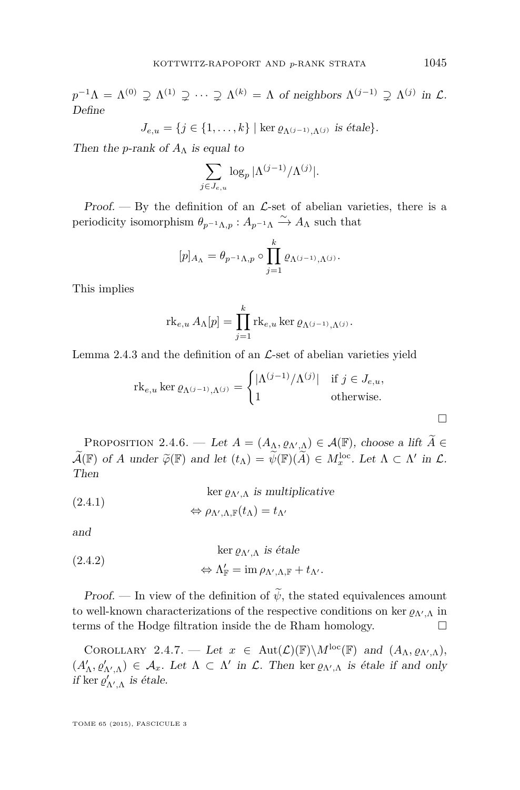<span id="page-15-0"></span> $p^{-1}\Lambda = \Lambda^{(0)} \supsetneq \Lambda^{(1)} \supsetneq \cdots \supsetneq \Lambda^{(k)} = \Lambda$  of neighbors  $\Lambda^{(j-1)} \supsetneq \Lambda^{(j)}$  in  $\mathcal{L}$ . Define

$$
J_{e,u} = \{j \in \{1,\ldots,k\} \mid \ker \varrho_{\Lambda^{(j-1)},\Lambda^{(j)}} \text{ is étale}\}.
$$

Then the *p*-rank of  $A_{\Lambda}$  is equal to

$$
\sum_{j \in J_{e,u}} \log_p |\Lambda^{(j-1)}/\Lambda^{(j)}|.
$$

Proof.  $-$  By the definition of an  $\mathcal{L}$ -set of abelian varieties, there is a periodicity isomorphism  $\theta_{p^{-1}\Lambda,p}: A_{p^{-1}\Lambda} \xrightarrow{\sim} A_{\Lambda}$  such that

$$
[p]_{A_{\Lambda}} = \theta_{p^{-1}\Lambda, p} \circ \prod_{j=1}^{k} \varrho_{\Lambda^{(j-1)}, \Lambda^{(j)}}.
$$

This implies

$$
\mathrm{rk}_{e,u} \, A_{\Lambda}[p] = \prod_{j=1}^k \mathrm{rk}_{e,u} \ker \varrho_{\Lambda^{(j-1)},\Lambda^{(j)}}.
$$

Lemma [2.4.3](#page-14-0) and the definition of an  $\mathcal{L}$ -set of abelian varieties yield

$$
\mathrm{rk}_{e,u} \ker \varrho_{\Lambda^{(j-1)},\Lambda^{(j)}} = \begin{cases} |\Lambda^{(j-1)}/\Lambda^{(j)}| & \text{if } j \in J_{e,u}, \\ 1 & \text{otherwise.} \end{cases}
$$

PROPOSITION 2.4.6. — Let  $A = (A_{\Lambda}, \varrho_{\Lambda', \Lambda}) \in \mathcal{A}(\mathbb{F})$ , choose a lift  $\widetilde{A} \in \mathbb{R}$  $\widetilde{\mathcal{A}}(\mathbb{F})$  of *A* under  $\widetilde{\varphi}(\mathbb{F})$  and let  $(t_{\Lambda}) = \widetilde{\psi}(\mathbb{F})(\widetilde{A}) \in M_x^{\text{loc}}$ . Let  $\Lambda \subset \Lambda'$  in  $\mathcal{L}$ .<br>Then Then

(2.4.1) 
$$
\ker \varrho_{\Lambda',\Lambda} \text{ is multiplicative}
$$

$$
\Leftrightarrow \rho_{\Lambda',\Lambda,\mathbb{F}}(t_{\Lambda}) = t_{\Lambda'}
$$

and

(2.4.2) 
$$
\ker \varrho_{\Lambda',\Lambda} \text{ is étale}
$$

$$
\Leftrightarrow \Lambda'_{\mathbb{F}} = \text{im } \rho_{\Lambda',\Lambda,\mathbb{F}} + t_{\Lambda'}.
$$

Proof. — In view of the definition of  $\widetilde{\psi}$ , the stated equivalences amount to well-known characterizations of the respective conditions on ker  $\varrho_{\Lambda',\Lambda}$  in terms of the Hodge filtration inside the de Rham homology.

COROLLARY 2.4.7. — Let  $x \in \text{Aut}(\mathcal{L})(\mathbb{F})\backslash M^{\text{loc}}(\mathbb{F})$  and  $(A_{\Lambda}, \varrho_{\Lambda', \Lambda})$ ,  $(A'_{\Lambda}, \varrho'_{\Lambda',\Lambda}) \in \mathcal{A}_x$ . Let  $\Lambda \subset \Lambda'$  in  $\mathcal{L}$ . Then ker  $\varrho_{\Lambda',\Lambda}$  is étale if and only if ker  $\varrho'_{\Lambda',\Lambda}$  is étale.

TOME 65 (2015), FASCICULE 3

 $\Box$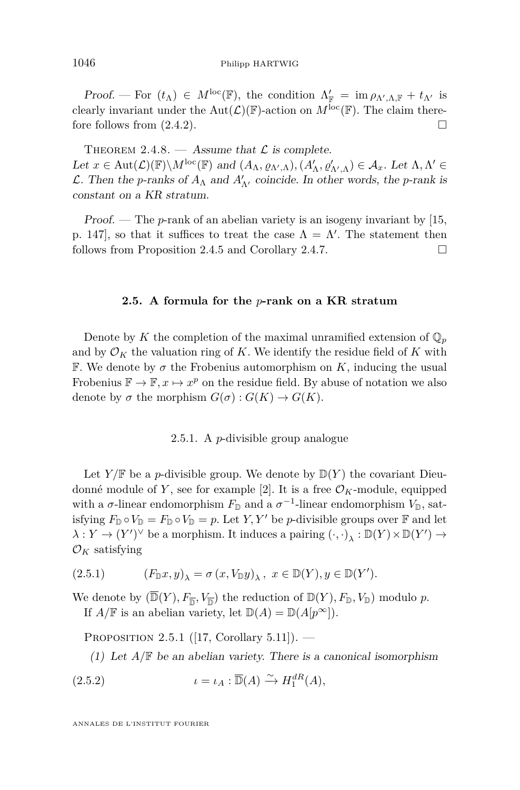<span id="page-16-0"></span>Proof. — For  $(t_\Lambda) \in M^{\text{loc}}(\mathbb{F})$ , the condition  $\Lambda'_{\mathbb{F}} = \text{im } \rho_{\Lambda',\Lambda,\mathbb{F}} + t_{\Lambda'}$  is clearly invariant under the Aut $(\mathcal{L})(\mathbb{F})$ -action on  $M^{\text{loc}}(\mathbb{F})$ . The claim therefore follows from  $(2.4.2)$ .

THEOREM 2.4.8. — Assume that  $\mathcal L$  is complete. Let  $x \in \text{Aut}(\mathcal{L})(\mathbb{F}) \backslash M^{\text{loc}}(\mathbb{F})$  and  $(A_{\Lambda}, \varrho_{\Lambda',\Lambda}), (A'_{\Lambda}, \varrho'_{\Lambda',\Lambda}) \in \mathcal{A}_x$ . Let  $\Lambda, \Lambda' \in$  $\mathcal{L}$ . Then the *p*-ranks of  $A_{\Lambda}$  and  $A'_{\Lambda'}$  coincide. In other words, the *p*-rank is constant on a KR stratum.

Proof. — The *p*-rank of an abelian variety is an isogeny invariant by [\[15,](#page-72-0) p. 147, so that it suffices to treat the case  $\Lambda = \Lambda'$ . The statement then follows from Proposition [2.4.5](#page-14-0) and Corollary [2.4.7.](#page-15-0)

#### **2.5. A formula for the** *p***-rank on a KR stratum**

Denote by *K* the completion of the maximal unramified extension of  $\mathbb{Q}_p$ and by  $\mathcal{O}_K$  the valuation ring of K. We identify the residue field of K with **F.** We denote by  $\sigma$  the Frobenius automorphism on K, inducing the usual Frobenius  $\mathbb{F} \to \mathbb{F}, x \mapsto x^p$  on the residue field. By abuse of notation we also denote by  $\sigma$  the morphism  $G(\sigma) : G(K) \to G(K)$ .

#### 2.5.1. A *p*-divisible group analogue

Let  $Y/\mathbb{F}$  be a *p*-divisible group. We denote by  $\mathbb{D}(Y)$  the covariant Dieudonné module of *Y*, see for example [\[2\]](#page-71-0). It is a free  $\mathcal{O}_K$ -module, equipped with a  $\sigma$ -linear endomorphism  $F_{\mathbb{D}}$  and a  $\sigma^{-1}$ -linear endomorphism  $V_{\mathbb{D}}$ , satisfying  $F_{\mathbb{D}} \circ V_{\mathbb{D}} = F_{\mathbb{D}} \circ V_{\mathbb{D}} = p$ . Let *Y*, *Y'* be *p*-divisible groups over  $\mathbb{F}$  and let  $\lambda: Y \to (Y')^{\vee}$  be a morphism. It induces a pairing  $( \cdot, \cdot )_{\lambda}: \mathbb{D}(Y) \times \mathbb{D}(Y') \to$  $\mathcal{O}_K$  satisfying

$$
(2.5.1) \qquad \quad \left(F_{\mathbb{D}} x,y\right)_{\lambda}=\sigma\left(x,V_{\mathbb{D}} y\right)_{\lambda},\,\,x\in \mathbb{D}(Y), y\in \mathbb{D}(Y').
$$

We denote by  $(\overline{\mathbb{D}}(Y), F_{\overline{\mathbb{D}}}, V_{\overline{\mathbb{D}}})$  the reduction of  $\mathbb{D}(Y), F_{\mathbb{D}}, V_{\mathbb{D}})$  modulo p. If  $A/\mathbb{F}$  is an abelian variety, let  $\mathbb{D}(A) = \mathbb{D}(A[p^{\infty}]).$ 

PROPOSITION 2.5.1 ([\[17,](#page-72-0) Corollary 5.11]). —

(1) Let  $A/\mathbb{F}$  be an abelian variety. There is a canonical isomorphism

(2.5.2) 
$$
\iota = \iota_A : \overline{\mathbb{D}}(A) \xrightarrow{\sim} H_1^{dR}(A),
$$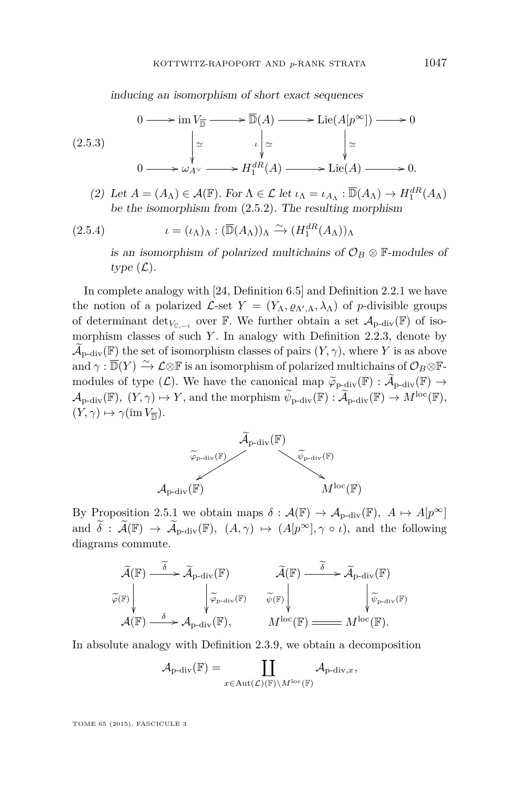inducing an isomorphism of short exact sequences

$$
(2.5.3) \qquad \begin{aligned} 0 &\longrightarrow \text{im } V_{\overline{\mathbb{D}}} \longrightarrow \overline{\mathbb{D}}(A) \longrightarrow \text{Lie}(A[p^{\infty}]) \longrightarrow 0 \\ &\downarrow \simeq \qquad \qquad \downarrow \simeq \qquad \qquad \downarrow \simeq \\ 0 &\longrightarrow \omega_{A^{\vee}} \longrightarrow H_1^{dR}(A) \longrightarrow \text{Lie}(A) \longrightarrow 0. \end{aligned}
$$

(2) Let  $A = (A_{\Lambda}) \in \mathcal{A}(\mathbb{F})$ . For  $\Lambda \in \mathcal{L}$  let  $\iota_{\Lambda} = \iota_{A_{\Lambda}} : \overline{\mathbb{D}}(A_{\Lambda}) \to H_1^{dR}(A_{\Lambda})$ be the isomorphism from [\(2.5.2\)](#page-16-0). The resulting morphism

(2.5.4) 
$$
\iota = (\iota_{\Lambda})_{\Lambda} : (\overline{\mathbb{D}}(A_{\Lambda}))_{\Lambda} \xrightarrow{\sim} (H_1^{dR}(A_{\Lambda}))_{\Lambda}
$$

is an isomorphism of polarized multichains of  $\mathcal{O}_B \otimes \mathbb{F}$ -modules of type  $(\mathcal{L})$ .

In complete analogy with [\[24,](#page-72-0) Definition 6.5] and Definition [2.2.1](#page-10-0) we have the notion of a polarized  $\mathcal{L}$ -set  $Y = (Y_{\Lambda}, \varrho_{\Lambda', \Lambda}, \lambda_{\Lambda})$  of *p*-divisible groups of determinant  $\det_{V_{\mathbb{C}, -i}}$  over  $\mathbb{F}$ . We further obtain a set  $\mathcal{A}_{p-\text{div}}(\mathbb{F})$  of isomorphism classes of such *Y*. In analogy with Definition [2.2.3,](#page-11-0) denote by  $\mathcal{A}_{\text{p-div}}(\mathbb{F})$  the set of isomorphism classes of pairs  $(Y, \gamma)$ , where *Y* is as above and  $\gamma : \overline{\mathbb{D}}(Y) \xrightarrow{\sim} \mathcal{L} \otimes \mathbb{F}$  is an isomorphism of polarized multichains of  $\mathcal{O}_B \otimes \mathbb{F}$ modules of type  $(\mathcal{L})$ . We have the canonical map  $\widetilde{\varphi}_{\text{p-div}}(\mathbb{F}) : \widetilde{\mathcal{A}}_{\text{p-div}}(\mathbb{F}) \to$  $\mathcal{A}_{\text{p-div}}(\mathbb{F})$ ,  $(Y, \gamma) \mapsto Y$ , and the morphism  $\widetilde{\psi}_{\text{p-div}}(\mathbb{F}) : \widetilde{\mathcal{A}}_{\text{p-div}}(\mathbb{F}) \to M^{\text{loc}}(\mathbb{F})$ ,  $(Y, \gamma) \mapsto \gamma(\text{im } V_{\overline{\mathbb{D}}}).$ 



By Proposition [2.5.1](#page-16-0) we obtain maps  $\delta : \mathcal{A}(\mathbb{F}) \to \mathcal{A}_{\text{p-div}}(\mathbb{F})$ ,  $A \mapsto A[p^{\infty}]$ and  $\widetilde{\delta}: \widetilde{\mathcal{A}}(\mathbb{F}) \to \widetilde{\mathcal{A}}_{p\textrm{-}\mathrm{div}}(\mathbb{F}), (A,\gamma) \mapsto (A[p^{\infty}], \gamma \circ \iota)$ , and the following diagrams commute.

$$
\widetilde{\varphi}(\mathbb{F}) \downarrow \widetilde{\varphi}(\mathbb{F}) \downarrow \widetilde{\varphi}_{p\text{-div}}(\mathbb{F}) \downarrow \widetilde{\varphi}_{p\text{-div}}(\mathbb{F}) \downarrow \widetilde{\varphi}_{p\text{-div}}(\mathbb{F}) \downarrow \widetilde{\varphi}_{p\text{-div}}(\mathbb{F}) \downarrow \widetilde{\varphi}_{p\text{-div}}(\mathbb{F}) \downarrow \widetilde{\varphi}_{p\text{-div}}(\mathbb{F})
$$
\n
$$
\mathcal{A}(\mathbb{F}) \stackrel{\delta}{\longrightarrow} \mathcal{A}_{p\text{-div}}(\mathbb{F}), \qquad M^{\text{loc}}(\mathbb{F}) \downarrow \longrightarrow M^{\text{loc}}(\mathbb{F}).
$$

In absolute analogy with Definition [2.3.9,](#page-13-0) we obtain a decomposition

$$
\mathcal{A}_{\mathrm{p}\text{-}\mathrm{div}}(\mathbb{F})=\coprod_{x\in\mathrm{Aut}(\mathcal{L})(\mathbb{F})\backslash M^{\mathrm{loc}}(\mathbb{F})}\mathcal{A}_{\mathrm{p}\text{-}\mathrm{div},x},
$$

TOME 65 (2015), FASCICULE 3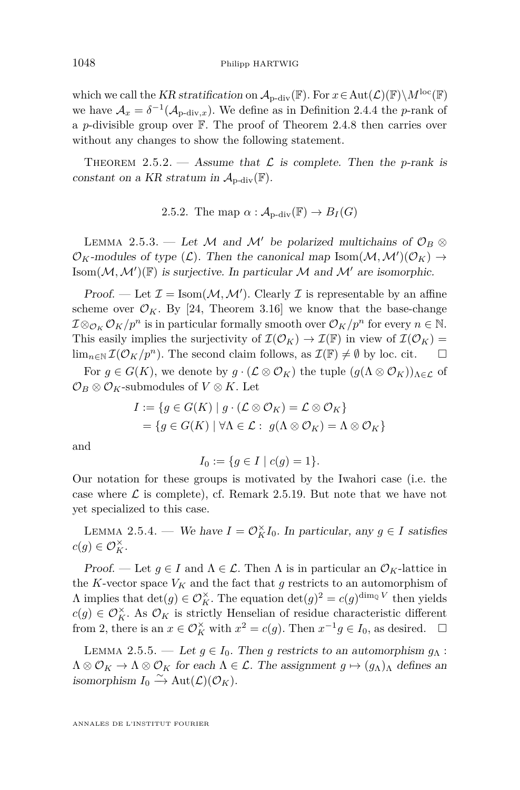<span id="page-18-0"></span>which we call the KR stratification on  $\mathcal{A}_{p-\text{div}}(\mathbb{F})$ . For  $x \in \text{Aut}(\mathcal{L})(\mathbb{F})\backslash M^{\text{loc}}(\mathbb{F})$ we have  $A_x = \delta^{-1}(A_{p\text{-div},x})$ . We define as in Definition [2.4.4](#page-14-0) the *p*-rank of a *p*-divisible group over F. The proof of Theorem [2.4.8](#page-16-0) then carries over without any changes to show the following statement.

THEOREM 2.5.2. — Assume that  $\mathcal L$  is complete. Then the *p*-rank is constant on a KR stratum in  $\mathcal{A}_{\text{p-div}}(\mathbb{F})$ .

2.5.2. The map  $\alpha$  :  $\mathcal{A}_{\text{p-div}}(\mathbb{F}) \to B_I(G)$ 

LEMMA 2.5.3. — Let M and M' be polarized multichains of  $\mathcal{O}_B$  ⊗  $\mathcal{O}_K$ -modules of type  $(\mathcal{L})$ . Then the canonical map Isom $(\mathcal{M}, \mathcal{M}')(\mathcal{O}_K) \to$ Isom $(\mathcal{M}, \mathcal{M}')(\mathbb{F})$  is surjective. In particular  $\mathcal M$  and  $\mathcal M'$  are isomorphic.

Proof. — Let  $\mathcal{I} = \text{Isom}(\mathcal{M}, \mathcal{M}')$ . Clearly  $\mathcal{I}$  is representable by an affine scheme over  $\mathcal{O}_K$ . By [\[24,](#page-72-0) Theorem 3.16] we know that the base-change  $I \otimes_{\mathcal{O}_K} \mathcal{O}_K/p^n$  is in particular formally smooth over  $\mathcal{O}_K/p^n$  for every  $n \in \mathbb{N}$ . This easily implies the surjectivity of  $\mathcal{I}(\mathcal{O}_K) \to \mathcal{I}(\mathbb{F})$  in view of  $\mathcal{I}(\mathcal{O}_K) =$ lim<sub>n∈N</sub>  $\mathcal{I}(\mathcal{O}_K/p^n)$ . The second claim follows, as  $\mathcal{I}(\mathbb{F}) \neq \emptyset$  by loc. cit. □

For  $g \in G(K)$ , we denote by  $g \cdot (\mathcal{L} \otimes \mathcal{O}_K)$  the tuple  $(g(\Lambda \otimes \mathcal{O}_K))_{\Lambda \in \mathcal{L}}$  of  $\mathcal{O}_B \otimes \mathcal{O}_K$ -submodules of  $V \otimes K$ . Let

$$
I := \{ g \in G(K) \mid g \cdot (\mathcal{L} \otimes \mathcal{O}_K) = \mathcal{L} \otimes \mathcal{O}_K \}
$$
  
=  $\{ g \in G(K) \mid \forall \Lambda \in \mathcal{L} : g(\Lambda \otimes \mathcal{O}_K) = \Lambda \otimes \mathcal{O}_K \}$ 

and

$$
I_0 := \{ g \in I \mid c(g) = 1 \}.
$$

Our notation for these groups is motivated by the Iwahori case (i.e. the case where  $\mathcal L$  is complete), cf. Remark [2.5.19.](#page-24-0) But note that we have not yet specialized to this case.

LEMMA 2.5.4. — We have  $I = \mathcal{O}_K^{\times} I_0$ . In particular, any  $g \in I$  satisfies  $c(g) \in \mathcal{O}_K^{\times}$ .

Proof. — Let  $g \in I$  and  $\Lambda \in \mathcal{L}$ . Then  $\Lambda$  is in particular an  $\mathcal{O}_K$ -lattice in the *K*-vector space  $V_K$  and the fact that *g* restricts to an automorphism of  $\Lambda$  implies that  $\det(g) \in \mathcal{O}_K^{\times}$ . The equation  $\det(g)^2 = c(g)^{\dim_{\mathbb{Q}} V}$  then yields *c*(*g*) ∈  $\mathcal{O}_K^{\times}$ . As  $\mathcal{O}_K$  is strictly Henselian of residue characteristic different from 2, there is an  $x \in \mathcal{O}_K^{\times}$  with  $x^2 = c(g)$ . Then  $x^{-1}g \in I_0$ , as desired.  $\Box$ 

LEMMA 2.5.5. — Let  $g \in I_0$ . Then g restricts to an automorphism  $g_\Lambda$ :  $\Lambda \otimes \mathcal{O}_K \to \Lambda \otimes \mathcal{O}_K$  for each  $\Lambda \in \mathcal{L}$ . The assignment  $g \mapsto (g_{\Lambda})_{\Lambda}$  defines an isomorphism  $I_0 \xrightarrow{\sim} \text{Aut}(\mathcal{L})(\mathcal{O}_K)$ .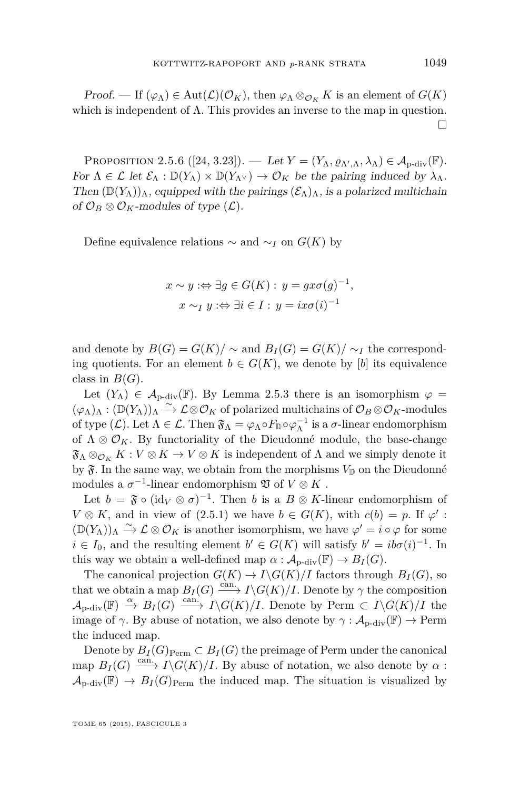Proof. — If  $(\varphi_{\Lambda}) \in \text{Aut}(\mathcal{L})(\mathcal{O}_K)$ , then  $\varphi_{\Lambda} \otimes_{\mathcal{O}_K} K$  is an element of  $G(K)$ which is independent of  $\Lambda$ . This provides an inverse to the map in question.  $\Box$ 

PROPOSITION 2.5.6 ([\[24,](#page-72-0) 3.23]). — Let  $Y = (Y_{\Lambda}, \varrho_{\Lambda', \Lambda}, \lambda_{\Lambda}) \in \mathcal{A}_{p-\text{div}}(\mathbb{F})$ . For  $\Lambda \in \mathcal{L}$  let  $\mathcal{E}_{\Lambda} : \mathbb{D}(Y_{\Lambda}) \times \mathbb{D}(Y_{\Lambda^{\vee}}) \to \mathcal{O}_K$  be the pairing induced by  $\lambda_{\Lambda}$ . Then  $(\mathbb{D}(Y_\Lambda))_\Lambda$ , equipped with the pairings  $(\mathcal{E}_\Lambda)_\Lambda$ , is a polarized multichain of  $\mathcal{O}_B \otimes \mathcal{O}_K$ -modules of type  $(\mathcal{L})$ .

Define equivalence relations  $\sim$  and  $\sim$ *I* on *G*(*K*) by

$$
x \sim y \Leftrightarrow \exists g \in G(K) : y = gx\sigma(g)^{-1},
$$
  

$$
x \sim_I y \Leftrightarrow \exists i \in I : y = ix\sigma(i)^{-1}
$$

and denote by  $B(G) = G(K)/\sim$  and  $B_I(G) = G(K)/\sim_I$  the corresponding quotients. For an element  $b \in G(K)$ , we denote by [*b*] its equivalence class in  $B(G)$ .

Let  $(Y_\Lambda) \in \mathcal{A}_{\text{p-div}}(\mathbb{F})$ . By Lemma [2.5.3](#page-18-0) there is an isomorphism  $\varphi =$  $(\varphi_\Lambda)_\Lambda : (\mathbb{D}(Y_\Lambda))_\Lambda \stackrel{\sim}{\to} \mathcal{L} \otimes \mathcal{O}_K$  of polarized multichains of  $\mathcal{O}_B \otimes \mathcal{O}_K$ -modules of type  $(L)$ . Let  $\Lambda \in \mathcal{L}$ . Then  $\mathfrak{F}_{\Lambda} = \varphi_{\Lambda} \circ F_{\mathbb{D}} \circ \varphi_{\Lambda}^{-1}$  is a  $\sigma$ -linear endomorphism of  $\Lambda \otimes \mathcal{O}_K$ . By functoriality of the Dieudonné module, the base-change  $\mathfrak{F}_{\Lambda} \otimes_{\mathcal{O}_K} K : V \otimes K \to V \otimes K$  is independent of  $\Lambda$  and we simply denote it by  $\mathfrak{F}$ . In the same way, we obtain from the morphisms  $V_{\mathbb{D}}$  on the Dieudonné modules a  $\sigma^{-1}$ -linear endomorphism  $\mathfrak V$  of  $V\otimes K$ .

Let  $b = \mathfrak{F} \circ (\text{id}_V \otimes \sigma)^{-1}$ . Then *b* is a  $B \otimes K$ -linear endomorphism of  $V \otimes K$ , and in view of [\(2.5.1\)](#page-16-0) we have  $b \in G(K)$ , with  $c(b) = p$ . If  $\varphi'$ :  $(\mathbb{D}(Y_{\Lambda}))_{\Lambda} \stackrel{\sim}{\to} \mathcal{L} \otimes \mathcal{O}_K$  is another isomorphism, we have  $\varphi' = i \circ \varphi$  for some  $i \in I_0$ , and the resulting element  $b' \in G(K)$  will satisfy  $b' = ib\sigma(i)^{-1}$ . In this way we obtain a well-defined map  $\alpha : A_{\text{p-div}}(\mathbb{F}) \to B_I(G)$ .

The canonical projection  $G(K) \to I \backslash G(K)/I$  factors through  $B_I(G)$ , so that we obtain a map  $B_I(G) \xrightarrow{\text{can.}} I \backslash G(K)/I$ . Denote by  $\gamma$  the composition  $\mathcal{A}_{\text{p-div}}(\mathbb{F}) \stackrel{\alpha}{\to} B_I(G) \stackrel{\text{can.}}{\longrightarrow} I \backslash G(K)/I$ . Denote by Perm  $\subset I \backslash G(K)/I$  the image of  $\gamma$ . By abuse of notation, we also denote by  $\gamma : \mathcal{A}_{n\text{-div}}(\mathbb{F}) \to \text{Perm}$ the induced map.

Denote by  $B_I(G)_{\text{Perm}} \subset B_I(G)$  the preimage of Perm under the canonical map  $B_I(G) \xrightarrow{\text{can.}} I \backslash G(K)/I$ . By abuse of notation, we also denote by  $\alpha$ :  $\mathcal{A}_{\text{p-div}}(\mathbb{F}) \to B_I(G)_{\text{Perm}}$  the induced map. The situation is visualized by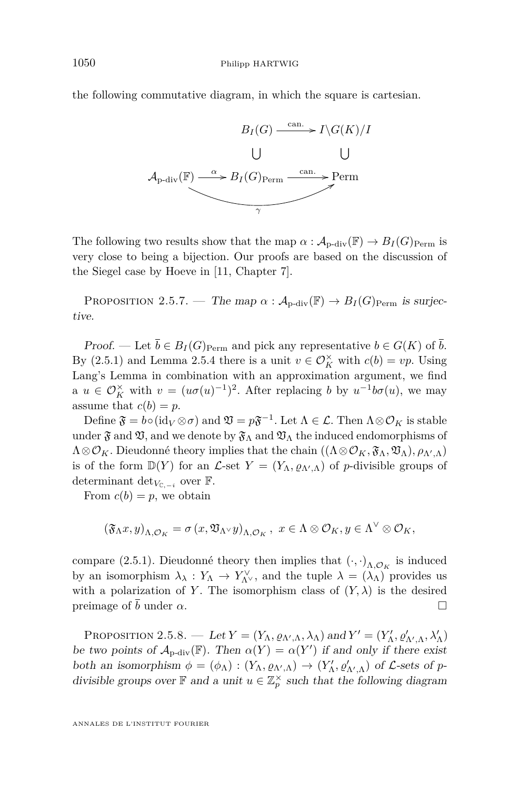<span id="page-20-0"></span>the following commutative diagram, in which the square is cartesian.



The following two results show that the map  $\alpha$  :  $\mathcal{A}_{p-\text{div}}(\mathbb{F}) \to B_I(G)_{\text{Perm}}$  is very close to being a bijection. Our proofs are based on the discussion of the Siegel case by Hoeve in [\[11,](#page-71-0) Chapter 7].

PROPOSITION 2.5.7. — The map  $\alpha$  :  $\mathcal{A}_{p\text{-div}}(\mathbb{F}) \to B_I(G)_{\text{Perm}}$  is surjective.

Proof. — Let  $\overline{b} \in B_I(G)_{\text{Perm}}$  and pick any representative  $b \in G(K)$  of  $\overline{b}$ . By [\(2.5.1\)](#page-16-0) and Lemma [2.5.4](#page-18-0) there is a unit  $v \in \mathcal{O}_K^{\times}$  with  $c(b) = vp$ . Using Lang's Lemma in combination with an approximation argument, we find a  $u \in \mathcal{O}_K^{\times}$  with  $v = (u\sigma(u)^{-1})^2$ . After replacing *b* by  $u^{-1}b\sigma(u)$ , we may assume that  $c(b) = p$ .

Define  $\mathfrak{F} = b \circ (\mathrm{id}_V \otimes \sigma)$  and  $\mathfrak{V} = p\mathfrak{F}^{-1}$ . Let  $\Lambda \in \mathcal{L}$ . Then  $\Lambda \otimes \mathcal{O}_K$  is stable under  $\mathfrak{F}$  and  $\mathfrak{V}$ , and we denote by  $\mathfrak{F}_{\Lambda}$  and  $\mathfrak{V}_{\Lambda}$  the induced endomorphisms of  $\Lambda \otimes \mathcal{O}_K$ . Dieudonné theory implies that the chain  $((\Lambda \otimes \mathcal{O}_K, \mathfrak{F}_\Lambda, \mathfrak{V}_\Lambda), \rho_{\Lambda',\Lambda})$ is of the form  $\mathbb{D}(Y)$  for an  $\mathcal{L}$ -set  $Y = (Y_{\Lambda}, \varrho_{\Lambda', \Lambda})$  of *p*-divisible groups of determinant det<sub>*V*<sub>C,−*i*</sub></sub> over  $\mathbb{F}$ .

From  $c(b) = p$ , we obtain

$$
\left(\mathfrak{F}_{\Lambda}x,y\right)_{\Lambda,\mathcal{O}_{K}}=\sigma\left(x,\mathfrak{V}_{\Lambda^{\vee}}y\right)_{\Lambda,\mathcal{O}_{K}},\,\,x\in\Lambda\otimes\mathcal{O}_{K},y\in\Lambda^{\vee}\otimes\mathcal{O}_{K},
$$

compare [\(2.5.1\)](#page-16-0). Dieudonné theory then implies that  $(\cdot, \cdot)_{\Lambda, \mathcal{O}_K}$  is induced by an isomorphism  $\lambda_{\lambda}: Y_{\Lambda} \to Y_{\Lambda}^{\vee}$ , and the tuple  $\lambda = (\lambda_{\Lambda})$  provides us with a polarization of *Y*. The isomorphism class of  $(Y, \lambda)$  is the desired preimage of  $\bar{b}$  under  $\alpha$ .

PROPOSITION 2.5.8. — Let  $Y = (Y_\Lambda, \varrho_{\Lambda',\Lambda}, \lambda_\Lambda)$  and  $Y' = (Y'_\Lambda, \varrho'_{\Lambda',\Lambda}, \lambda'_\Lambda)$ be two points of  $\mathcal{A}_{p-\text{div}}(\mathbb{F})$ . Then  $\alpha(Y) = \alpha(Y')$  if and only if there exist both an isomorphism  $\phi = (\phi_{\Lambda}) : (Y_{\Lambda}, \varrho_{\Lambda', \Lambda}) \to (Y'_{\Lambda}, \varrho'_{\Lambda', \Lambda})$  of L-sets of *p*divisible groups over  $\mathbb{F}$  and a unit  $u \in \mathbb{Z}_p^{\times}$  such that the following diagram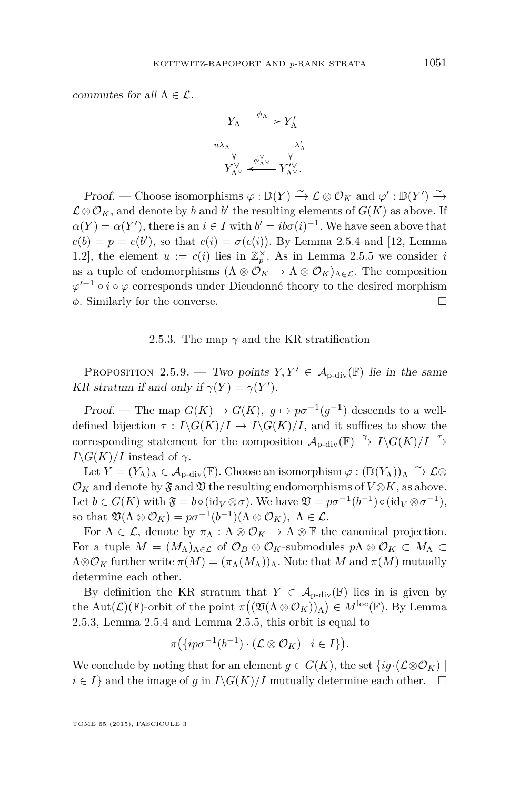<span id="page-21-0"></span>commutes for all  $\Lambda \in \mathcal{L}$ .



Proof. — Choose isomorphisms  $\varphi : \mathbb{D}(Y) \xrightarrow{\sim} \mathcal{L} \otimes \mathcal{O}_K$  and  $\varphi' : \mathbb{D}(Y') \xrightarrow{\sim}$  $\mathcal{L} \otimes \mathcal{O}_K$ , and denote by *b* and *b*' the resulting elements of  $G(K)$  as above. If  $\alpha(Y) = \alpha(Y')$ , there is an  $i \in I$  with  $b' = ib\sigma(i)^{-1}$ . We have seen above that  $c(b) = p = c(b')$ , so that  $c(i) = \sigma(c(i))$ . By Lemma [2.5.4](#page-18-0) and [\[12,](#page-71-0) Lemma 1.2], the element  $u := c(i)$  lies in  $\mathbb{Z}_p^{\times}$ . As in Lemma [2.5.5](#page-18-0) we consider *i* as a tuple of endomorphisms  $(\Lambda \otimes \mathcal{O}_K \to \Lambda \otimes \mathcal{O}_K)_{\Lambda \in \mathcal{L}}$ . The composition  $\varphi'^{-1} \circ i \circ \varphi$  corresponds under Dieudonné theory to the desired morphism *φ*. Similarly for the converse.

#### 2.5.3. The map  $\gamma$  and the KR stratification

PROPOSITION 2.5.9. — Two points  $Y, Y' \in \mathcal{A}_{p-\text{div}}(\mathbb{F})$  lie in the same KR stratum if and only if  $\gamma(Y) = \gamma(Y')$ .

Proof. — The map  $G(K) \to G(K)$ ,  $g \mapsto p\sigma^{-1}(g^{-1})$  descends to a welldefined bijection  $\tau : I \backslash G(K)/I \to I \backslash G(K)/I$ , and it suffices to show the corresponding statement for the composition  $\mathcal{A}_{p\text{-div}}(\mathbb{F}) \stackrel{\gamma}{\to} I\backslash G(K)/I \stackrel{\tau}{\to}$ *I* $\setminus$ *G*(*K*)*/I* instead of  $\gamma$ .

Let  $Y = (Y_\Lambda)_\Lambda \in \mathcal{A}_{\text{p-div}}(\mathbb{F})$ . Choose an isomorphism  $\varphi : (\mathbb{D}(Y_\Lambda))_\Lambda \xrightarrow{\sim} \mathcal{L} \otimes$  $\mathcal{O}_K$  and denote by  $\mathfrak{F}$  and  $\mathfrak{V}$  the resulting endomorphisms of  $V \otimes K$ , as above. Let  $b \in G(K)$  with  $\mathfrak{F} = b \circ (\mathrm{id}_V \otimes \sigma)$ . We have  $\mathfrak{V} = p\sigma^{-1}(b^{-1}) \circ (\mathrm{id}_V \otimes \sigma^{-1}),$ so that  $\mathfrak{V}(\Lambda \otimes \mathcal{O}_K) = p\sigma^{-1}(b^{-1})(\Lambda \otimes \mathcal{O}_K)$ ,  $\Lambda \in \mathcal{L}$ .

For  $\Lambda \in \mathcal{L}$ , denote by  $\pi_{\Lambda} : \Lambda \otimes \mathcal{O}_K \to \Lambda \otimes \mathbb{F}$  the canonical projection. For a tuple  $M = (M_\Lambda)_{\Lambda \in \mathcal{L}}$  of  $\mathcal{O}_B \otimes \mathcal{O}_K$ -submodules  $p\Lambda \otimes \mathcal{O}_K \subset M_\Lambda \subset$  $\Lambda \otimes \mathcal{O}_K$  further write  $\pi(M) = (\pi_\Lambda(M_\Lambda))_\Lambda$ . Note that M and  $\pi(M)$  mutually determine each other.

By definition the KR stratum that  $Y \in \mathcal{A}_{p-\text{div}}(\mathbb{F})$  lies in is given by the Aut $(\mathcal{L})(\mathbb{F})$ -orbit of the point  $\pi((\mathfrak{V}(\Lambda\otimes\mathcal{O}_K))_{\Lambda})\in M^{\text{loc}}(\mathbb{F})$ . By Lemma [2.5.3,](#page-18-0) Lemma [2.5.4](#page-18-0) and Lemma [2.5.5,](#page-18-0) this orbit is equal to

$$
\pi\big(\{ip\sigma^{-1}(b^{-1})\cdot(\mathcal{L}\otimes\mathcal{O}_K)\mid i\in I\}\big).
$$

We conclude by noting that for an element  $g \in G(K)$ , the set  $\{ig \cdot (\mathcal{L} \otimes \mathcal{O}_K) \mid$ *i* ∈ *I*} and the image of *g* in *I*\*G*(*K*)/*I* mutually determine each other.  $\Box$ 

TOME 65 (2015), FASCICULE 3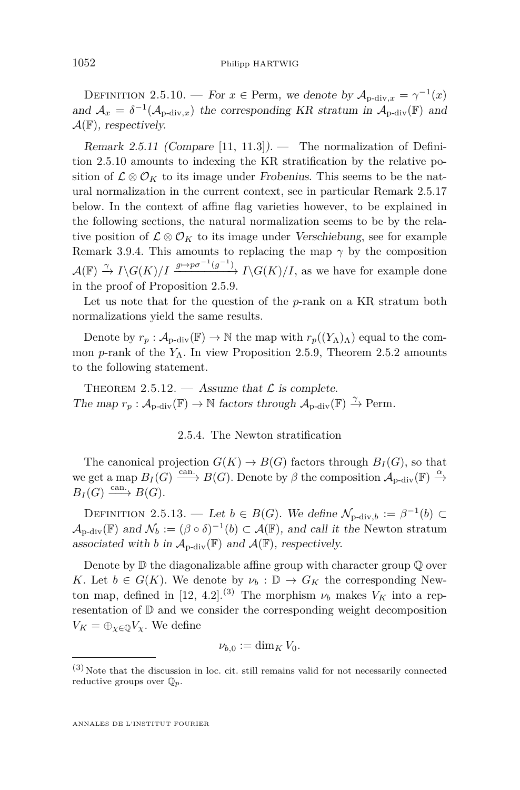<span id="page-22-0"></span>DEFINITION 2.5.10. — For  $x \in \text{Perm}$ , we denote by  $\mathcal{A}_{p\text{-div},x} = \gamma^{-1}(x)$ and  $A_x = \delta^{-1}(A_{p\text{-div},x})$  the corresponding KR stratum in  $A_{p\text{-div}}(\mathbb{F})$  and  $\mathcal{A}(\mathbb{F})$ , respectively.

Remark 2.5.11 (Compare [\[11,](#page-71-0) 11.3]). — The normalization of Definition 2.5.10 amounts to indexing the KR stratification by the relative position of  $\mathcal{L} \otimes \mathcal{O}_K$  to its image under Frobenius. This seems to be the natural normalization in the current context, see in particular Remark [2.5.17](#page-23-0) below. In the context of affine flag varieties however, to be explained in the following sections, the natural normalization seems to be by the relative position of  $\mathcal{L} \otimes \mathcal{O}_K$  to its image under Verschiebung, see for example Remark [3.9.4.](#page-38-0) This amounts to replacing the map *γ* by the composition  $\mathcal{A}(\mathbb{F}) \stackrel{\gamma}{\to} I \backslash G(K)/I \xrightarrow{g \mapsto p\sigma^{-1}(g^{-1})} I \backslash G(K)/I$ , as we have for example done in the proof of Proposition [2.5.9.](#page-21-0)

Let us note that for the question of the *p*-rank on a KR stratum both normalizations yield the same results.

Denote by  $r_p : A_{\text{p-div}}(\mathbb{F}) \to \mathbb{N}$  the map with  $r_p((Y_\Lambda)_{\Lambda})$  equal to the common *p*-rank of the  $Y_\Lambda$ . In view Proposition [2.5.9,](#page-21-0) Theorem [2.5.2](#page-18-0) amounts to the following statement.

THEOREM 2.5.12. — Assume that  $\mathcal L$  is complete. The map  $r_p : A_{p-\text{div}}(\mathbb{F}) \to \mathbb{N}$  factors through  $A_{p-\text{div}}(\mathbb{F}) \xrightarrow{\gamma} \text{Perm}$ .

#### 2.5.4. The Newton stratification

The canonical projection  $G(K) \to B(G)$  factors through  $B_I(G)$ , so that we get a map  $B_I(G) \xrightarrow{\text{can.}} B(G)$ . Denote by  $\beta$  the composition  $\mathcal{A}_{p-\text{div}}(\mathbb{F}) \xrightarrow{\alpha}$  $B_I(G) \xrightarrow{\text{can.}} B(G)$ .

DEFINITION 2.5.13. — Let  $b \in B(G)$ . We define  $\mathcal{N}_{p\text{-div},b} := \beta^{-1}(b) \subset$  $\mathcal{A}_{\text{p-div}}(\mathbb{F})$  and  $\mathcal{N}_b := (\beta \circ \delta)^{-1}(b) \subset \mathcal{A}(\mathbb{F})$ , and call it the Newton stratum associated with *b* in  $\mathcal{A}_{p\text{-div}}(\mathbb{F})$  and  $\mathcal{A}(\mathbb{F})$ , respectively.

Denote by  $\mathbb D$  the diagonalizable affine group with character group  $\mathbb Q$  over *K*. Let  $b \in G(K)$ . We denote by  $\nu_b : \mathbb{D} \to G_K$  the corresponding New-ton map, defined in [\[12,](#page-71-0) 4.2].<sup>(3)</sup> The morphism  $\nu_b$  makes  $V_K$  into a representation of D and we consider the corresponding weight decomposition  $V_K = \bigoplus_{\chi \in \mathbb{Q}} V_\chi$ . We define

$$
\nu_{b,0} := \dim_K V_0.
$$

 $(3)$  Note that the discussion in loc. cit. still remains valid for not necessarily connected reductive groups over Q*p*.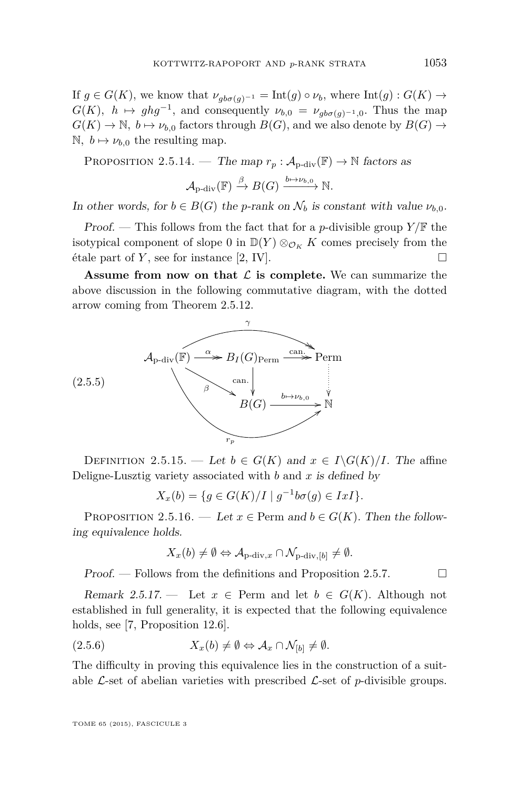<span id="page-23-0"></span>If  $g \in G(K)$ , we know that  $\nu_{ab\sigma(q)^{-1}} = \text{Int}(g) \circ \nu_b$ , where  $\text{Int}(g) : G(K) \to$  $G(K)$ ,  $h \mapsto ghg^{-1}$ , and consequently  $\nu_{b,0} = \nu_{gb\sigma(g)^{-1},0}$ . Thus the map  $G(K) \to \mathbb{N}$ ,  $b \mapsto \nu_{b,0}$  factors through  $B(G)$ , and we also denote by  $B(G) \to$  $\mathbb{N}, b \mapsto \nu_{b,0}$  the resulting map.

PROPOSITION 2.5.14. — The map  $r_p : A_{\text{p-div}}(\mathbb{F}) \to \mathbb{N}$  factors as

$$
\mathcal{A}_{\mathrm{p}\text{-}\mathrm{div}}(\mathbb{F}) \xrightarrow{\beta} B(G) \xrightarrow{b \mapsto \nu_{b,0}} \mathbb{N}.
$$

In other words, for  $b \in B(G)$  the *p*-rank on  $\mathcal{N}_b$  is constant with value  $\nu_{b,0}$ .

Proof. — This follows from the fact that for a *p*-divisible group *Y /*F the isotypical component of slope 0 in  $\mathbb{D}(Y) \otimes_{\mathcal{O}_K} K$  comes precisely from the étale part of *Y*, see for instance [\[2,](#page-71-0) IV].

**Assume from now on that**  $\mathcal{L}$  **is complete.** We can summarize the above discussion in the following commutative diagram, with the dotted arrow coming from Theorem [2.5.12.](#page-22-0)



DEFINITION 2.5.15. — Let  $b \in G(K)$  and  $x \in I \backslash G(K)/I$ . The affine Deligne-Lusztig variety associated with *b* and *x* is defined by

$$
X_x(b) = \{ g \in G(K)/I \mid g^{-1}b\sigma(g) \in IxI \}.
$$

PROPOSITION 2.5.16. — Let  $x \in \text{Perm}$  and  $b \in G(K)$ . Then the following equivalence holds.

$$
X_x(b) \neq \emptyset \Leftrightarrow \mathcal{A}_{p\text{-div},x} \cap \mathcal{N}_{p\text{-div},[b]} \neq \emptyset.
$$

Proof. — Follows from the definitions and Proposition [2.5.7.](#page-20-0)  $\Box$ 

Remark 2.5.17. — Let  $x \in \text{Perm}$  and let  $b \in G(K)$ . Although not established in full generality, it is expected that the following equivalence holds, see [\[7,](#page-71-0) Proposition 12.6].

$$
(2.5.6) \t\t X_x(b) \neq \emptyset \Leftrightarrow \mathcal{A}_x \cap \mathcal{N}_{[b]} \neq \emptyset.
$$

The difficulty in proving this equivalence lies in the construction of a suitable  $\mathcal{L}$ -set of abelian varieties with prescribed  $\mathcal{L}$ -set of *p*-divisible groups.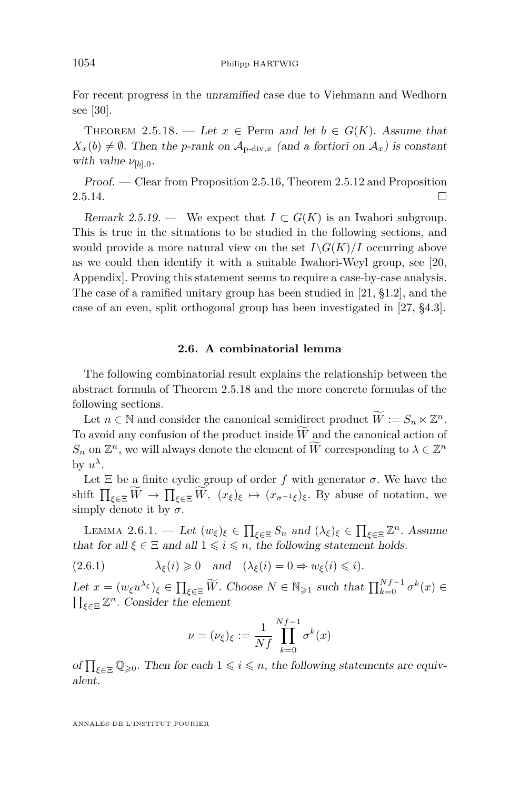<span id="page-24-0"></span>For recent progress in the unramified case due to Viehmann and Wedhorn see [\[30\]](#page-72-0).

THEOREM 2.5.18. — Let  $x \in \text{Perm}$  and let  $b \in G(K)$ . Assume that  $X_x(b) \neq \emptyset$ . Then the *p*-rank on  $\mathcal{A}_{p\text{-div},x}$  (and a fortiori on  $\mathcal{A}_x$ ) is constant with value  $\nu_{[b],0}$ .

Proof. — Clear from Proposition [2.5.16,](#page-23-0) Theorem [2.5.12](#page-22-0) and Proposition  $2.5.14.$ 

Remark 2.5.19. — We expect that  $I \subset G(K)$  is an Iwahori subgroup. This is true in the situations to be studied in the following sections, and would provide a more natural view on the set  $I\backslash G(K)/I$  occurring above as we could then identify it with a suitable Iwahori-Weyl group, see [\[20,](#page-72-0) Appendix]. Proving this statement seems to require a case-by-case analysis. The case of a ramified unitary group has been studied in [\[21,](#page-72-0) §1.2], and the case of an even, split orthogonal group has been investigated in [\[27,](#page-72-0) §4.3].

#### **2.6. A combinatorial lemma**

The following combinatorial result explains the relationship between the abstract formula of Theorem 2.5.18 and the more concrete formulas of the following sections.

Let  $n \in \mathbb{N}$  and consider the canonical semidirect product  $\widetilde{W} := S_n \ltimes \mathbb{Z}^n$ . To avoid any confusion of the product inside  $\widetilde{W}$  and the canonical action of  $S_n$  on  $\mathbb{Z}^n$ , we will always denote the element of  $\widetilde{W}$  corresponding to  $\lambda \in \mathbb{Z}^n$ by  $u^{\lambda}$ .

Let  $\Xi$  be a finite cyclic group of order *f* with generator  $\sigma$ . We have the shift  $\prod_{\xi \in \Xi} W \to \prod_{\xi \in \Xi} W$ ,  $(x_{\xi})_{\xi} \mapsto (x_{\sigma^{-1}\xi})_{\xi}$ . By abuse of notation, we simply denote it by  $\sigma$ .

LEMMA 2.6.1. — Let  $(w_{\xi})_{\xi} \in \prod_{\xi \in \Xi} S_n$  and  $(\lambda_{\xi})_{\xi} \in \prod_{\xi \in \Xi} \mathbb{Z}^n$ . Assume that for all  $\xi \in \Xi$  and all  $1 \leq i \leq n$ , the following statement holds.

(2.6.1) 
$$
\lambda_{\xi}(i) \geq 0
$$
 and  $(\lambda_{\xi}(i) = 0 \Rightarrow w_{\xi}(i) \leq i)$ .

Let  $x = (w_{\xi}u^{\lambda_{\xi}})_{\xi} \in \prod_{\xi \in \Xi} \widetilde{W}$ . Choose  $N \in \mathbb{N}_{\geqslant 1}$  such that  $\prod_{k=0}^{N} f^{-1} \sigma^k(x) \in \overline{W}$  $\prod_{\xi \in \Xi} \mathbb{Z}^n$ . Consider the element

$$
\nu = (\nu_{\xi})_{\xi} := \frac{1}{Nf} \prod_{k=0}^{Nf-1} \sigma^k(x)
$$

of  $\prod_{\xi \in \Xi} \mathbb{Q}_{\geqslant 0}$ . Then for each  $1 \leqslant i \leqslant n$ , the following statements are equivalent.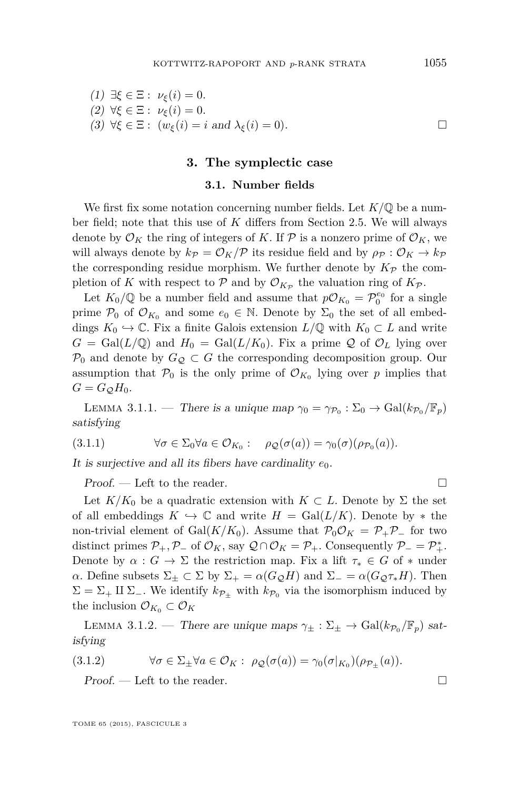<span id="page-25-0"></span>
$$
(1) \exists \xi \in \Xi : \nu_{\xi}(i) = 0.
$$
  
\n
$$
(2) \forall \xi \in \Xi : \nu_{\xi}(i) = 0.
$$
  
\n
$$
(3) \forall \xi \in \Xi : (\nu_{\xi}(i) = i \text{ and } \lambda_{\xi}(i) = 0).
$$

#### **3. The symplectic case**

#### **3.1. Number fields**

We first fix some notation concerning number fields. Let *K/*Q be a number field; note that this use of *K* differs from Section [2.5.](#page-16-0) We will always denote by  $\mathcal{O}_K$  the ring of integers of K. If P is a nonzero prime of  $\mathcal{O}_K$ , we will always denote by  $k_P = \mathcal{O}_K/\mathcal{P}$  its residue field and by  $\rho_P : \mathcal{O}_K \to k_P$ the corresponding residue morphism. We further denote by  $K_{\mathcal{P}}$  the completion of *K* with respect to  $P$  and by  $\mathcal{O}_{K_P}$  the valuation ring of  $K_P$ .

Let  $K_0/\mathbb{Q}$  be a number field and assume that  $p\mathcal{O}_{K_0} = \mathcal{P}_0^{e_0}$  for a single prime  $\mathcal{P}_0$  of  $\mathcal{O}_{K_0}$  and some  $e_0 \in \mathbb{N}$ . Denote by  $\Sigma_0$  the set of all embeddings  $K_0 \hookrightarrow \mathbb{C}$ . Fix a finite Galois extension  $L/\mathbb{Q}$  with  $K_0 \subset L$  and write  $G = \text{Gal}(L/\mathbb{Q})$  and  $H_0 = \text{Gal}(L/K_0)$ . Fix a prime Q of  $\mathcal{O}_L$  lying over  $\mathcal{P}_0$  and denote by  $G_{\mathcal{Q}} \subset G$  the corresponding decomposition group. Our assumption that  $\mathcal{P}_0$  is the only prime of  $\mathcal{O}_{K_0}$  lying over *p* implies that  $G = G_{\mathcal{Q}} H_0$ .

LEMMA 3.1.1. — There is a unique map  $\gamma_0 = \gamma_{\mathcal{P}_0} : \Sigma_0 \to \text{Gal}(k_{\mathcal{P}_0}/\mathbb{F}_p)$ satisfying

$$
(3.1.1) \qquad \forall \sigma \in \Sigma_0 \forall a \in \mathcal{O}_{K_0}: \quad \rho_{\mathcal{Q}}(\sigma(a)) = \gamma_0(\sigma)(\rho_{\mathcal{P}_0}(a)).
$$

It is surjective and all its fibers have cardinality  $e_0$ .

 $Proof.$  — Left to the reader.

Let  $K/K_0$  be a quadratic extension with  $K \subset L$ . Denote by  $\Sigma$  the set of all embeddings  $K \hookrightarrow \mathbb{C}$  and write  $H = \text{Gal}(L/K)$ . Denote by  $*$  the non-trivial element of Gal( $K/K_0$ ). Assume that  $\mathcal{P}_0\mathcal{O}_K = \mathcal{P}_+\mathcal{P}_-$  for two distinct primes  $\mathcal{P}_+$ ,  $\mathcal{P}_-$  of  $\mathcal{O}_K$ , say  $\mathcal{Q} \cap \mathcal{O}_K = \mathcal{P}_+$ . Consequently  $\mathcal{P}_- = \mathcal{P}_+^*$ . Denote by  $\alpha : G \to \Sigma$  the restriction map. Fix a lift  $\tau_* \in G$  of  $*$  under *α*. Define subsets  $\Sigma$ <sub>±</sub> ⊂  $\Sigma$  by  $\Sigma$ <sub>+</sub> = *α*(*G*<sub>Q</sub>*H*) and  $\Sigma$ <sub>−</sub> = *α*(*G*<sub>Q</sub>*T*<sub>\*</sub>*H*). Then  $\Sigma = \Sigma_+ \amalg \Sigma_-$ . We identify  $k_{\mathcal{P}_+}$  with  $k_{\mathcal{P}_0}$  via the isomorphism induced by the inclusion  $\mathcal{O}_{K_0} \subset \mathcal{O}_K$ 

LEMMA 3.1.2. — There are unique maps  $\gamma_{\pm} : \Sigma_{\pm} \to \text{Gal}(k_{\mathcal{P}_0}/\mathbb{F}_p)$  satisfying

$$
(3.1.2) \qquad \forall \sigma \in \Sigma_{\pm} \forall a \in \mathcal{O}_K : \ \rho_{\mathcal{Q}}(\sigma(a)) = \gamma_0(\sigma|_{K_0})(\rho_{\mathcal{P}_{\pm}}(a)).
$$

Proof. — Left to the reader.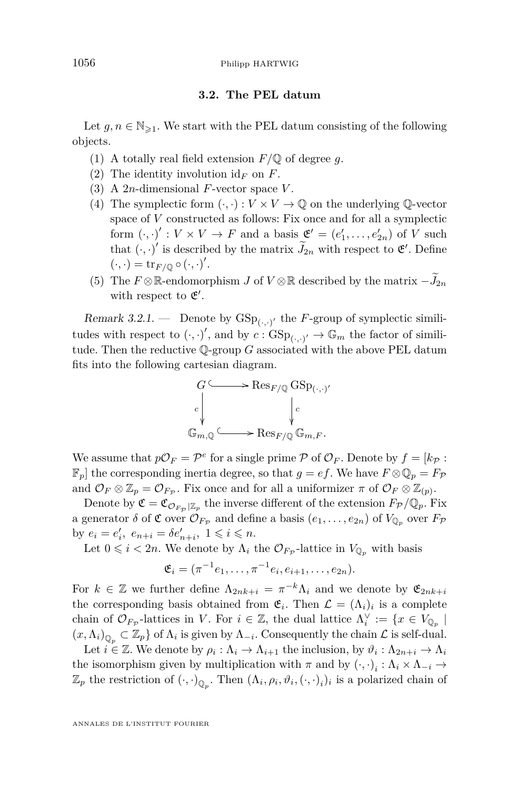#### **3.2. The PEL datum**

<span id="page-26-0"></span>Let  $g, n \in \mathbb{N}_{\geq 1}$ . We start with the PEL datum consisting of the following objects.

- (1) A totally real field extension  $F/\mathbb{Q}$  of degree g.
- (2) The identity involution  $id_F$  on  $F$ .
- (3) A 2*n*-dimensional *F*-vector space *V* .
- (4) The symplectic form  $(\cdot, \cdot): V \times V \to \mathbb{Q}$  on the underlying  $\mathbb{Q}\text{-vector}$ space of *V* constructed as follows: Fix once and for all a symplectic form  $(\cdot, \cdot)' : V \times V \to F$  and a basis  $\mathfrak{E}' = (e'_1, \ldots, e'_{2n})$  of *V* such that  $(\cdot, \cdot)'$  is described by the matrix  $\widetilde{J}_{2n}$  with respect to  $\mathfrak{E}'$ . Define  $(\cdot,\cdot) = \operatorname{tr}_{F/\mathbb{Q}} \circ (\cdot,\cdot)'$ .
- (5) The  $F \otimes \mathbb{R}$ -endomorphism *J* of  $V \otimes \mathbb{R}$  described by the matrix  $-\widetilde{J}_{2n}$ with respect to  $\mathfrak{E}'$ .

Remark 3.2.1.  $\qquad$  Denote by  $GSp_{(.,.)'}$  the *F*-group of symplectic similitudes with respect to  $(\cdot, \cdot)'$ , and by  $c : GSp_{(\cdot, \cdot)'} \to \mathbb{G}_m$  the factor of similitude. Then the reductive Q-group *G* associated with the above PEL datum fits into the following cartesian diagram.



We assume that  $p\mathcal{O}_F = \mathcal{P}^e$  for a single prime  $\mathcal P$  of  $\mathcal O_F$ . Denote by  $f = [k_{\mathcal{P}} :$  $\mathbb{F}_p$  the corresponding inertia degree, so that  $g = ef$ . We have  $F \otimes \mathbb{Q}_p = F_{\mathcal{P}}$ and  $\mathcal{O}_F \otimes \mathbb{Z}_p = \mathcal{O}_{F_{\mathcal{P}}}$ . Fix once and for all a uniformizer  $\pi$  of  $\mathcal{O}_F \otimes \mathbb{Z}_{(p)}$ .

Denote by  $\mathfrak{C} = \mathfrak{C}_{\mathcal{O}_{F_{\mathcal{P}}}|Z_p}$  the inverse different of the extension  $F_{\mathcal{P}}/\mathbb{Q}_p$ . Fix a generator  $\delta$  of  $\mathfrak{C}$  over  $\mathcal{O}_{F_{\mathcal{P}}}$  and define a basis  $(e_1, \ldots, e_{2n})$  of  $V_{\mathbb{Q}_p}$  over  $F_{\mathcal{P}}$ by  $e_i = e'_i$ ,  $e_{n+i} = \delta e'_{n+i}$ ,  $1 \leq i \leq n$ .

Let  $0 \leq i < 2n$ . We denote by  $\Lambda_i$  the  $\mathcal{O}_{F_{\mathcal{P}}}$ -lattice in  $V_{\mathbb{Q}_p}$  with basis

$$
\mathfrak{E}_i = (\pi^{-1}e_1, \dots, \pi^{-1}e_i, e_{i+1}, \dots, e_{2n}).
$$

For  $k \in \mathbb{Z}$  we further define  $\Lambda_{2nk+i} = \pi^{-k}\Lambda_i$  and we denote by  $\mathfrak{E}_{2nk+i}$ the corresponding basis obtained from  $\mathfrak{E}_i$ . Then  $\mathcal{L} = (\Lambda_i)_i$  is a complete chain of  $\mathcal{O}_{F_{\mathcal{P}}}$ -lattices in *V*. For  $i \in \mathbb{Z}$ , the dual lattice  $\Lambda_i^{\vee} := \{x \in V_{\mathbb{Q}_p} \mid$  $(x, \Lambda_i)_{\mathbb{Q}_p} \subset \mathbb{Z}_p$  of  $\Lambda_i$  is given by  $\Lambda_{-i}$ . Consequently the chain  $\mathcal L$  is self-dual.

Let  $i \in \mathbb{Z}$ . We denote by  $\rho_i : \Lambda_i \to \Lambda_{i+1}$  the inclusion, by  $\vartheta_i : \Lambda_{2n+i} \to \Lambda_i$ the isomorphism given by multiplication with  $\pi$  and by  $(\cdot, \cdot)_i : \Lambda_i \times \Lambda_{-i} \to$  $\mathbb{Z}_p$  the restriction of  $(\cdot, \cdot)_{\mathbb{Q}_p}$ . Then  $(\Lambda_i, \rho_i, \vartheta_i, (\cdot, \cdot)_i)_i$  is a polarized chain of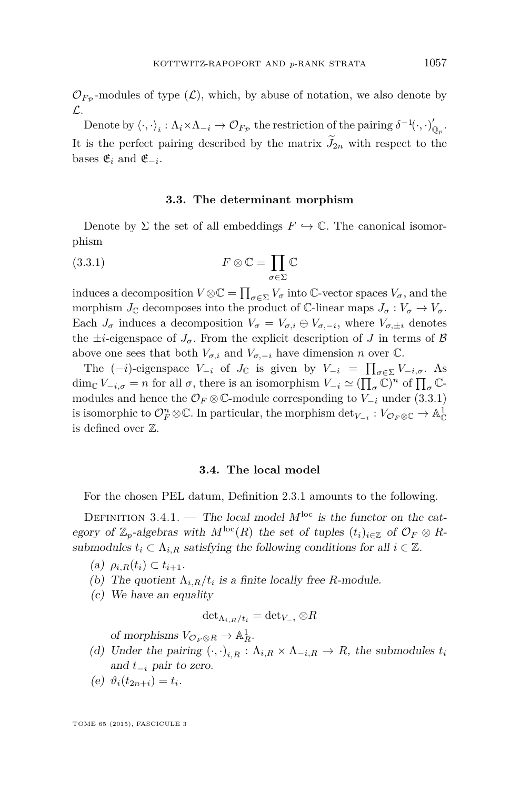$\mathcal{O}_{F_{\mathcal{P}}}$ -modules of type  $(\mathcal{L})$ , which, by abuse of notation, we also denote by L.

Denote by  $\langle \cdot, \cdot \rangle_i : \Lambda_i \times \Lambda_{-i} \to \mathcal{O}_{F_{\mathcal{P}}}$  the restriction of the pairing  $\delta^{-1}(\cdot, \cdot)_{\mathbb{Q}_p}'$ . It is the perfect pairing described by the matrix  $J_{2n}$  with respect to the bases  $\mathfrak{E}_i$  and  $\mathfrak{E}_{-i}$ .

#### **3.3. The determinant morphism**

Denote by  $\Sigma$  the set of all embeddings  $F \hookrightarrow \mathbb{C}$ . The canonical isomorphism

(3.3.1) 
$$
F \otimes \mathbb{C} = \prod_{\sigma \in \Sigma} \mathbb{C}
$$

induces a decomposition  $V \otimes \mathbb{C} = \prod_{\sigma \in \Sigma} V_{\sigma}$  into  $\mathbb{C}$ -vector spaces  $V_{\sigma}$ , and the morphism  $J_{\mathbb{C}}$  decomposes into the product of  $\mathbb{C}$ -linear maps  $J_{\sigma}: V_{\sigma} \to V_{\sigma}$ . Each  $J_{\sigma}$  induces a decomposition  $V_{\sigma} = V_{\sigma,i} \oplus V_{\sigma,-i}$ , where  $V_{\sigma,\pm i}$  denotes the  $\pm i$ -eigenspace of  $J_{\sigma}$ . From the explicit description of *J* in terms of *B* above one sees that both  $V_{\sigma,i}$  and  $V_{\sigma,-i}$  have dimension *n* over  $\mathbb{C}$ .

The  $(-i)$ -eigenspace  $V_{-i}$  of  $J_{\mathbb{C}}$  is given by  $V_{-i} = \prod_{\sigma \in \Sigma} V_{-i,\sigma}$ . As  $\dim_{\mathbb{C}} V_{-i,\sigma} = n$  for all  $\sigma$ , there is an isomorphism  $V_{-i} \simeq (\prod_{\sigma} \bar{\mathbb{C}})^n$  of  $\prod_{\sigma} \mathbb{C}$ modules and hence the  $\mathcal{O}_F \otimes \mathbb{C}$ -module corresponding to  $V_{-i}$  under (3.3.1) is isomorphic to  $\mathcal{O}_F^n \otimes \mathbb{C}$ . In particular, the morphism  $\det_{V_{-i}} : V_{\mathcal{O}_F \otimes \mathbb{C}} \to \mathbb{A}^1_{\mathbb{C}}$ is defined over Z.

#### **3.4. The local model**

For the chosen PEL datum, Definition [2.3.1](#page-11-0) amounts to the following.

DEFINITION 3.4.1. — The local model  $M^{\text{loc}}$  is the functor on the category of  $\mathbb{Z}_p$ -algebras with  $M^{\text{loc}}(R)$  the set of tuples  $(t_i)_{i\in\mathbb{Z}}$  of  $\mathcal{O}_F\otimes R$ submodules  $t_i \subset \Lambda_{i,R}$  satisfying the following conditions for all  $i \in \mathbb{Z}$ .

 $(\text{a})$   $\rho_{i,R}(t_i) \subset t_{i+1}.$ 

- (b) The quotient  $\Lambda_{i,R}/t_i$  is a finite locally free *R*-module.
- (c) We have an equality

$$
\det\nolimits_{\Lambda_{i,R}/t_i} = \det\nolimits_{V_{-i}} \otimes R
$$

of morphisms  $V_{\mathcal{O}_F \otimes R} \to \mathbb{A}^1_R$ .

- (d) Under the pairing  $(\cdot, \cdot)_{i,R} : \Lambda_{i,R} \times \Lambda_{-i,R} \to R$ , the submodules  $t_i$ and *t*<sup>−</sup>*<sup>i</sup>* pair to zero.
- (e)  $\vartheta_i(t_{2n+i}) = t_i$ .

TOME 65 (2015), FASCICULE 3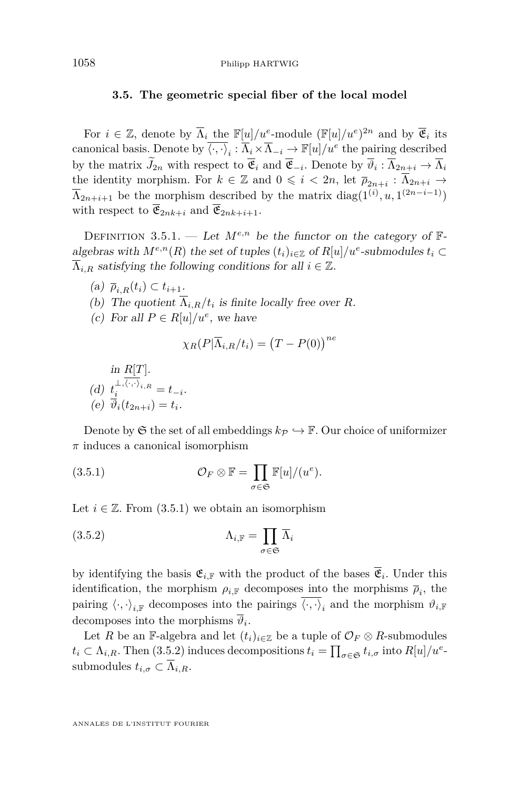#### <span id="page-28-0"></span>**3.5. The geometric special fiber of the local model**

For  $i \in \mathbb{Z}$ , denote by  $\overline{\Lambda}_i$  the  $\mathbb{F}[u]/u^e$ -module  $(\mathbb{F}[u]/u^e)^{2n}$  and by  $\overline{\mathfrak{E}}_i$  its canonical basis. Denote by  $\overline{\langle \cdot, \cdot \rangle}_i : \overline{\Lambda}_i \times \overline{\Lambda}_{-i} \to \mathbb{F}[u]/u^e$  the pairing described by the matrix  $J_{2n}$  with respect to  $\mathfrak{E}_i$  and  $\mathfrak{E}_{-i}$ . Denote by  $\vartheta_i : \Lambda_{2n+i} \to \Lambda_i$ the identity morphism. For  $k \in \mathbb{Z}$  and  $0 \leq i < 2n$ , let  $\overline{p}_{2n+i} : \overline{\Lambda}_{2n+i} \to$  $\overline{\Lambda}_{2n+i+1}$  be the morphism described by the matrix  $diag(1^{(i)}, u, 1^{(2n-i-1)})$ with respect to  $\overline{\mathfrak{E}}_{2nk+i}$  and  $\overline{\mathfrak{E}}_{2nk+i+1}$ .

DEFINITION 3.5.1. — Let  $M^{e,n}$  be the functor on the category of  $\mathbb{F}$ algebras with  $M^{e,n}(R)$  the set of tuples  $(t_i)_{i \in \mathbb{Z}}$  of  $R[u]/u^e$ -submodules  $t_i \subset$  $\overline{\Lambda}_{i,R}$  satisfying the following conditions for all  $i \in \mathbb{Z}$ .

- $(a)$   $\overline{\rho}_{i,R}(t_i) \subset t_{i+1}.$
- (b) The quotient  $\Lambda_{i,R}/t_i$  is finite locally free over *R*.
- (c) For all  $P \in R[u]/u^e$ , we have

$$
\chi_R(P|\overline{\Lambda}_{i,R}/t_i) = (T - P(0))^{ne}
$$

in 
$$
R[T]
$$
.  
\n(d)  $t_i^{\perp, \langle \cdot, \cdot \rangle_{i,R}} = t_{-i}$ .  
\n(e)  $\overline{\vartheta}_i(t_{2n+i}) = t_i$ .

Denote by  $\mathfrak S$  the set of all embeddings  $k_{\mathcal{P}} \hookrightarrow \mathbb{F}$ . Our choice of uniformizer *π* induces a canonical isomorphism

(3.5.1) 
$$
\mathcal{O}_F \otimes \mathbb{F} = \prod_{\sigma \in \mathfrak{S}} \mathbb{F}[u]/(u^e).
$$

Let  $i \in \mathbb{Z}$ . From  $(3.5.1)$  we obtain an isomorphism

(3.5.2) 
$$
\Lambda_{i,\mathbb{F}} = \prod_{\sigma \in \mathfrak{S}} \overline{\Lambda}_i
$$

by identifying the basis  $\mathfrak{E}_{i,\mathbb{F}}$  with the product of the bases  $\mathfrak{E}_i$ . Under this identification, the morphism  $\rho_{i,\mathbb{F}}$  decomposes into the morphisms  $\overline{\rho}_i$ , the pairing  $\langle \cdot, \cdot \rangle_{i,\mathbb{F}}$  decomposes into the pairings  $\langle \cdot, \cdot \rangle_i$  and the morphism  $\vartheta_{i,\mathbb{F}}$ decomposes into the morphisms  $\vartheta_i$ .

Let *R* be an F-algebra and let  $(t_i)_{i \in \mathbb{Z}}$  be a tuple of  $\mathcal{O}_F \otimes R$ -submodules  $t_i \subset \Lambda_{i,R}$ . Then (3.5.2) induces decompositions  $t_i = \prod_{\sigma \in \mathfrak{S}} t_{i,\sigma}$  into  $R[u]/u^e$ submodules  $t_{i,\sigma} \subset \overline{\Lambda}_{i,R}$ .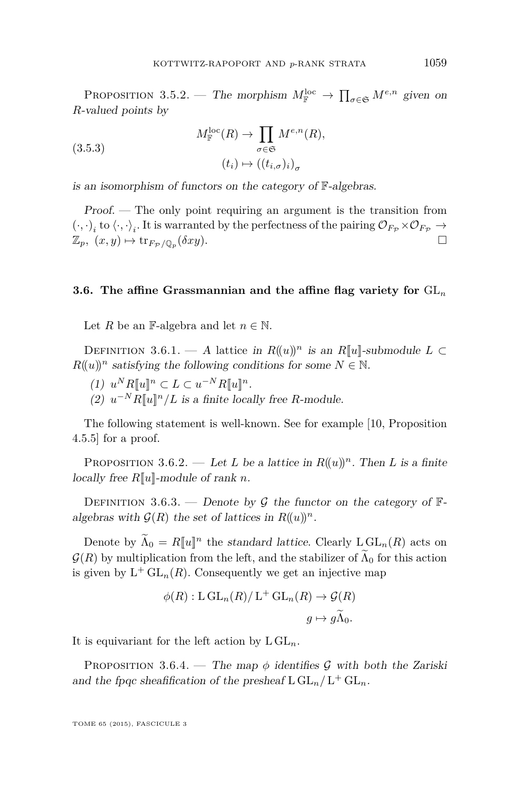<span id="page-29-0"></span>PROPOSITION 3.5.2. — The morphism  $M_{\mathbb{F}}^{\text{loc}} \to \prod_{\sigma \in \mathfrak{S}} M^{e,n}$  given on *R*-valued points by

(3.5.3) 
$$
M_{\mathbb{F}}^{\text{loc}}(R) \to \prod_{\sigma \in \mathfrak{S}} M^{e,n}(R),
$$

$$
(t_i) \mapsto ((t_{i,\sigma})_i)_{\sigma}
$$

is an isomorphism of functors on the category of F-algebras.

Proof. — The only point requiring an argument is the transition from  $(\cdot, \cdot)_i$  to  $\langle \cdot, \cdot \rangle_i$ . It is warranted by the perfectness of the pairing  $\mathcal{O}_{F_{\mathcal{P}}} \times \mathcal{O}_{F_{\mathcal{P}}} \to$  $\mathbb{Z}_p$ *,*  $(x, y) \mapsto \text{tr}_{F_P/\mathbb{Q}_p}(\delta xy)$ .

#### **3.6. The affine Grassmannian and the affine flag variety for** GL*<sup>n</sup>*

Let *R* be an F-algebra and let  $n \in \mathbb{N}$ .

DEFINITION 3.6.1. — A lattice in  $R((u))^n$  is an  $R[[u]]$ -submodule  $L \subset$  $R((u))^n$  satisfying the following conditions for some  $N \in \mathbb{N}$ .

- $(1)$   $u^N R[[u]]^n \subset L \subset u^{-N} R[[u]]^n$ .
- (2)  $u^{-N}R[[u]]^n/L$  is a finite locally free *R*-module.

The following statement is well-known. See for example [\[10,](#page-71-0) Proposition 4.5.5] for a proof.

PROPOSITION 3.6.2. — Let *L* be a lattice in  $R((u))^n$ . Then *L* is a finite locally free *R*[[*u*]]-module of rank *n*.

DEFINITION 3.6.3. — Denote by G the functor on the category of  $\mathbb{F}$ algebras with  $\mathcal{G}(R)$  the set of lattices in  $R((u))^n$ .

Denote by  $\Lambda_0 = R[\![u]\!]^n$  the standard lattice. Clearly  $\text{L}\operatorname{GL}_n(R)$  acts on  $\mathcal{G}(R)$  by multiplication from the left, and the stabilizer of  $\Lambda_0$  for this action is given by  $L^+ \mathrm{GL}_n(R)$ . Consequently we get an injective map

$$
\phi(R): \mathcal{L} \operatorname{GL}_n(R)/\mathcal{L}^+ \operatorname{GL}_n(R) \to \mathcal{G}(R)
$$

$$
g \mapsto g\widetilde{\Lambda}_0.
$$

It is equivariant for the left action by  $L GL_n$ .

PROPOSITION 3.6.4. — The map  $\phi$  identifies G with both the Zariski and the fpqc sheafification of the presheaf  $L GL_n/L^+ GL_n$ .

TOME 65 (2015), FASCICULE 3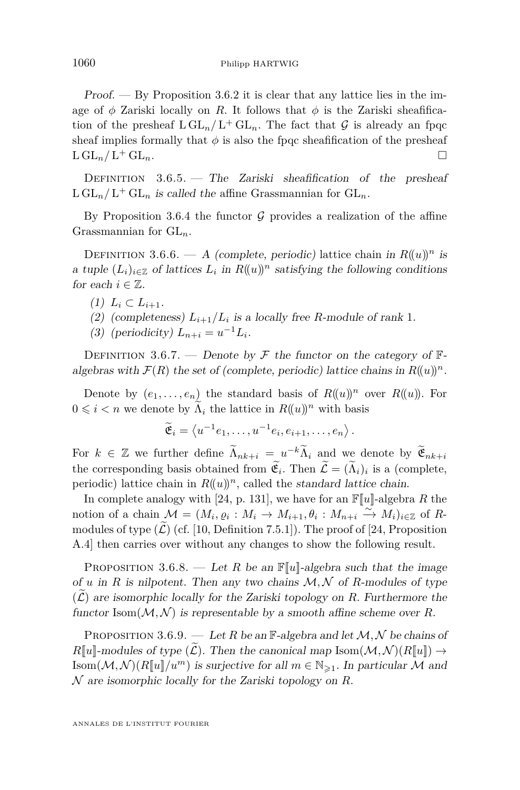Proof. — By Proposition [3.6.2](#page-29-0) it is clear that any lattice lies in the image of  $\phi$  Zariski locally on *R*. It follows that  $\phi$  is the Zariski sheafification of the presheaf  $L GL_n/L^+ GL_n$ . The fact that  $G$  is already an fpqc sheaf implies formally that  $\phi$  is also the fpqc sheafification of the presheaf  $L GL_n/L^+ GL_n$ .  $+$  GL<sub>n</sub>.

DEFINITION  $3.6.5.$  – The Zariski sheafification of the presheaf  $\text{L GL}_n/\text{L}^+ \text{GL}_n$  is called the affine Grassmannian for  $\text{GL}_n$ .

By Proposition [3.6.4](#page-29-0) the functor  $G$  provides a realization of the affine Grassmannian for GL*n*.

DEFINITION 3.6.6. — A (complete, periodic) lattice chain in  $R((u))^n$  is a tuple  $(L_i)_{i \in \mathbb{Z}}$  of lattices  $L_i$  in  $R((u))^n$  satisfying the following conditions for each  $i \in \mathbb{Z}$ .

- $(1)$   $L_i \subset L_{i+1}.$
- (2) (completeness)  $L_{i+1}/L_i$  is a locally free *R*-module of rank 1.
- (3) (periodicity)  $L_{n+i} = u^{-1}L_i$ .

DEFINITION 3.6.7. — Denote by  $\mathcal F$  the functor on the category of  $\mathbb F$ algebras with  $\mathcal{F}(R)$  the set of (complete, periodic) lattice chains in  $R((u))^n$ .

Denote by  $(e_1, \ldots, e_n)$  the standard basis of  $R((u))^n$  over  $R((u))$ . For  $0 \leq i < n$  we denote by  $\widetilde{\Lambda}_i$  the lattice in  $R((u))^n$  with basis

 $\widetilde{\mathfrak{E}}_i = \left\langle u^{-1}e_1, \ldots, u^{-1}e_i, e_{i+1}, \ldots, e_n \right\rangle.$ 

For  $k \in \mathbb{Z}$  we further define  $\widetilde{\Lambda}_{nk+i} = u^{-k} \widetilde{\Lambda}_i$  and we denote by  $\widetilde{\mathfrak{E}}_{nk+i}$ the corresponding basis obtained from  $\mathfrak{E}_i$ . Then  $\mathcal{L} = (\Lambda_i)_i$  is a (complete, periodic) lattice chain in  $R((u))^n$ , called the *standard lattice chain*.

In complete analogy with [\[24,](#page-72-0) p. 131], we have for an  $\mathbb{F}[u]$ -algebra R the notion of a chain  $\mathcal{M} = (M_i, \varrho_i : M_i \to M_{i+1}, \theta_i : M_{n+i} \stackrel{\sim}{\longrightarrow} M_i)_{i \in \mathbb{Z}}$  of Rmodules of type  $(\mathcal{L})$  (cf. [\[10,](#page-71-0) Definition 7.5.1]). The proof of [\[24,](#page-72-0) Proposition A.4] then carries over without any changes to show the following result.

PROPOSITION 3.6.8. — Let *R* be an  $\mathbb{F}[u]$ -algebra such that the image of *u* in *R* is nilpotent. Then any two chains  $M, N$  of *R*-modules of type  $(\mathcal{L})$  are isomorphic locally for the Zariski topology on *R*. Furthermore the functor  $\text{Isom}(\mathcal{M}, \mathcal{N})$  is representable by a smooth affine scheme over R.

PROPOSITION 3.6.9. — Let *R* be an  $\mathbb{F}\text{-algebra}$  and let  $\mathcal{M}, \mathcal{N}$  be chains of  $R[\![u]\!]$ -modules of type  $(L)$ . Then the canonical map Isom $(\mathcal{M}, \mathcal{N})(R[\![u]\!]) \rightarrow$ Isom $(M, \mathcal{N})(R[\![u]\!]/u^m)$  is surjective for all  $m \in \mathbb{N}_{\geq 1}$ . In particular M and N are isomorphic locally for the Zariski topology on *R*.

<span id="page-30-0"></span>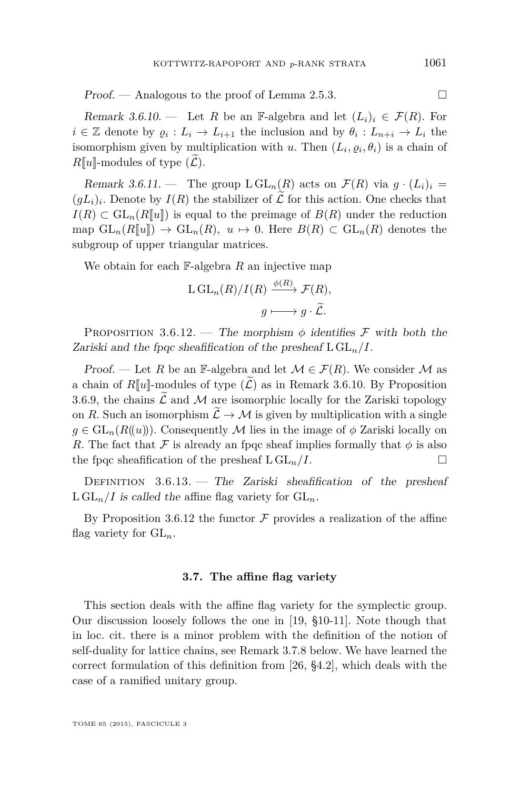<span id="page-31-0"></span> $Proof.$  — Analogous to the proof of Lemma [2.5.3.](#page-18-0)

Remark 3.6.10. — Let R be an F-algebra and let  $(L_i)_i \in \mathcal{F}(R)$ . For  $i \in \mathbb{Z}$  denote by  $\varrho_i : L_i \to L_{i+1}$  the inclusion and by  $\theta_i : L_{n+i} \to L_i$  the isomorphism given by multiplication with *u*. Then  $(L_i, \varrho_i, \theta_i)$  is a chain of  $R[\![u]\!]$ -modules of type  $(L)$ .

Remark 3.6.11. — The group  $\text{L} GL_n(R)$  acts on  $\mathcal{F}(R)$  via  $g \cdot (L_i)_i =$  $(gL_i)_i$ . Denote by  $I(R)$  the stabilizer of  $\mathcal L$  for this action. One checks that  $I(R) \subset GL_n(R[[u]])$  is equal to the preimage of  $B(R)$  under the reduction map  $GL_n(R[\![u]\!]) \to GL_n(R), u \mapsto 0$ . Here  $B(R) \subset GL_n(R)$  denotes the subgroup of upper triangular matrices.

We obtain for each F-algebra *R* an injective map

$$
L GL_n(R)/I(R) \xrightarrow{\phi(R)} \mathcal{F}(R),
$$

$$
g \longmapsto g \cdot \widetilde{\mathcal{L}}.
$$

PROPOSITION 3.6.12. — The morphism  $\phi$  identifies F with both the Zariski and the fpqc sheafification of the presheaf  $\text{L GL}_n/I$ .

Proof. — Let *R* be an F-algebra and let  $\mathcal{M} \in \mathcal{F}(R)$ . We consider  $\mathcal M$  as a chain of  $R[[u]]$ -modules of type  $(\widetilde{\mathcal{L}})$  as in Remark 3.6.10. By Proposition [3.6.9,](#page-30-0) the chains  $\mathcal L$  and  $\mathcal M$  are isomorphic locally for the Zariski topology on *R*. Such an isomorphism  $\widetilde{\mathcal{L}} \to \mathcal{M}$  is given by multiplication with a single  $g \in GL_n(R(\lbrace u \rbrace))$ . Consequently M lies in the image of  $\phi$  Zariski locally on *R*. The fact that F is already an fpqc sheaf implies formally that  $\phi$  is also the fpqc sheafification of the presheaf  $L GL_n/I$ .

DEFINITION  $3.6.13.$  – The Zariski sheafification of the presheaf  $L GL_n/I$  is called the affine flag variety for  $GL_n$ .

By Proposition 3.6.12 the functor  $\mathcal F$  provides a realization of the affine flag variety for GL*n*.

#### **3.7. The affine flag variety**

This section deals with the affine flag variety for the symplectic group. Our discussion loosely follows the one in [\[19,](#page-72-0) §10-11]. Note though that in loc. cit. there is a minor problem with the definition of the notion of self-duality for lattice chains, see Remark [3.7.8](#page-34-0) below. We have learned the correct formulation of this definition from [\[26,](#page-72-0) §4.2], which deals with the case of a ramified unitary group.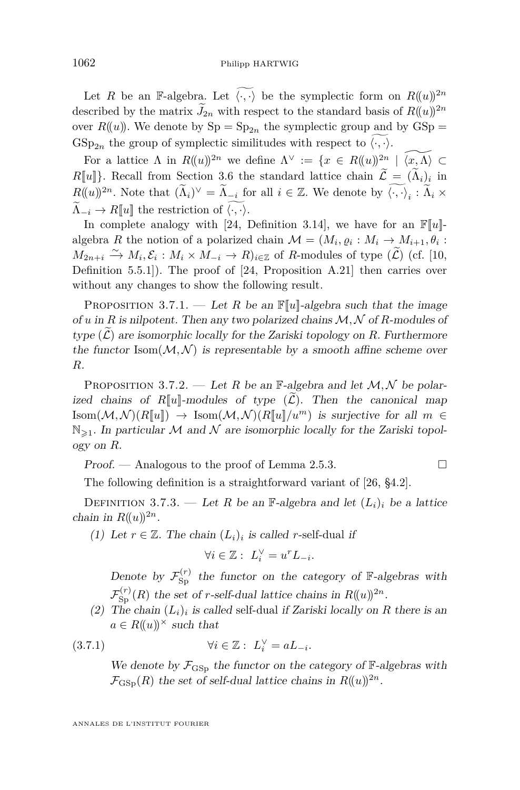<span id="page-32-0"></span>Let *R* be an F-algebra. Let  $\widetilde{\langle \cdot, \cdot \rangle}$  be the symplectic form on  $R(\lbrace u \rbrace)^{2n}$ described by the matrix  $\widetilde{J}_{2n}$  with respect to the standard basis of  $R((u))^{2n}$ over  $R(u)$ . We denote by  $Sp = Sp_{2n}$  the symplectic group and by  $GSp =$  $GSp_{2n}$  the group of symplectic similitudes with respect to  $\langle \cdot, \cdot \rangle$ .

For a lattice  $\Lambda$  in  $R((u))^{2n}$  we define  $\Lambda^{\vee} := \{x \in R((u))^{2n} \mid \widetilde{\langle x, \Lambda \rangle} \subset$  $R[\![u]\!]$ . Recall from Section [3.6](#page-29-0) the standard lattice chain  $\mathcal{L} = (\Lambda_i)_i$  in  $R((u))^{2n}$ . Note that  $(\tilde{\Lambda}_i)^{\vee} = \tilde{\Lambda}_{-i}$  for all  $i \in \mathbb{Z}$ . We denote by  $\langle \cdot, \cdot \rangle_i : \tilde{\Lambda}_i \times$  $\widetilde{\Lambda}_{-i} \to R[\![u]\!]$  the restriction of  $\langle \cdot, \cdot \rangle$ .

In complete analogy with [\[24,](#page-72-0) Definition 3.14], we have for an  $\mathbb{F}[u]$ algebra *R* the notion of a polarized chain  $\mathcal{M} = (M_i, \varrho_i : M_i \to M_{i+1}, \theta_i :$  $M_{2n+i}$ <sup>2</sup> →  $M_i$ ,  $\mathcal{E}_i$  :  $M_i \times M_{-i}$  →  $R$ )<sub>*i*∈Z</sub> of *R*-modules of type  $(\widetilde{\mathcal{L}})$  (cf. [\[10,](#page-71-0) Definition 5.5.1]). The proof of [\[24,](#page-72-0) Proposition A.21] then carries over without any changes to show the following result.

PROPOSITION 3.7.1. — Let *R* be an  $\mathbb{F}[u]$ -algebra such that the image of *u* in *R* is nilpotent. Then any two polarized chains  $M, N$  of *R*-modules of type  $(\tilde{\mathcal{L}})$  are isomorphic locally for the Zariski topology on R. Furthermore the functor  $\text{Isom}(\mathcal{M}, \mathcal{N})$  is representable by a smooth affine scheme over *R*.

PROPOSITION 3.7.2. — Let R be an  $\mathbb{F}\text{-algebra}$  and let  $\mathcal{M}, \mathcal{N}$  be polarized chains of  $R[[u]]$ -modules of type  $(\widetilde{\mathcal{L}})$ . Then the canonical map Isom $(M,N)(R[\![u]\!]) \to \text{Isom}(M,N)(R[\![u]\!]/u^m)$  is surjective for all  $m \in$  $\mathbb{N}_{\geq 1}$ . In particular M and N are isomorphic locally for the Zariski topology on *R*.

Proof. — Analogous to the proof of Lemma [2.5.3.](#page-18-0)

The following definition is a straightforward variant of [\[26,](#page-72-0) §4.2].

DEFINITION 3.7.3. — Let *R* be an F-algebra and let  $(L_i)_i$  be a lattice chain in  $R((u))^{2n}$ .

(1) Let  $r \in \mathbb{Z}$ . The chain  $(L_i)_i$  is called *r*-self-dual if

$$
\forall i \in \mathbb{Z}: L_i^{\vee} = u^r L_{-i}.
$$

Denote by  $\mathcal{F}_{\text{Sp}}^{(r)}$  the functor on the category of  $\mathbb{F}\text{-algebras with}$  $\mathcal{F}_{\text{Sp}}^{(r)}(R)$  the set of *r*-self-dual lattice chains in  $R((u))^{2n}$ .

(2) The chain  $(L_i)_i$  is called self-dual if Zariski locally on R there is an  $a \in R((u))^\times$  such that

$$
(3.7.1) \t\t\t \forall i \in \mathbb{Z}: L_i^{\vee} = aL_{-i}.
$$

We denote by  $\mathcal{F}_{\text{GSp}}$  the functor on the category of  $\mathbb{F}_{\text{e}}$ -algebras with  $\mathcal{F}_{\text{GSp}}(R)$  the set of self-dual lattice chains in  $R((u))^{2n}$ .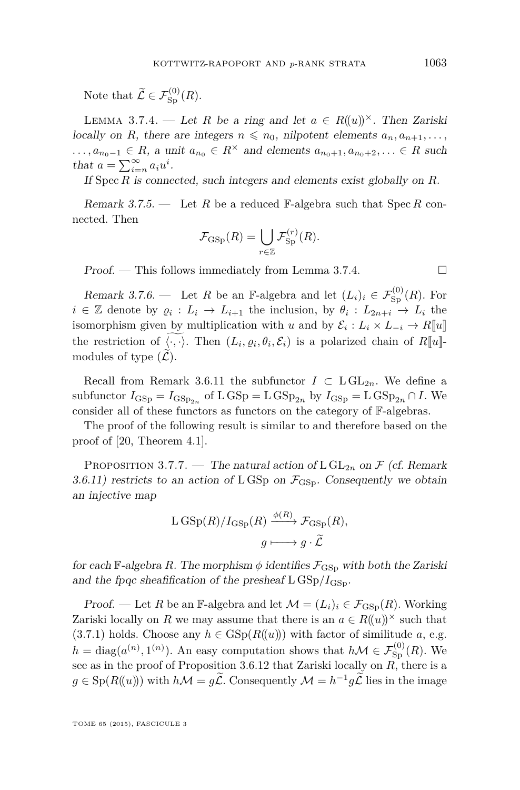<span id="page-33-0"></span>Note that  $\widetilde{\mathcal{L}} \in \mathcal{F}_{\text{Sp}}^{(0)}(R)$ .

LEMMA 3.7.4. — Let *R* be a ring and let  $a \in R((u))^\times$ . Then Zariski locally on *R*, there are integers  $n \leq n_0$ , nilpotent elements  $a_n, a_{n+1}, \ldots$ ,  $\ldots, a_{n_0-1} \in R$ , a unit  $a_{n_0} \in R^\times$  and elements  $a_{n_0+1}, a_{n_0+2}, \ldots \in R$  such that  $a = \sum_{i=n}^{\infty} a_i u^i$ .

If Spec *R* is connected, such integers and elements exist globally on *R*.

Remark 3.7.5. — Let *R* be a reduced F-algebra such that Spec *R* connected. Then

$$
\mathcal{F}_{\mathrm{GSp}}(R) = \bigcup_{r \in \mathbb{Z}} \mathcal{F}_{\mathrm{Sp}}^{(r)}(R).
$$

 $Proof.$  — This follows immediately from Lemma 3.7.4.

Remark 3.7.6. — Let *R* be an F-algebra and let  $(L_i)_i \in \mathcal{F}^{(0)}_{\text{Sp}}(R)$ . For  $i \in \mathbb{Z}$  denote by  $\varrho_i : L_i \to L_{i+1}$  the inclusion, by  $\theta_i : L_{2n+i} \to L_i$  the isomorphism given by multiplication with *u* and by  $\mathcal{E}_i: L_i \times L_{-i} \to R[\![u]\!]$ the restriction of  $\langle \cdot, \cdot \rangle$ . Then  $(L_i, \varrho_i, \theta_i, \mathcal{E}_i)$  is a polarized chain of  $R[\![u]\!]$ modules of type  $(\mathcal{L})$ .

Recall from Remark [3.6.11](#page-31-0) the subfunctor  $I \subset LGL_{2n}$ . We define a subfunctor  $I_{\text{GSp}} = I_{\text{GSp}_{2n}}$  of  $L \text{GSp} = L \text{GSp}_{2n}$  by  $I_{\text{GSp}} = L \text{GSp}_{2n} \cap I$ . We consider all of these functors as functors on the category of F-algebras.

The proof of the following result is similar to and therefore based on the proof of [\[20,](#page-72-0) Theorem 4.1].

PROPOSITION 3.7.7. — The natural action of  $L GL_{2n}$  on  $\mathcal F$  (cf. Remark [3.6.11\)](#page-31-0) restricts to an action of LGSp on  $\mathcal{F}_{\text{GSp}}$ . Consequently we obtain an injective map

$$
\begin{aligned} \mathcal{L} \, \text{GSp}(R)/I_{\text{GSp}}(R) & \xrightarrow{\phi(R)} \mathcal{F}_{\text{GSp}}(R), \\ g & \longmapsto g \cdot \widetilde{\mathcal{L}} \end{aligned}
$$

for each F-algebra *R*. The morphism  $\phi$  identifies  $\mathcal{F}_{\text{GSp}}$  with both the Zariski and the fpqc sheafification of the presheaf  $\text{L}$  GSp/ $I_{\text{GSD}}$ .

Proof. — Let *R* be an F-algebra and let  $\mathcal{M} = (L_i)_i \in \mathcal{F}_{\text{GSp}}(R)$ . Working Zariski locally on *R* we may assume that there is an  $a \in R((u))^{\times}$  such that [\(3.7.1\)](#page-32-0) holds. Choose any  $h \in \text{GSp}(R(u))$  with factor of similitude *a*, e.g.  $h = \text{diag}(a^{(n)}, 1^{(n)})$ . An easy computation shows that  $h\mathcal{M} \in \mathcal{F}^{(0)}_{\text{Sp}}(R)$ . We see as in the proof of Proposition [3.6.12](#page-31-0) that Zariski locally on *R*, there is a  $g \in \mathrm{Sp}(R(\!(u)\!))$  with  $h\mathcal{M} = g\tilde{\mathcal{L}}$ . Consequently  $\mathcal{M} = h^{-1}g\tilde{\mathcal{L}}$  lies in the image

TOME 65 (2015), FASCICULE 3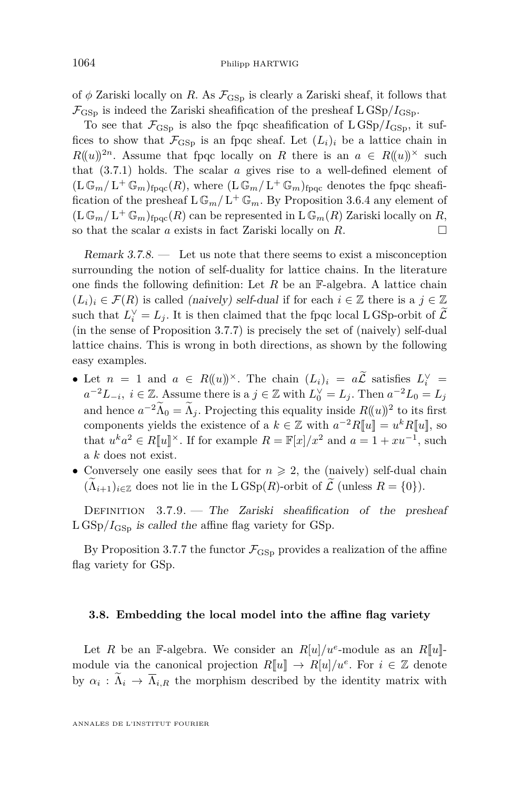<span id="page-34-0"></span>of  $\phi$  Zariski locally on *R*. As  $\mathcal{F}_{\text{GSp}}$  is clearly a Zariski sheaf, it follows that  $\mathcal{F}_{\text{GSD}}$  is indeed the Zariski sheafification of the presheaf  $\text{L}$  GSp/ $I_{\text{GSD}}$ .

To see that  $\mathcal{F}_{\text{GSp}}$  is also the fpqc sheafification of  $\text{L GSp}/I_{\text{GSp}}$ , it suffices to show that  $\mathcal{F}_{\text{GSD}}$  is an fpqc sheaf. Let  $(L_i)_i$  be a lattice chain in  $R((u))^{2n}$ . Assume that fpqc locally on *R* there is an  $a \in R((u))^\times$  such that [\(3.7.1\)](#page-32-0) holds. The scalar *a* gives rise to a well-defined element of  $(\mathbf{L} \mathbb{G}_m / \mathbf{L}^+ \mathbb{G}_m)_{\text{fpqc}}(R)$ , where  $(\mathbf{L} \mathbb{G}_m / \mathbf{L}^+ \mathbb{G}_m)_{\text{fpqc}}$  denotes the fpqc sheafification of the presheaf  $L \mathbb{G}_m / L^+ \mathbb{G}_m$ . By Proposition [3.6.4](#page-29-0) any element of  $(\mathbf{L} \mathbb{G}_m / \mathbf{L}^+ \mathbb{G}_m)_{\text{fpqc}}(R)$  can be represented in  $\mathbf{L} \mathbb{G}_m(R)$  Zariski locally on  $R$ , so that the scalar *a* exists in fact Zariski locally on  $R$ .

Remark 3.7.8. — Let us note that there seems to exist a misconception surrounding the notion of self-duality for lattice chains. In the literature one finds the following definition: Let  $R$  be an  $\mathbb{F}-$ -algebra. A lattice chain  $(L_i)_i \in \mathcal{F}(R)$  is called (naively) self-dual if for each  $i \in \mathbb{Z}$  there is a  $j \in \mathbb{Z}$ such that  $L_i^{\vee} = L_j$ . It is then claimed that the fpqc local L GSp-orbit of  $\mathcal{L}$ (in the sense of Proposition [3.7.7\)](#page-33-0) is precisely the set of (naively) self-dual lattice chains. This is wrong in both directions, as shown by the following easy examples.

- Let  $n = 1$  and  $a \in R((u))^{\times}$ . The chain  $(L_i)_i = a\mathcal{L}$  satisfies  $L_i^{\vee} =$ *a*<sup>-2</sup>*L*<sub>−*i*</sub>, *i* ∈  $\mathbb{Z}$ . Assume there is a *j* ∈  $\mathbb{Z}$  with  $L_0^{\vee} = L_j$ . Then  $a^{-2}L_0 = L_j$ and hence  $a^{-2}\Lambda_0 = \Lambda_j$ . Projecting this equality inside  $R((u))^2$  to its first components yields the existence of a  $k \in \mathbb{Z}$  with  $a^{-2}R[[u]] = u^kR[[u]]$ , so that  $u^k a^2 \in R[[u]]^{\times}$ . If for example  $R = \mathbb{F}[x]/x^2$  and  $a = 1 + xu^{-1}$ , such a *k* does not exist.
- Conversely one easily sees that for  $n \geq 2$ , the (naively) self-dual chain  $(\Lambda_{i+1})_{i\in\mathbb{Z}}$  does not lie in the L  $GSp(R)$ -orbit of  $\mathcal L$  (unless  $R = \{0\}$ ).

DEFINITION  $3.7.9.$  - The Zariski sheafification of the presheaf  $L \text{ GSp}/I_{\text{GSp}}$  is called the affine flag variety for GSp.

By Proposition [3.7.7](#page-33-0) the functor  $\mathcal{F}_{\text{GSp}}$  provides a realization of the affine flag variety for GSp.

#### **3.8. Embedding the local model into the affine flag variety**

Let *R* be an F-algebra. We consider an  $R[u]/u^e$ -module as an  $R[u]$ module via the canonical projection  $R[\![u]\!] \to R[u]/u^e$ . For  $i \in \mathbb{Z}$  denote by  $\alpha_i : \Lambda_i \to \Lambda_{i,R}$  the morphism described by the identity matrix with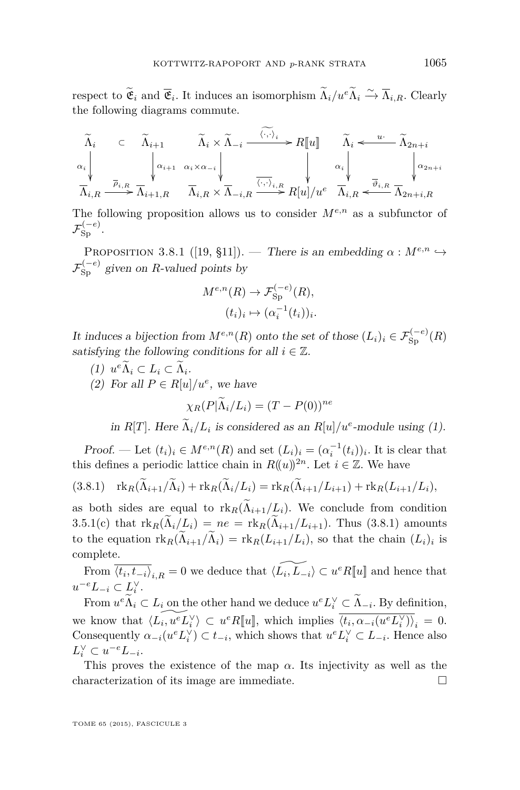respect to  $\widetilde{\mathfrak{E}}_i$  and  $\overline{\mathfrak{E}}_i$ . It induces an isomorphism  $\widetilde{\Lambda}_i/u^e \widetilde{\Lambda}_i \xrightarrow{\sim} \overline{\Lambda}_{i,R}$ . Clearly the following diagrams commute.

$$
\widetilde{\Lambda}_{i} \subset \widetilde{\Lambda}_{i+1} \widetilde{\Lambda}_{i} \times \widetilde{\Lambda}_{-i} \xrightarrow{\langle \cdot, \cdot \rangle_{i}} R[\![u]\!] \widetilde{\Lambda}_{i} \leftarrow \widetilde{\Lambda}_{2n+i}
$$
\n
$$
\alpha_{i} \downarrow \qquad \downarrow \qquad \downarrow \qquad \downarrow \qquad \downarrow \qquad \downarrow \qquad \downarrow \qquad \downarrow \qquad \downarrow \qquad \downarrow \qquad \downarrow \qquad \downarrow \qquad \downarrow \qquad \downarrow \qquad \downarrow \qquad \downarrow \qquad \downarrow \qquad \downarrow \qquad \downarrow \qquad \downarrow \qquad \downarrow \qquad \downarrow \qquad \downarrow \qquad \downarrow \qquad \downarrow \qquad \downarrow \qquad \downarrow \qquad \downarrow \qquad \downarrow \qquad \downarrow \qquad \downarrow \qquad \downarrow \qquad \downarrow \qquad \downarrow \qquad \downarrow \qquad \downarrow \qquad \downarrow \qquad \downarrow \qquad \downarrow \qquad \downarrow \qquad \downarrow \qquad \downarrow \qquad \downarrow \qquad \downarrow \qquad \downarrow \qquad \downarrow \qquad \downarrow \qquad \downarrow \qquad \downarrow \qquad \downarrow \qquad \downarrow \qquad \downarrow \qquad \downarrow \qquad \downarrow \qquad \downarrow \qquad \downarrow \qquad \downarrow \qquad \downarrow \qquad \downarrow \qquad \downarrow \qquad \downarrow \qquad \downarrow \qquad \downarrow \qquad \downarrow \qquad \downarrow \qquad \downarrow \qquad \downarrow \qquad \downarrow \qquad \downarrow \qquad \downarrow \qquad \downarrow \qquad \downarrow \qquad \downarrow \qquad \downarrow \qquad \downarrow \qquad \downarrow \qquad \downarrow \qquad \downarrow \qquad \downarrow \qquad \downarrow \qquad \downarrow \qquad \downarrow \qquad \downarrow \qquad \downarrow \qquad \downarrow \qquad \downarrow \qquad \downarrow \qquad \downarrow \qquad \downarrow \qquad \downarrow \qquad \downarrow \qquad \downarrow \qquad \downarrow \qquad \downarrow \qquad \downarrow \qquad \downarrow \qquad \downarrow \qquad \downarrow \qquad \downarrow \qquad \downarrow \qquad \downarrow \qquad \downarrow \qquad \downarrow \qquad \downarrow \qquad \downarrow \qquad \downarrow \qquad \downarrow \qquad \downarrow \qquad \downarrow \qquad \downarrow \qquad
$$

The following proposition allows us to consider  $M^{e,n}$  as a subfunctor of  $\mathcal{F}_{\text{Sp}}^{(-e)}.$ 

PROPOSITION 3.8.1 ([\[19,](#page-72-0) §11]). — There is an embedding  $\alpha : M^{e,n} \hookrightarrow$  $\mathcal{F}_{Sp}^{(-e)}$  given on *R*-valued points by

$$
M^{e,n}(R) \to \mathcal{F}_{\text{Sp}}^{(-e)}(R),
$$

$$
(t_i)_i \mapsto (\alpha_i^{-1}(t_i))_i.
$$

It induces a bijection from  $M^{e,n}(R)$  onto the set of those  $(L_i)_i \in \mathcal{F}_{\text{Sp}}^{(-e)}(R)$ satisfying the following conditions for all  $i \in \mathbb{Z}$ .

- (1)  $u^e \Lambda_i$  ⊂ *L*<sub>*i*</sub> ⊂ Λ<sub>*i*</sub>.
- (2) For all  $P \in R[u]/u^e$ , we have

$$
\chi_R(P|\widetilde{\Lambda}_i/L_i) = (T - P(0))^{ne}
$$

in *R*[*T*]. Here  $\Lambda_i/L_i$  is considered as an *R*[*u*]/*u<sup>e</sup>*-module using (1).

Proof. — Let  $(t_i)_i \in M^{e,n}(R)$  and set  $(L_i)_i = (\alpha_i^{-1}(t_i))_i$ . It is clear that this defines a periodic lattice chain in  $R((u))^{2n}$ . Let  $i \in \mathbb{Z}$ . We have

$$
(3.8.1) \quad \operatorname{rk}_R(\widetilde{\Lambda}_{i+1}/\widetilde{\Lambda}_i) + \operatorname{rk}_R(\widetilde{\Lambda}_i/L_i) = \operatorname{rk}_R(\widetilde{\Lambda}_{i+1}/L_{i+1}) + \operatorname{rk}_R(L_{i+1}/L_i),
$$

as both sides are equal to  $\text{rk}_R(\Lambda_{i+1}/L_i)$ . We conclude from condition [3.5.1\(c\)](#page-28-0) that  $\text{rk}_R(\Lambda_i/L_i) = ne = \text{rk}_R(\Lambda_{i+1}/L_{i+1})$ . Thus (3.8.1) amounts to the equation  $\text{rk}_R(\Lambda_{i+1}/\Lambda_i) = \text{rk}_R(L_{i+1}/L_i)$ , so that the chain  $(L_i)_i$  is complete.

From  $\overline{\langle t_i, t_{-i} \rangle}_{i,R} = 0$  we deduce that  $\langle \widetilde{L_i, L_{-i}} \rangle \subset u^e R[[u]]$  and hence that  $u^{-e}L_{-i} \subset L_i^{\vee}$ .

From  $u^e \Lambda_i \subset L_i$  on the other hand we deduce  $u^e L_i^{\vee} \subset \Lambda_{-i}$ . By definition, we know that  $\langle \widetilde{L_i, u^e L_i^{\vee}} \rangle \subset u^e R[[u]]$ , which implies  $\overline{\langle t_i, \alpha_{-i}(u^e L_i^{\vee}) \rangle}_i = 0$ . Consequently  $\alpha_{-i}(u^e L_i^{\vee}) \subset t_{-i}$ , which shows that  $u^e L_i^{\vee} \subset L_{-i}$ . Hence also  $L_i^{\vee} \subset u^{-e}L_{-i}.$ 

This proves the existence of the map  $\alpha$ . Its injectivity as well as the characterization of its image are immediate.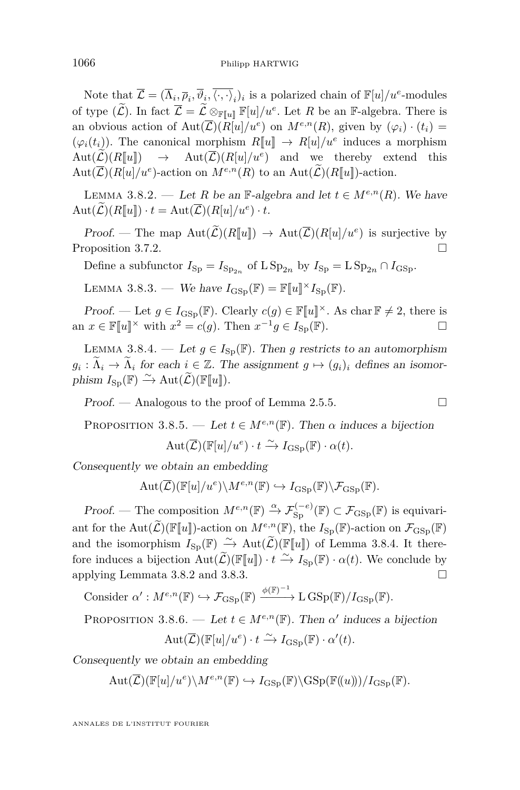<span id="page-36-0"></span>Note that  $\mathcal{L} = (\overline{\Lambda}_i, \overline{\rho}_i, \overline{\langle \cdot, \cdot \rangle}_i)$  is a polarized chain of  $\mathbb{F}[u]/u^e$ -modules of type  $(\widetilde{\mathcal{L}})$ . In fact  $\overline{\mathcal{L}} = \widetilde{\mathcal{L}} \otimes_{\mathbb{F}[u]} \mathbb{F}[u]/u^e$ . Let *R* be an F-algebra. There is an obvious action of  $Aut(\overline{\mathcal{L}})(R[u]/u^e)$  on  $M^{e,n}(R)$ , given by  $(\varphi_i) \cdot (t_i) =$  $(\varphi_i(t_i))$ . The canonical morphism  $R[\![u]\!] \to R[u]/u^e$  induces a morphism  $Aut(\mathcal{L})(R[\![u]\!]) \rightarrow Aut(\mathcal{L})(R[\![u]\!]/u^e)$  and we thereby extend this  $Aut(\overline{\mathcal{L}})(R[u]/u^e)$ -action on  $M^{e,n}(R)$  to an  $Aut(\overline{\mathcal{L}})(R[\![u]\!])$ -action.

LEMMA 3.8.2. — Let *R* be an F-algebra and let  $t \in M^{e,n}(R)$ . We have  $Aut(\mathcal{L})(R[\![u]\!]) \cdot t = Aut(\mathcal{L})(R[u]/u^e) \cdot t.$ 

Proof. — The map  $\text{Aut}(\mathcal{L})(R[\![u]\!]) \to \text{Aut}(\overline{\mathcal{L}})(R[\![u]\!]/u^e)$  is surjective by Proposition [3.7.2.](#page-32-0) □

Define a subfunctor  $I_{\text{Sp}} = I_{\text{Sp}_{2n}}$  of  $\text{L Sp}_{2n}$  by  $I_{\text{Sp}} = \text{LSp}_{2n} \cap I_{\text{GSp}}$ .

LEMMA 3.8.3. — We have  $I_{\text{GSp}}(\mathbb{F}) = \mathbb{F}[u] \times I_{\text{Sp}}(\mathbb{F})$ .

Proof. — Let  $g \in I_{\text{GSp}}(\mathbb{F})$ . Clearly  $c(g) \in \mathbb{F}[u]^{\times}$ . As char  $\mathbb{F} \neq 2$ , there is an  $x \in \mathbb{F}[u]^\times$  with  $x^2 = c(g)$ . Then  $x^{-1}g \in I_{\text{Sp}}(\mathbb{F})$ .

LEMMA 3.8.4. — Let  $q \in I_{\text{Sn}}(\mathbb{F})$ . Then *g* restricts to an automorphism  $g_i: \tilde{\Lambda}_i \to \tilde{\Lambda}_i$  for each  $i \in \mathbb{Z}$ . The assignment  $g \mapsto (g_i)_i$  defines an isomorphism  $I_{\text{Sp}}(\mathbb{F}) \stackrel{\sim}{\rightarrow} \text{Aut}(\widetilde{\mathcal{L}})(\mathbb{F}[\![u]\!]).$ 

Proof. — Analogous to the proof of Lemma [2.5.5.](#page-18-0)

PROPOSITION 3.8.5. — Let  $t \in M^{e,n}(\mathbb{F})$ . Then  $\alpha$  induces a bijection

$$
Aut(\overline{\mathcal{L}})(\mathbb{F}[u]/u^e) \cdot t \xrightarrow{\sim} I_{\text{GSp}}(\mathbb{F}) \cdot \alpha(t).
$$

Consequently we obtain an embedding

$$
\mathrm{Aut}(\overline{\mathcal{L}})(\mathbb{F}[u]/u^e)\backslash M^{e,n}(\mathbb{F}) \hookrightarrow I_{\mathrm{GSp}}(\mathbb{F})\backslash \mathcal{F}_{\mathrm{GSp}}(\mathbb{F}).
$$

Proof. — The composition  $M^{e,n}(\mathbb{F}) \xrightarrow{\alpha} \mathcal{F}_{\text{Sp}}^{(-e)}(\mathbb{F}) \subset \mathcal{F}_{\text{GSp}}(\mathbb{F})$  is equivariant for the Aut $(\widetilde{\mathcal{L}})(\mathbb{F}[u])$ -action on  $M^{e,n}(\mathbb{F})$ , the  $I_{\text{Sp}}(\mathbb{F})$ -action on  $\mathcal{F}_{\text{GSp}}(\mathbb{F})$ and the isomorphism  $I_{\text{Sp}}(\mathbb{F}) \xrightarrow{\sim} \text{Aut}(\widetilde{\mathcal{L}})(\mathbb{F}[u])$  of Lemma 3.8.4. It therefore induces a bijection  $Aut(\widetilde{\mathcal{L}})(\mathbb{F}[u]) \cdot t \xrightarrow{\sim} I_{\text{Sp}}(\mathbb{F}) \cdot \alpha(t)$ . We conclude by applying Lemmata 3.8.2 and 3.8.3.

Consider 
$$
\alpha': M^{e,n}(\mathbb{F}) \hookrightarrow \mathcal{F}_{\mathrm{GSp}}(\mathbb{F}) \xrightarrow{\phi(\mathbb{F})^{-1}} L \mathrm{GSp}(\mathbb{F})/I_{\mathrm{GSp}}(\mathbb{F}).
$$

PROPOSITION 3.8.6. — Let  $t \in M^{e,n}(\mathbb{F})$ . Then  $\alpha'$  induces a bijection

$$
Aut(\overline{\mathcal{L}})(\mathbb{F}[u]/u^e) \cdot t \xrightarrow{\sim} I_{\mathrm{GSp}}(\mathbb{F}) \cdot \alpha'(t).
$$

Consequently we obtain an embedding

 $Aut(\overline{\mathcal{L}})(\mathbb{F}[u]/u^e)\backslash M^{e,n}(\mathbb{F}) \hookrightarrow I_{\text{GSp}}(\mathbb{F})(\text{GSp}(\mathbb{F}(u)))/I_{\text{GSp}}(\mathbb{F})$ .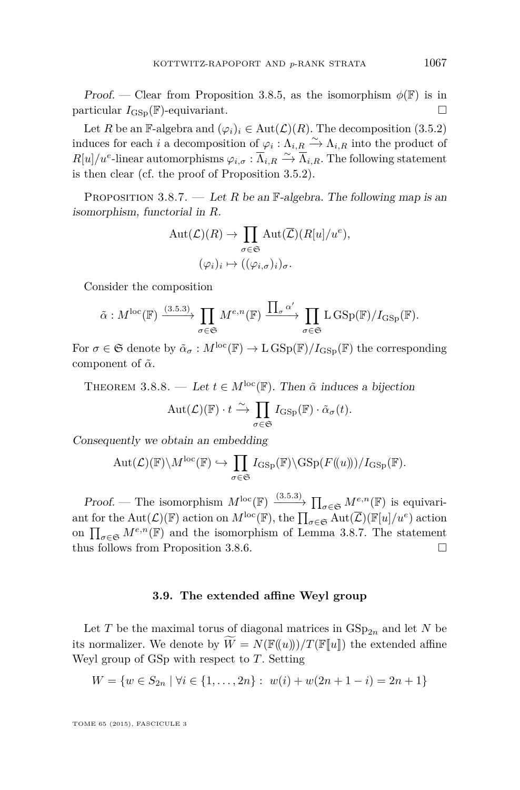<span id="page-37-0"></span>Proof. — Clear from Proposition [3.8.5,](#page-36-0) as the isomorphism  $\phi(\mathbb{F})$  is in particular  $I_{\text{GSD}}(\mathbb{F})$ -equivariant.

Let *R* be an F-algebra and  $(\varphi_i)_i \in \text{Aut}(\mathcal{L})(R)$ . The decomposition [\(3.5.2\)](#page-28-0) induces for each *i* a decomposition of  $\varphi_i : \Lambda_{i,R} \xrightarrow{\sim} \Lambda_{i,R}$  into the product of  $R[u]/u^e$ -linear automorphisms  $\varphi_{i,\sigma} : \overline{\Lambda}_{i,R} \xrightarrow{\sim} \overline{\Lambda}_{i,R}$ . The following statement is then clear (cf. the proof of Proposition [3.5.2\)](#page-29-0).

PROPOSITION 3.8.7. — Let *R* be an  $\mathbb{F}\text{-algebra}$ . The following map is an isomorphism, functorial in *R*.

$$
\text{Aut}(\mathcal{L})(R) \to \prod_{\sigma \in \mathfrak{S}} \text{Aut}(\overline{\mathcal{L}})(R[u]/u^e),
$$
  

$$
(\varphi_i)_i \mapsto ((\varphi_{i,\sigma})_i)_{\sigma}.
$$

Consider the composition

$$
\tilde{\alpha}: M^{\text{loc}}(\mathbb{F}) \xrightarrow{\text{(3.5.3)}} \prod_{\sigma \in \mathfrak{S}} M^{e,n}(\mathbb{F}) \xrightarrow{\prod_{\sigma} \alpha'} \prod_{\sigma \in \mathfrak{S}} \text{L} \operatorname{GSp}(\mathbb{F})/I_{\text{GSp}}(\mathbb{F}).
$$

For  $\sigma \in \mathfrak{S}$  denote by  $\tilde{\alpha}_{\sigma}: M^{\text{loc}}(\mathbb{F}) \to L \operatorname{GSp}(\mathbb{F})/I_{\text{GSp}}(\mathbb{F})$  the corresponding component of  $\tilde{\alpha}$ .

THEOREM 3.8.8. — Let  $t \in M^{\text{loc}}(\mathbb{F})$ . Then  $\tilde{\alpha}$  induces a bijection

$$
\mathrm{Aut}(\mathcal{L})(\mathbb{F}) \cdot t \xrightarrow{\sim} \prod_{\sigma \in \mathfrak{S}} I_{\mathrm{GSp}}(\mathbb{F}) \cdot \tilde{\alpha}_{\sigma}(t).
$$

Consequently we obtain an embedding

$$
\mathrm{Aut}(\mathcal{L})(\mathbb{F})\backslash M^{\mathrm{loc}}(\mathbb{F}) \hookrightarrow \prod_{\sigma\in\mathfrak{S}} I_{\mathrm{GSp}}(\mathbb{F})\backslash\mathrm{GSp}(F(\!(u)\!))/I_{\mathrm{GSp}}(\mathbb{F}).
$$

Proof. — The isomorphism  $M^{\text{loc}}(\mathbb{F}) \xrightarrow{(3.5.3)} \prod_{\sigma \in \mathfrak{S}} M^{e,n}(\mathbb{F})$  $M^{\text{loc}}(\mathbb{F}) \xrightarrow{(3.5.3)} \prod_{\sigma \in \mathfrak{S}} M^{e,n}(\mathbb{F})$  $M^{\text{loc}}(\mathbb{F}) \xrightarrow{(3.5.3)} \prod_{\sigma \in \mathfrak{S}} M^{e,n}(\mathbb{F})$  is equivariant for the Aut( $\mathcal{L}$ )( $\mathbb{F}$ ) action on  $M^{\text{loc}}(\mathbb{F})$ , the  $\prod_{\sigma \in \mathfrak{S}} \text{Aut}(\overline{\mathcal{L}})(\mathbb{F}[u]/u^e)$  action on  $\prod_{\sigma \in \mathfrak{S}} M^{e,n}(\mathbb{F})$  and the isomorphism of Lemma 3.8.7. The statement thus follows from Proposition [3.8.6.](#page-36-0)

#### **3.9. The extended affine Weyl group**

Let *T* be the maximal torus of diagonal matrices in  $GSp_{2n}$  and let *N* be its normalizer. We denote by  $\tilde{W} = N(\mathbb{F}(u))/T(\mathbb{F}[u])$  the extended affine Weyl group of GSp with respect to *T*. Setting

$$
W = \{ w \in S_{2n} \mid \forall i \in \{1, ..., 2n\} : w(i) + w(2n + 1 - i) = 2n + 1 \}
$$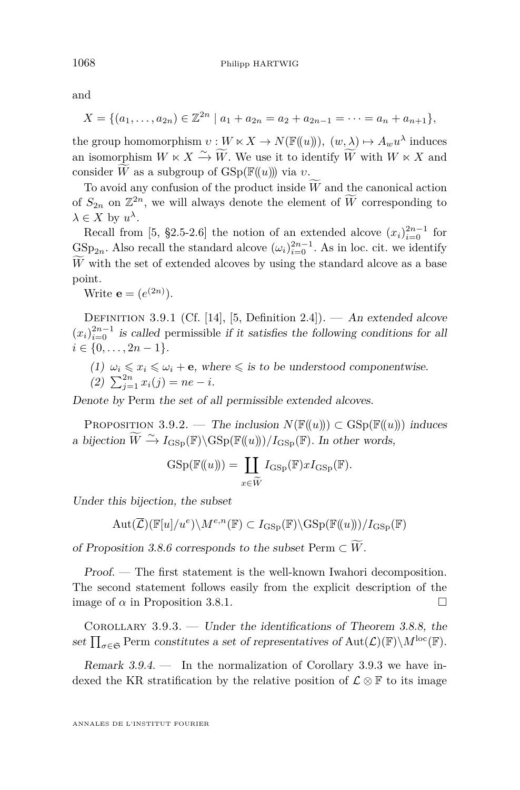<span id="page-38-0"></span>and

$$
X = \{(a_1, \ldots, a_{2n}) \in \mathbb{Z}^{2n} \mid a_1 + a_{2n} = a_2 + a_{2n-1} = \cdots = a_n + a_{n+1}\},\
$$

the group homomorphism  $v: W \ltimes X \to N(\mathbb{F}((u))), (w, \lambda) \mapsto A_w u^{\lambda}$  induces an isomorphism  $W \ltimes X \xrightarrow{\sim} \widetilde{W}$ . We use it to identify  $\widetilde{W}$  with  $W \ltimes X$  and consider  $\widetilde{W}$  as a subgroup of  $GSp(\mathbb{F}(\!(u)\!))$  via *v*.

To avoid any confusion of the product inside  $\tilde{W}$  and the canonical action of  $S_{2n}$  on  $\mathbb{Z}^{2n}$ , we will always denote the element of  $\widetilde{W}$  corresponding to  $\lambda \in X$  by  $u^{\lambda}$ .

Recall from [\[5,](#page-71-0) §2.5-2.6] the notion of an extended alcove  $(x_i)_{i=0}^{2n-1}$  for  $GSp_{2n}$ . Also recall the standard alcove  $(\omega_i)_{i=0}^{2n-1}$ . As in loc. cit. we identify  $\widetilde{W}$  with the set of extended alcoves by using the standard alcove as a base point.

Write **e** =  $(e^{(2n)})$ .

DEFINITION 3.9.1 (Cf. [\[14\]](#page-72-0), [\[5,](#page-71-0) Definition 2.4]). — An extended alcove  $(x_i)_{i=0}^{2n-1}$  is called permissible if it satisfies the following conditions for all  $i \in \{0, \ldots, 2n-1\}.$ 

(1)  $\omega_i \leq x_i \leq \omega_i + \mathbf{e}$ , where  $\leq$  is to be understood componentwise.

(2) 
$$
\sum_{j=1}^{2n} x_i(j) = ne - i.
$$

Denote by Perm the set of all permissible extended alcoves.

PROPOSITION 3.9.2. — The inclusion  $N(\mathbb{F}(\{u\})) \subset \text{GSp}(\mathbb{F}(\{u\}))$  induces a bijection  $\widetilde{W} \stackrel{\sim}{\rightarrow} I_{\text{GSp}}(\mathbb{F})\backslash \text{GSp}(\mathbb{F}(\!(u)\!))/I_{\text{GSp}}(\mathbb{F})$ . In other words,

$$
GSp(\mathbb{F}(\!(u)\!)) = \coprod_{x \in \widetilde{W}} I_{GSp}(\mathbb{F}) x I_{GSp}(\mathbb{F}).
$$

Under this bijection, the subset

$$
\operatorname{Aut}(\overline{\mathcal{L}})(\mathbb{F}[u]/u^e)\backslash M^{e,n}(\mathbb{F})\subset I_{\mathrm{GSp}}(\mathbb{F})\backslash\mathrm{GSp}(\mathbb{F}(\!(u)\!))/I_{\mathrm{GSp}}(\mathbb{F})
$$

of Proposition [3.8.6](#page-36-0) corresponds to the subset Perm  $\subset W$ .

Proof. — The first statement is the well-known Iwahori decomposition. The second statement follows easily from the explicit description of the image of  $\alpha$  in Proposition [3.8.1.](#page-35-0)

COROLLARY  $3.9.3.$  — Under the identifications of Theorem [3.8.8,](#page-37-0) the set  $\prod_{\sigma\in\mathfrak{S}}$  Perm constitutes a set of representatives of  $Aut(\mathcal{L})(\mathbb{F})\backslash M^{\text{loc}}(\mathbb{F})$ .

Remark  $3.9.4.$  — In the normalization of Corollary 3.9.3 we have indexed the KR stratification by the relative position of  $\mathcal{L} \otimes \mathbb{F}$  to its image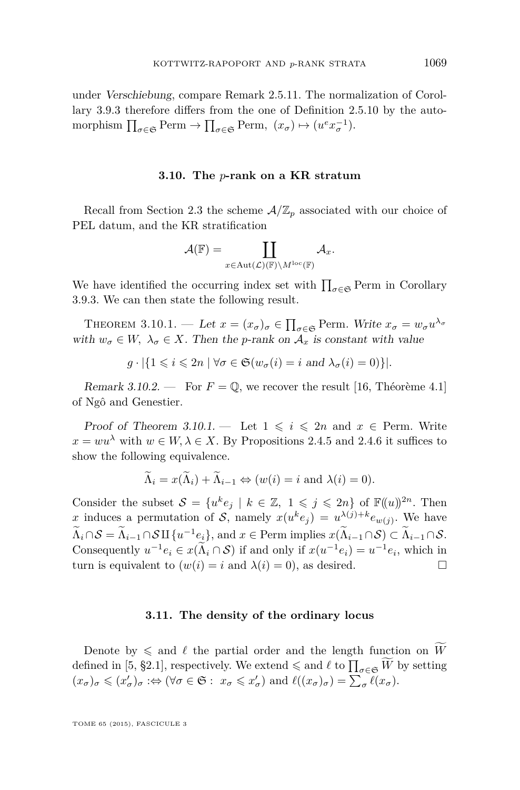<span id="page-39-0"></span>under Verschiebung, compare Remark [2.5.11.](#page-22-0) The normalization of Corollary [3.9.3](#page-38-0) therefore differs from the one of Definition [2.5.10](#page-22-0) by the automorphism  $\prod_{\sigma \in \mathfrak{S}} \text{Perm} \to \prod_{\sigma \in \mathfrak{S}} \text{Perm}, \ (x_{\sigma}) \mapsto (u^e x_{\sigma}^{-1}).$ 

#### **3.10. The** *p***-rank on a KR stratum**

Recall from Section [2.3](#page-11-0) the scheme  $A/\mathbb{Z}_p$  associated with our choice of PEL datum, and the KR stratification

$$
\mathcal{A}(\mathbb{F})=\coprod_{x\in \text{Aut}(\mathcal{L})(\mathbb{F})\backslash M^{\text{loc}}(\mathbb{F})}\mathcal{A}_{x}.
$$

We have identified the occurring index set with  $\prod_{\sigma \in \mathfrak{S}}$  Perm in Corollary [3.9.3.](#page-38-0) We can then state the following result.

THEOREM 3.10.1. — Let  $x = (x_{\sigma})_{\sigma} \in \prod_{\sigma \in \mathfrak{S}}$  Perm. Write  $x_{\sigma} = w_{\sigma} u^{\lambda_{\sigma}}$ with  $w_{\sigma} \in W$ ,  $\lambda_{\sigma} \in X$ . Then the *p*-rank on  $\mathcal{A}_x$  is constant with value

$$
g \cdot |\{1 \leq i \leq 2n \mid \forall \sigma \in \mathfrak{S}(w_{\sigma}(i) = i \text{ and } \lambda_{\sigma}(i) = 0)\}|.
$$

Remark 3.10.2. — For  $F = \mathbb{Q}$ , we recover the result [\[16,](#page-72-0) Théorème 4.1] of Ngô and Genestier.

Proof of Theorem 3.10.1. — Let  $1 \leq i \leq 2n$  and  $x \in$  Perm. Write  $x = w u^{\lambda}$  with  $w \in W, \lambda \in X$ . By Propositions [2.4.5](#page-14-0) and [2.4.6](#page-15-0) it suffices to show the following equivalence.

$$
\Lambda_i = x(\Lambda_i) + \Lambda_{i-1} \Leftrightarrow (w(i) = i \text{ and } \lambda(i) = 0).
$$

Consider the subset  $S = \{u^k e_j \mid k \in \mathbb{Z}, 1 \leq j \leq 2n\}$  of  $\mathbb{F}((u))^{2n}$ . Then *x* induces a permutation of S, namely  $x(u^k e_j) = u^{\lambda(j)+k} e_{w(j)}$ . We have  $\Lambda_i \cap \mathcal{S} = \Lambda_{i-1} \cap \mathcal{S} \amalg \{u^{-1}e_i\}$ , and  $x \in \text{Perm implies } x(\Lambda_{i-1} \cap \mathcal{S}) \subset \Lambda_{i-1} \cap \mathcal{S}$ . Consequently  $u^{-1}e_i \in x(\Lambda_i \cap S)$  if and only if  $x(u^{-1}e_i) = u^{-1}e_i$ , which in turn is equivalent to  $(w(i) = i$  and  $\lambda(i) = 0)$ , as desired.

#### **3.11. The density of the ordinary locus**

Denote by  $\leq$  and  $\ell$  the partial order and the length function on  $\widetilde{W}$ defined in [\[5,](#page-71-0) §2.1], respectively. We extend  $\leq$  and  $\ell$  to  $\prod_{\sigma \in \mathfrak{S}} \widetilde{W}$  by setting  $(x_{\sigma})_{\sigma} \leq (x'_{\sigma})_{\sigma} : \Leftrightarrow (\forall \sigma \in \mathfrak{S} : x_{\sigma} \leq x'_{\sigma}) \text{ and } \ell((x_{\sigma})_{\sigma}) = \sum_{\sigma} \ell(x_{\sigma}).$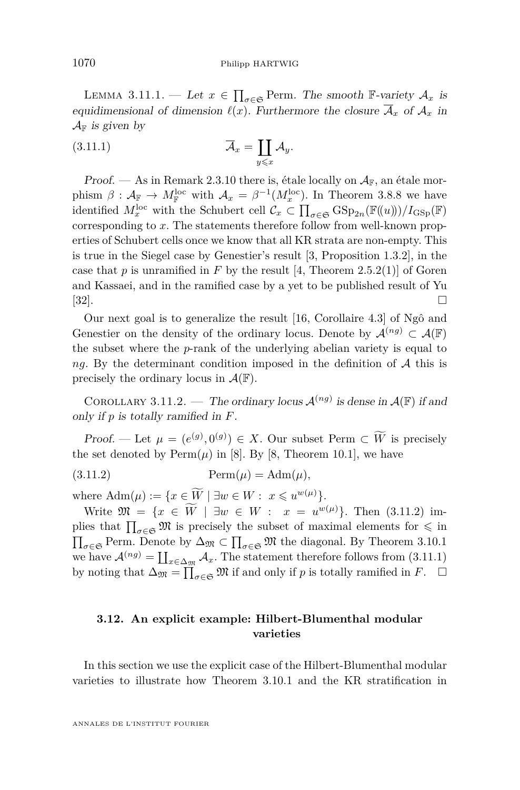<span id="page-40-0"></span>LEMMA 3.11.1. — Let  $x \in \prod_{\sigma \in \mathfrak{S}}$  Perm. The smooth F-variety  $\mathcal{A}_x$  is equidimensional of dimension  $\ell(x)$ . Furthermore the closure  $\overline{\mathcal{A}}_x$  of  $\mathcal{A}_x$  in  $\mathcal{A}_{\mathbb{F}}$  is given by

$$
\overline{\mathcal{A}}_x = \coprod_{y \leq x} \mathcal{A}_y.
$$

Proof. — As in Remark [2.3.10](#page-13-0) there is, étale locally on  $A_{\mathbb{F}}$ , an étale morphism  $\beta$  :  $\mathcal{A}_{\mathbb{F}} \to M_{\mathbb{F}}^{\text{loc}}$  with  $\mathcal{A}_x = \beta^{-1}(M_x^{\text{loc}})$ . In Theorem [3.8.8](#page-37-0) we have identified  $M_x^{\text{loc}}$  with the Schubert cell  $\mathcal{C}_x \subset \prod_{\sigma \in \mathfrak{S}} \text{GSp}_{2n}(\mathbb{F}((u)))/I_{\text{GSp}}(\mathbb{F})$ corresponding to *x*. The statements therefore follow from well-known properties of Schubert cells once we know that all KR strata are non-empty. This is true in the Siegel case by Genestier's result [\[3,](#page-71-0) Proposition 1.3.2], in the case that  $p$  is unramified in  $F$  by the result [\[4,](#page-71-0) Theorem 2.5.2(1)] of Goren and Kassaei, and in the ramified case by a yet to be published result of Yu  $[32]$ .

Our next goal is to generalize the result [\[16,](#page-72-0) Corollaire 4.3] of Ngô and Genestier on the density of the ordinary locus. Denote by  $\mathcal{A}^{(ng)} \subset \mathcal{A}(\mathbb{F})$ the subset where the *p*-rank of the underlying abelian variety is equal to *ng*. By the determinant condition imposed in the definition of A this is precisely the ordinary locus in  $\mathcal{A}(\mathbb{F})$ .

COROLLARY 3.11.2. — The ordinary locus  $\mathcal{A}^{(ng)}$  is dense in  $\mathcal{A}(\mathbb{F})$  if and only if *p* is totally ramified in *F*.

Proof. — Let  $\mu = (e^{(g)}, 0^{(g)}) \in X$ . Our subset Perm  $\subset \overline{W}$  is precisely the set denoted by  $Perm(\mu)$  in [\[8\]](#page-71-0). By [\[8,](#page-71-0) Theorem 10.1], we have

(3.11.2) Perm(*µ*) = Adm(*µ*)*,*

where  $\text{Adm}(\mu) := \{x \in \widetilde{W} \mid \exists w \in W : x \leqslant u^{w(\mu)}\}.$ 

Write  $\mathfrak{M} = \{x \in W \mid \exists w \in W : x = u^{w(\mu)}\}.$  Then (3.11.2) implies that  $\prod_{\sigma\in\mathfrak{S}}\mathfrak{M}$  is precisely the subset of maximal elements for  $\leqslant$  in  $\prod_{\sigma \in \mathfrak{S}}$  Perm. Denote by  $\Delta_{\mathfrak{M}} \subset \prod_{\sigma \in \mathfrak{S}} \mathfrak{M}$  the diagonal. By Theorem [3.10.1](#page-39-0) we have  $\mathcal{A}^{(ng)} = \coprod_{x \in \Delta_{\mathfrak{M}}} \mathcal{A}_x$ . The statement therefore follows from (3.11.1) by noting that  $\Delta_{\mathfrak{M}} = \prod_{\sigma \in \mathfrak{S}} \mathfrak{M}$  if and only if *p* is totally ramified in *F*.  $\Box$ 

# **3.12. An explicit example: Hilbert-Blumenthal modular varieties**

In this section we use the explicit case of the Hilbert-Blumenthal modular varieties to illustrate how Theorem [3.10.1](#page-39-0) and the KR stratification in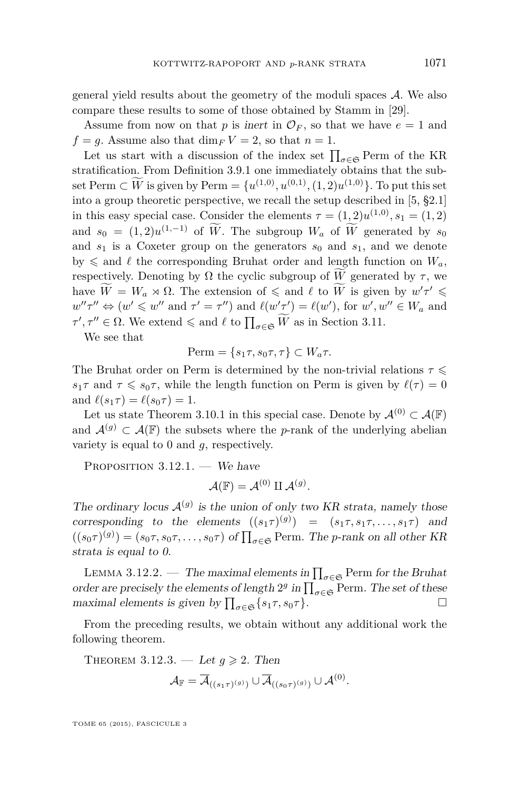general yield results about the geometry of the moduli spaces A. We also compare these results to some of those obtained by Stamm in [\[29\]](#page-72-0).

Assume from now on that p is inert in  $\mathcal{O}_F$ , so that we have  $e = 1$  and  $f = q$ . Assume also that  $\dim_F V = 2$ , so that  $n = 1$ .

Let us start with a discussion of the index set  $\prod_{\sigma \in \mathfrak{S}}$  Perm of the KR stratification. From Definition [3.9.1](#page-38-0) one immediately obtains that the subset Perm ⊂ *W* is given by Perm = { $u^{(1,0)}, u^{(0,1)}, (1,2)u^{(1,0)}$ }. To put this set into a group theoretic perspective, we recall the setup described in [\[5,](#page-71-0) §2.1] in this easy special case. Consider the elements  $\tau = (1, 2)u^{(1,0)}, s_1 = (1, 2)$ and  $s_0 = (1,2)u^{(1,-1)}$  of *W*. The subgroup  $W_a$  of *W* generated by  $s_0$ and  $s_1$  is a Coxeter group on the generators  $s_0$  and  $s_1$ , and we denote by  $\leq$  and  $\ell$  the corresponding Bruhat order and length function on  $W_a$ , respectively. Denoting by  $\Omega$  the cyclic subgroup of  $\tilde{W}$  generated by  $\tau$ , we have  $\widetilde{W} = W_a \rtimes \Omega$ . The extension of  $\leq$  and  $\ell$  to  $\widetilde{W}$  is given by  $w' \tau' \leq$  $w''\tau'' \Leftrightarrow (w' \leq w'' \text{ and } \tau' = \tau'') \text{ and } \ell(w'\tau') = \ell(w'), \text{ for } w', w'' \in W_a \text{ and }$  $\tau', \tau'' \in \Omega$ . We extend  $\leq$  and  $\ell$  to  $\prod_{\sigma \in \mathfrak{S}} \widetilde{W}$  as in Section [3.11.](#page-39-0)

We see that

$$
\text{Perm} = \{s_1\tau, s_0\tau, \tau\} \subset W_a\tau.
$$

The Bruhat order on Perm is determined by the non-trivial relations  $\tau \leq$ *s*<sub>1</sub>*τ* and  $\tau \leq s_0 \tau$ , while the length function on Perm is given by  $\ell(\tau) = 0$ and  $\ell(s_1\tau) = \ell(s_0\tau) = 1$ .

Let us state Theorem [3.10.1](#page-39-0) in this special case. Denote by  $\mathcal{A}^{(0)} \subset \mathcal{A}(\mathbb{F})$ and  $\mathcal{A}^{(g)} \subset \mathcal{A}(\mathbb{F})$  the subsets where the *p*-rank of the underlying abelian variety is equal to 0 and *g*, respectively.

PROPOSITION  $3.12.1.$  — We have

$$
\mathcal{A}(\mathbb{F})=\mathcal{A}^{(0)}\amalg\mathcal{A}^{(g)}.
$$

The ordinary locus  $A^{(g)}$  is the union of only two KR strata, namely those corresponding to the elements  $((s_1\tau)^{(g)}) = (s_1\tau, s_1\tau, \ldots, s_1\tau)$  and  $((s_0\tau)^{(g)}) = (s_0\tau, s_0\tau, \dots, s_0\tau)$  of  $\prod_{\sigma \in \mathfrak{S}}$  Perm. The *p*-rank on all other KR strata is equal to 0.

LEMMA 3.12.2. — The maximal elements in  $\prod_{\sigma \in \mathfrak{S}}$  Perm for the Bruhat order are precisely the elements of length  $2^g$  in  $\prod_{\sigma \in \mathfrak{S}}$  Perm. The set of these maximal elements is given by  $\prod_{\sigma \in \mathfrak{S}} \{s_1 \tau, s_0 \tau\}.$ 

From the preceding results, we obtain without any additional work the following theorem.

THEOREM 3.12.3. — Let  $g \geqslant 2$ . Then

$$
\mathcal{A}_{\mathbb{F}} = \overline{\mathcal{A}}_{((s_1\tau)^{(g)})} \cup \overline{\mathcal{A}}_{((s_0\tau)^{(g)})} \cup \mathcal{A}^{(0)}.
$$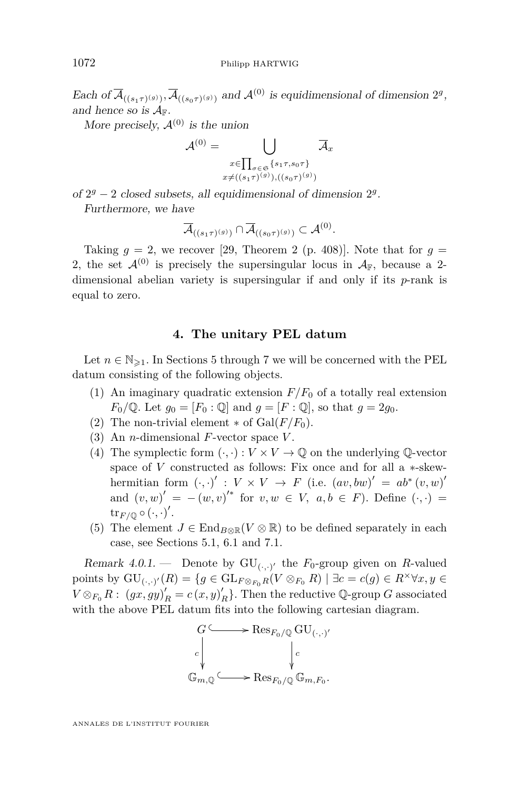<span id="page-42-0"></span>Each of  $\overline{\mathcal{A}}_{((s_1\tau)^{(g)})}, \overline{\mathcal{A}}_{((s_0\tau)^{(g)})}$  and  $\mathcal{A}^{(0)}$  is equidimensional of dimension  $2^g$ , and hence so is  $A_{\mathbb{F}}$ .

More precisely,  $\mathcal{A}^{(0)}$  is the union

$$
\mathcal{A}^{(0)} = \bigcup_{\substack{x \in \prod_{\sigma \in \mathfrak{S}} \{s_1\tau, s_0\tau\} \\ x \neq ((s_1\tau)^{(g)}), ((s_0\tau)^{(g)})}}
$$

of  $2<sup>g</sup> - 2$  closed subsets, all equidimensional of dimension  $2<sup>g</sup>$ . Furthermore, we have

$$
\overline{\mathcal{A}}_{((s_1\tau)^{(g)})}\cap \overline{\mathcal{A}}_{((s_0\tau)^{(g)})}\subset \mathcal{A}^{(0)}.
$$

Taking  $q = 2$ , we recover [\[29,](#page-72-0) Theorem 2 (p. 408)]. Note that for  $q =$ 2, the set  $\mathcal{A}^{(0)}$  is precisely the supersingular locus in  $\mathcal{A}_{F}$ , because a 2dimensional abelian variety is supersingular if and only if its *p*-rank is equal to zero.

## **4. The unitary PEL datum**

Let  $n \in \mathbb{N}_{\geq 1}$ . In Sections [5](#page-43-0) through [7](#page-64-0) we will be concerned with the PEL datum consisting of the following objects.

- (1) An imaginary quadratic extension  $F/F_0$  of a totally real extension *F*<sub>0</sub>/Q. Let  $g_0 = [F_0 : \mathbb{Q}]$  and  $g = [F : \mathbb{Q}]$ , so that  $g = 2g_0$ .
- (2) The non-trivial element  $*$  of  $Gal(F/F_0)$ .
- (3) An *n*-dimensional *F*-vector space *V* .
- (4) The symplectic form  $(\cdot, \cdot): V \times V \to \mathbb{Q}$  on the underlying  $\mathbb{Q}\text{-vector}$ space of *V* constructed as follows: Fix once and for all a ∗-skewhermitian form  $(\cdot, \cdot)' : V \times V \to F$  (i.e.  $(av, bw)' = ab^* (v, w)'$ and  $(v, w)' = -(w, v)'^*$  for  $v, w \in V$ ,  $a, b \in F$ ). Define  $(\cdot, \cdot)$  $\mathrm{tr}_{F/\mathbb{Q}}\circ(\cdot,\cdot)'$ .
- (5) The element  $J \in \text{End}_{B \otimes \mathbb{R}}(V \otimes \mathbb{R})$  to be defined separately in each case, see Sections [5.1,](#page-43-0) [6.1](#page-54-0) and [7.1.](#page-64-0)

Remark 4.0.1. – Denote by  $GU_{(\cdot, \cdot)'}$  the  $F_0$ -group given on *R*-valued points by  $GU_{(\cdot,\cdot)'}(R) = \{g \in GL_{F \otimes_{F_0} R}(V \otimes_{F_0} R) \mid \exists c = c(g) \in R^{\times} \forall x, y \in$  $V \otimes_{F_0} R$ :  $(gx, gy)'_R = c(x, y)'_R$ . Then the reductive Q-group *G* associated with the above PEL datum fits into the following cartesian diagram.

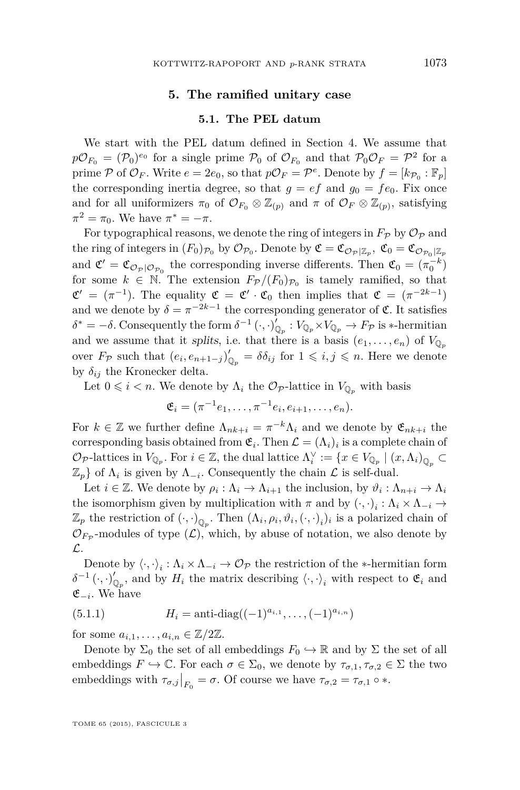## **5. The ramified unitary case**

## **5.1. The PEL datum**

<span id="page-43-0"></span>We start with the PEL datum defined in Section [4.](#page-42-0) We assume that  $p\mathcal{O}_{F_0} = (\mathcal{P}_0)^{e_0}$  for a single prime  $\mathcal{P}_0$  of  $\mathcal{O}_{F_0}$  and that  $\mathcal{P}_0\mathcal{O}_F = \mathcal{P}^2$  for a prime  $P$  of  $\mathcal{O}_F$ . Write  $e = 2e_0$ , so that  $p\mathcal{O}_F = \mathcal{P}^e$ . Denote by  $f = [k_{\mathcal{P}_0} : \mathbb{F}_p]$ the corresponding inertia degree, so that  $q = ef$  and  $q_0 = fe_0$ . Fix once and for all uniformizers  $\pi_0$  of  $\mathcal{O}_{F_0} \otimes \mathbb{Z}_{(p)}$  and  $\pi$  of  $\mathcal{O}_F \otimes \mathbb{Z}_{(p)}$ , satisfying  $\pi^2 = \pi_0$ . We have  $\pi^* = -\pi$ .

For typographical reasons, we denote the ring of integers in  $F_{\mathcal{P}}$  by  $\mathcal{O}_{\mathcal{P}}$  and the ring of integers in  $(F_0)_{\mathcal{P}_0}$  by  $\mathcal{O}_{\mathcal{P}_0}$ . Denote by  $\mathfrak{C} = \mathfrak{C}_{\mathcal{O}_{\mathcal{P}}|\mathbb{Z}_p}$ ,  $\mathfrak{C}_0 = \mathfrak{C}_{\mathcal{O}_{\mathcal{P}_0}|\mathbb{Z}_p}$ and  $\mathfrak{C}' = \mathfrak{C}_{\mathcal{O}_P|\mathcal{O}_{\mathcal{P}_0}}$  the corresponding inverse differents. Then  $\mathfrak{C}_0 = (\pi_0^{-k})$ for some  $k \in \mathbb{N}$ . The extension  $F_{\mathcal{P}}/(F_0)_{\mathcal{P}_0}$  is tamely ramified, so that  $\mathfrak{C}' = (\pi^{-1})$ . The equality  $\mathfrak{C} = \mathfrak{C}' \cdot \mathfrak{C}_0$  then implies that  $\mathfrak{C} = (\pi^{-2k-1})$ and we denote by  $\delta = \pi^{-2k-1}$  the corresponding generator of  $\mathfrak{C}$ . It satisfies  $\delta^* = -\delta$ . Consequently the form  $\delta^{-1}(\cdot, \cdot)_{\mathbb{Q}_p}^{\prime} : V_{\mathbb{Q}_p} \times V_{\mathbb{Q}_p} \to F_{\mathcal{P}}$  is  $*$ -hermitian and we assume that it splits, i.e. that there is a basis  $(e_1, \ldots, e_n)$  of  $V_{\mathbb{Q}_n}$ over  $F_{\mathcal{P}}$  such that  $(e_i, e_{n+1-j})'_{\mathbb{Q}_p} = \delta \delta_{ij}$  for  $1 \leq i, j \leq n$ . Here we denote by  $\delta_{ij}$  the Kronecker delta.

Let  $0 \leq i \leq n$ . We denote by  $\Lambda_i$  the  $\mathcal{O}_{\mathcal{P}}$ -lattice in  $V_{\mathbb{Q}_n}$  with basis

$$
\mathfrak{E}_i = (\pi^{-1}e_1, \dots, \pi^{-1}e_i, e_{i+1}, \dots, e_n).
$$

For  $k \in \mathbb{Z}$  we further define  $\Lambda_{nk+i} = \pi^{-k} \Lambda_i$  and we denote by  $\mathfrak{E}_{nk+i}$  the corresponding basis obtained from  $\mathfrak{E}_i$ . Then  $\mathcal{L} = (\Lambda_i)_i$  is a complete chain of  $\mathcal{O}_{\mathcal{P}}$ -lattices in  $V_{\mathbb{Q}_p}$ . For  $i \in \mathbb{Z}$ , the dual lattice  $\Lambda_i^{\vee} := \{x \in V_{\mathbb{Q}_p} \mid (x, \Lambda_i)_{\mathbb{Q}_p} \subset$  $\mathbb{Z}_p$  of  $\Lambda_i$  is given by  $\Lambda_{-i}$ . Consequently the chain  $\mathcal L$  is self-dual.

Let  $i \in \mathbb{Z}$ . We denote by  $\rho_i : \Lambda_i \to \Lambda_{i+1}$  the inclusion, by  $\vartheta_i : \Lambda_{n+i} \to \Lambda_i$ the isomorphism given by multiplication with  $\pi$  and by  $(\cdot, \cdot)_i : \Lambda_i \times \Lambda_{-i} \to$  $\mathbb{Z}_p$  the restriction of  $(\cdot, \cdot)_{\mathbb{Q}_p}$ . Then  $(\Lambda_i, \rho_i, \vartheta_i, (\cdot, \cdot)_i)_i$  is a polarized chain of  $\mathcal{O}_{F_{\mathcal{P}}}$ -modules of type  $(\mathcal{L})$ , which, by abuse of notation, we also denote by L.

Denote by  $\langle \cdot, \cdot \rangle_i : \Lambda_i \times \Lambda_{-i} \to \mathcal{O}_{\mathcal{P}}$  the restriction of the ∗-hermitian form  $\delta^{-1}(\cdot, \cdot)'_{\mathbb{Q}_p}$ , and by  $H_i$  the matrix describing  $\langle \cdot, \cdot \rangle_i$  with respect to  $\mathfrak{E}_i$  and E<sup>−</sup>*<sup>i</sup>* . We have

(5.1.1) 
$$
H_i = \text{anti-diag}((-1)^{a_{i,1}}, \dots, (-1)^{a_{i,n}})
$$

for some  $a_{i,1}, \ldots, a_{i,n} \in \mathbb{Z}/2\mathbb{Z}$ .

Denote by  $\Sigma_0$  the set of all embeddings  $F_0 \hookrightarrow \mathbb{R}$  and by  $\Sigma$  the set of all embeddings  $F \hookrightarrow \mathbb{C}$ . For each  $\sigma \in \Sigma_0$ , we denote by  $\tau_{\sigma,1}, \tau_{\sigma,2} \in \Sigma$  the two embeddings with  $\tau_{\sigma,j}|_{F_0} = \sigma$ . Of course we have  $\tau_{\sigma,2} = \tau_{\sigma,1} \circ *$ .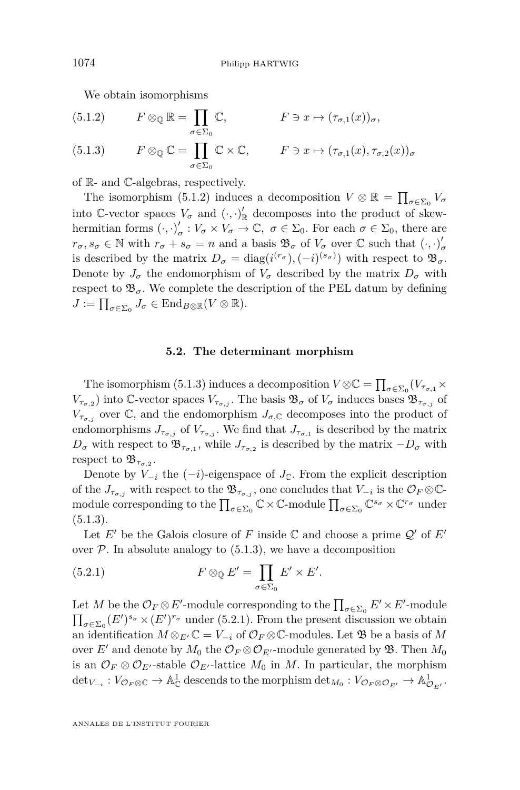We obtain isomorphisms

(5.1.2) 
$$
F \otimes_{\mathbb{Q}} \mathbb{R} = \prod_{\sigma \in \Sigma_0} \mathbb{C}, \qquad F \ni x \mapsto (\tau_{\sigma,1}(x))_{\sigma},
$$
  
(5.1.3) 
$$
F \otimes_{\mathbb{Q}} \mathbb{C} = \prod_{\sigma \in \Sigma_0} \mathbb{C} \times \mathbb{C}, \qquad F \ni x \mapsto (\tau_{\sigma,1}(x), \tau_{\sigma,2}(x))_{\sigma}
$$

of R- and C-algebras, respectively.

The isomorphism (5.1.2) induces a decomposition  $V \otimes \mathbb{R} = \prod_{\sigma \in \Sigma_0} V_{\sigma}$ into C-vector spaces  $V_{\sigma}$  and  $(\cdot, \cdot)'_{\mathbb{R}}$  decomposes into the product of skewhermitian forms  $(\cdot, \cdot)'_c$  $\sigma'$  :  $V_{\sigma} \times V_{\sigma} \to \mathbb{C}, \ \sigma \in \Sigma_0$ . For each  $\sigma \in \Sigma_0$ , there are  $r_{\sigma}, s_{\sigma} \in \mathbb{N}$  with  $r_{\sigma} + s_{\sigma} = n$  and a basis  $\mathfrak{B}_{\sigma}$  of  $V_{\sigma}$  over  $\mathbb{C}$  such that  $(\cdot, \cdot)_{\sigma}$ *σ* is described by the matrix  $D_{\sigma} = \text{diag}(i^{(r_{\sigma}}), (-i)^{(s_{\sigma})})$  with respect to  $\mathfrak{B}_{\sigma}$ . Denote by  $J_{\sigma}$  the endomorphism of  $V_{\sigma}$  described by the matrix  $D_{\sigma}$  with respect to  $\mathfrak{B}_{\sigma}$ . We complete the description of the PEL datum by defining  $J := \prod_{\sigma \in \Sigma_0} J_{\sigma} \in \text{End}_{B \otimes \mathbb{R}}(V \otimes \mathbb{R}).$ 

## **5.2. The determinant morphism**

The isomorphism (5.1.3) induces a decomposition  $V \otimes \mathbb{C} = \prod_{\sigma \in \Sigma_0} (V_{\tau_{\sigma,1}} \times V_{\sigma,1})$  $V_{\tau_{\sigma,2}}$ ) into C-vector spaces  $V_{\tau_{\sigma,j}}$ . The basis  $\mathfrak{B}_{\sigma}$  of  $V_{\sigma}$  induces bases  $\mathfrak{B}_{\tau_{\sigma,j}}$  of  $V_{\tau_{\sigma,i}}$  over  $\mathbb{C}$ , and the endomorphism  $J_{\sigma,\mathbb{C}}$  decomposes into the product of endomorphisms  $J_{\tau_{\sigma,j}}$  of  $V_{\tau_{\sigma,j}}$ . We find that  $J_{\tau_{\sigma,1}}$  is described by the matrix  $D_{\sigma}$  with respect to  $\mathfrak{B}_{\tau_{\sigma,1}}$ , while  $J_{\tau_{\sigma,2}}$  is described by the matrix  $-D_{\sigma}$  with respect to  $\mathfrak{B}_{\tau_{\sigma,2}}$ .

Denote by  $V_{-i}$  the  $(-i)$ -eigenspace of  $J_{\mathbb{C}}$ . From the explicit description of the  $J_{\tau_{\sigma,j}}$  with respect to the  $\mathfrak{B}_{\tau_{\sigma,j}}$ , one concludes that  $V_{-i}$  is the  $\mathcal{O}_F \otimes \mathbb{C}$ module corresponding to the  $\prod_{\sigma \in \Sigma_0} \mathbb{C} \times \mathbb{C}$ -module  $\prod_{\sigma \in \Sigma_0} \mathbb{C}^{s_{\sigma}} \times \mathbb{C}^{r_{\sigma}}$  under  $(5.1.3).$ 

Let *E'* be the Galois closure of *F* inside  $\mathbb C$  and choose a prime  $\mathcal Q'$  of *E'* over  $P$ . In absolute analogy to  $(5.1.3)$ , we have a decomposition

(5.2.1) 
$$
F \otimes_{\mathbb{Q}} E' = \prod_{\sigma \in \Sigma_0} E' \times E'.
$$

Let *M* be the  $\mathcal{O}_F \otimes E'$ -module corresponding to the  $\prod_{\sigma \in \Sigma_0} E' \times E'$ -module  $\prod_{\sigma \in \Sigma_0} (E')^{s_{\sigma}} \times (E')^{r_{\sigma}}$  under (5.2.1). From the present discussion we obtain an identification  $M \otimes_{E'} \mathbb{C} = V_{-i}$  of  $\mathcal{O}_F \otimes \mathbb{C}$ -modules. Let  $\mathfrak{B}$  be a basis of M over *E'* and denote by  $M_0$  the  $\mathcal{O}_F \otimes \mathcal{O}_{E'}$ -module generated by  $\mathfrak{B}$ . Then  $M_0$ is an  $\mathcal{O}_F \otimes \mathcal{O}_{E'}$ -stable  $\mathcal{O}_{E'}$ -lattice  $M_0$  in  $M$ . In particular, the morphism  $\det_{V_{-i}}: V_{\mathcal{O}_F \otimes \mathcal{C}} \to \mathbb{A}^1_{\mathbb{C}}$  descends to the morphism  $\det_{M_0}: V_{\mathcal{O}_F \otimes \mathcal{O}_{E'}} \to \mathbb{A}^1_{\mathcal{O}_{E'}}$ .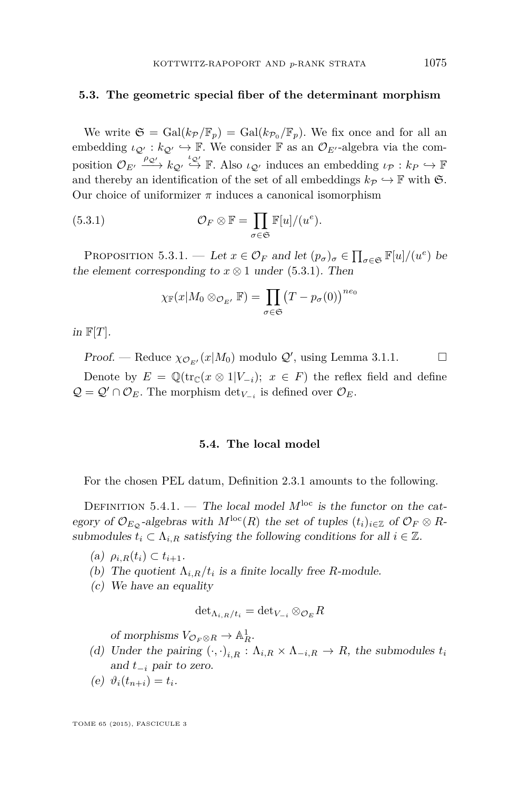### <span id="page-45-0"></span>**5.3. The geometric special fiber of the determinant morphism**

We write  $\mathfrak{S} = \text{Gal}(k_{\mathcal{P}}/\mathbb{F}_p) = \text{Gal}(k_{\mathcal{P}_0}/\mathbb{F}_p)$ . We fix once and for all an embedding  $\iota_{\mathcal{Q}'} : k_{\mathcal{Q}'} \hookrightarrow \mathbb{F}$ . We consider  $\mathbb{F}$  as an  $\mathcal{O}_{E'}$ -algebra via the composition  $\mathcal{O}_{E'} \xrightarrow{\rho_{\mathcal{Q}'}} k_{\mathcal{Q}'} \xrightarrow{\iota_{\mathcal{Q}'}} \mathbb{F}$ . Also  $\iota_{\mathcal{Q}'}$  induces an embedding  $\iota_{\mathcal{P}} : k_{P} \hookrightarrow \mathbb{F}$ and thereby an identification of the set of all embeddings  $k_P \hookrightarrow \mathbb{F}$  with  $\mathfrak{S}$ . Our choice of uniformizer  $\pi$  induces a canonical isomorphism

(5.3.1) 
$$
\mathcal{O}_F \otimes \mathbb{F} = \prod_{\sigma \in \mathfrak{S}} \mathbb{F}[u]/(u^e).
$$

PROPOSITION 5.3.1. — Let  $x \in \mathcal{O}_F$  and let  $(p_\sigma)_\sigma \in \prod_{\sigma \in \mathfrak{S}} \mathbb{F}[u]/(u^e)$  be the element corresponding to  $x \otimes 1$  under (5.3.1). Then

$$
\chi_{\mathbb{F}}(x|M_0\otimes_{\mathcal{O}_{E'}}\mathbb{F})=\prod_{\sigma\in\mathfrak{S}}(T-p_\sigma(0))^{ne_0}
$$

in  $\mathbb{F}[T]$ .

Proof. — Reduce  $\chi_{\mathcal{O}_{E'}}(x|M_0)$  modulo  $\mathcal{Q}'$ , using Lemma [3.1.1.](#page-25-0)  $\Box$ 

Denote by  $E = \mathbb{Q}(\text{tr}_{\mathbb{C}}(x \otimes 1|V_{-i}); x \in F)$  the reflex field and define  $Q = Q' \cap O_E$ . The morphism  $\det_{V_{-i}}$  is defined over  $O_E$ .

#### **5.4. The local model**

For the chosen PEL datum, Definition [2.3.1](#page-11-0) amounts to the following.

DEFINITION 5.4.1. — The local model  $M^{\text{loc}}$  is the functor on the category of  $\mathcal{O}_{E_{\mathcal{Q}}}$ -algebras with  $M^{\text{loc}}(R)$  the set of tuples  $(t_i)_{i\in\mathbb{Z}}$  of  $\mathcal{O}_F\otimes R$ submodules  $t_i \subset \Lambda_{i,R}$  satisfying the following conditions for all  $i \in \mathbb{Z}$ .

 $(\text{a})$   $\rho_{i,R}(t_i) \subset t_{i+1}.$ 

- (b) The quotient  $\Lambda_{i,R}/t_i$  is a finite locally free *R*-module.
- (c) We have an equality

$$
\det_{\Lambda_{i,R}/t_i} = \det_{V_{-i}} \otimes_{\mathcal{O}_E} R
$$

of morphisms  $V_{\mathcal{O}_F \otimes R} \to \mathbb{A}^1_R$ .

- (d) Under the pairing  $(\cdot, \cdot)_{i,R} : \Lambda_{i,R} \times \Lambda_{-i,R} \to R$ , the submodules  $t_i$ and *t*<sup>−</sup>*<sup>i</sup>* pair to zero.
- (e)  $\vartheta_i(t_{n+i}) = t_i$ .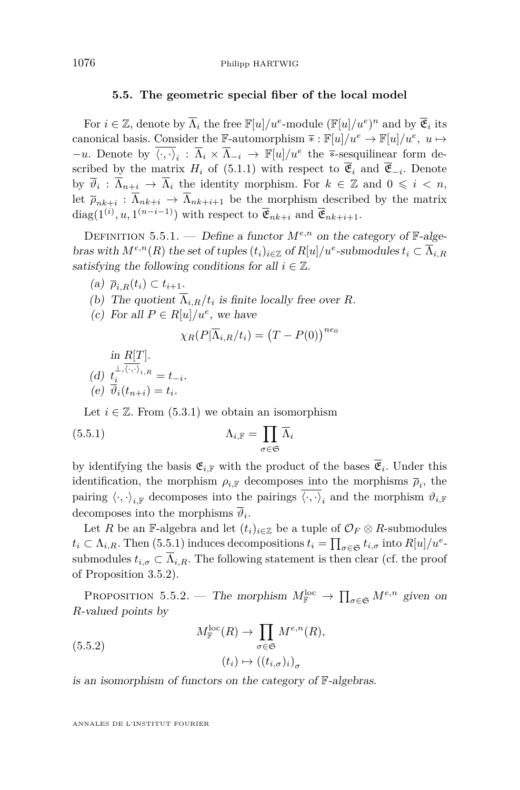## **5.5. The geometric special fiber of the local model**

<span id="page-46-0"></span>For  $i \in \mathbb{Z}$ , denote by  $\overline{\Lambda}_i$  the free  $\mathbb{F}[u]/u^e$ -module  $(\mathbb{F}[u]/u^e)^n$  and by  $\overline{\mathfrak{E}}_i$  its canonical basis. Consider the F-automorphism  $\overline{*}: \mathbb{F}[u]/u^e \to \mathbb{F}[u]/u^e$ ,  $u \mapsto$ *−u*. Denote by  $\overline{\langle \cdot, \cdot \rangle}_i$  :  $\overline{\Lambda}_i \times \overline{\Lambda}_{-i}$  →  $\mathbb{F}[u]/u^e$  the \*-sesquilinear form described by the matrix  $H_i$  of [\(5.1.1\)](#page-43-0) with respect to  $\mathfrak{E}_i$  and  $\mathfrak{E}_{-i}$ . Denote by  $\overline{\vartheta}_i : \overline{\Lambda}_{n+i} \to \overline{\Lambda}_i$  the identity morphism. For  $k \in \mathbb{Z}$  and  $0 \leqslant i \leqslant n$ , let  $\bar{\rho}_{nk+i}: \Lambda_{nk+i} \to \Lambda_{nk+i+1}$  be the morphism described by the matrix diag( $1^{(i)}$ ,  $u$ ,  $1^{(n-i-1)}$ ) with respect to  $\overline{\mathfrak{E}}_{nk+i}$  and  $\overline{\mathfrak{E}}_{nk+i+1}$ .

DEFINITION 5.5.1. — Define a functor  $M^{e,n}$  on the category of  $\mathbb{F}\text{-}alge$ bras with  $M^{e,n}(R)$  the set of tuples  $(t_i)_{i\in\mathbb{Z}}$  of  $R[u]/u^e$ -submodules  $t_i \subset \overline{\Lambda}_{i,R}$ satisfying the following conditions for all  $i \in \mathbb{Z}$ .

- $(a)$   $\overline{\rho}_{i,R}(t_i) \subset t_{i+1}.$
- (b) The quotient  $\Lambda_{i,R}/t_i$  is finite locally free over *R*.
- (c) For all  $P \in R[u]/u^e$ , we have

$$
\chi_R(P|\overline{\Lambda}_{i,R}/t_i) = (T - P(0))^{ne_0}
$$

in *R*[*T*]. (d)  $t_i^{\perp,\langle \cdot,\cdot \rangle_{i,R}} = t_{-i}.$ (e)  $\vartheta_i(t_{n+i}) = t_i$ .

Let  $i \in \mathbb{Z}$ . From [\(5.3.1\)](#page-45-0) we obtain an isomorphism

$$
\Lambda_{i,\mathbb{F}} = \prod_{\sigma \in \mathfrak{S}} \overline{\Lambda}_i
$$

by identifying the basis  $\mathfrak{E}_{i,\mathbb{F}}$  with the product of the bases  $\mathfrak{E}_i$ . Under this identification, the morphism  $\rho_{i,\mathbb{F}}$  decomposes into the morphisms  $\overline{\rho}_i$ , the pairing  $\langle \cdot, \cdot \rangle_{i,\mathbb{F}}$  decomposes into the pairings  $\langle \cdot, \cdot \rangle_i$  and the morphism  $\vartheta_{i,\mathbb{F}}$ decomposes into the morphisms  $\vartheta_i$ .

Let *R* be an F-algebra and let  $(t_i)_{i \in \mathbb{Z}}$  be a tuple of  $\mathcal{O}_F \otimes R$ -submodules  $t_i \subset \Lambda_{i,R}$ . Then (5.5.1) induces decompositions  $t_i = \prod_{\sigma \in \mathfrak{S}} t_{i,\sigma}$  into  $R[u]/u^e$ . submodules  $t_{i,\sigma} \subset \Lambda_{i,R}$ . The following statement is then clear (cf. the proof of Proposition [3.5.2\)](#page-29-0).

PROPOSITION 5.5.2. — The morphism  $M_{\mathbb{F}}^{\text{loc}} \to \prod_{\sigma \in \mathfrak{S}} M^{e,n}$  given on *R*-valued points by

(5.5.2) 
$$
M_{\mathbb{F}}^{\text{loc}}(R) \to \prod_{\sigma \in \mathfrak{S}} M^{e,n}(R),
$$

$$
(t_i) \mapsto ((t_{i,\sigma})_i)_{\sigma}
$$

is an isomorphism of functors on the category of F-algebras.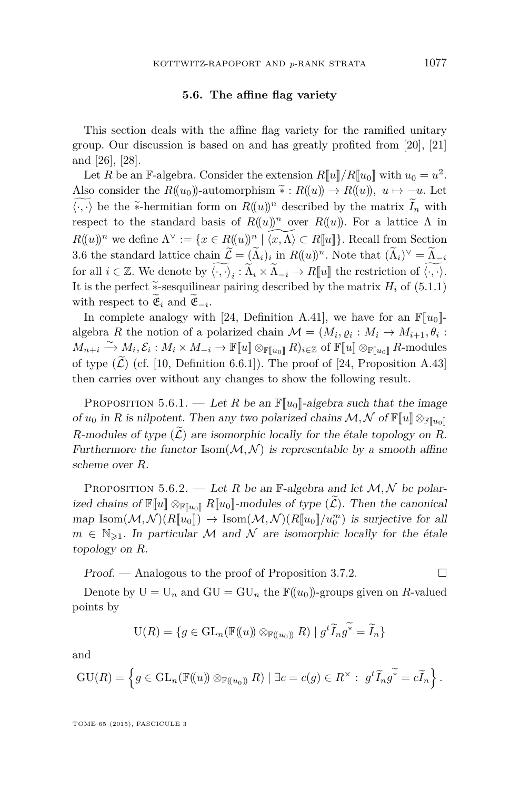## **5.6. The affine flag variety**

<span id="page-47-0"></span>This section deals with the affine flag variety for the ramified unitary group. Our discussion is based on and has greatly profited from [\[20\]](#page-72-0), [\[21\]](#page-72-0) and [\[26\]](#page-72-0), [\[28\]](#page-72-0).

Let *R* be an F-algebra. Consider the extension  $R[\![u]\!]/R[\![u_0]\!]$  with  $u_0 = u^2$ . Also consider the  $R((u_0))$ -automorphism  $\tilde{\ast}: R((u)) \to R((u))$ ,  $u \mapsto -u$ . Let  $\langle \cdot, \cdot \rangle$  be the \*-hermitian form on  $R((u))^n$  described by the matrix  $\widetilde{I}_n$  with respect to the standard basis of  $R((u))^n$  over  $R((u))$ . For a lattice  $\Lambda$  in  $R((u))^n$  we define  $\Lambda^\vee := \{x \in R((u))^n \mid \widetilde{\langle x, \Lambda \rangle} \subset R[[u]]\}$ . Recall from Section [3.6](#page-29-0) the standard lattice chain  $\mathcal{L} = (\Lambda_i)_i$  in  $R((u))^n$ . Note that  $(\Lambda_i)^{\vee} = \Lambda_{i}$ for all  $i \in \mathbb{Z}$ . We denote by  $\langle \cdot, \cdot \rangle_i : \tilde{\Lambda}_i \times \tilde{\Lambda}_{-i} \to R[\![u]\!]$  the restriction of  $\langle \cdot, \cdot \rangle$ . It is the perfect  $\tilde{\ast}$ -sesquilinear pairing described by the matrix  $H_i$  of [\(5.1.1\)](#page-43-0) with respect to  $\mathfrak{E}_i$  and  $\mathfrak{E}_{-i}$ .

In complete analogy with [\[24,](#page-72-0) Definition A.41], we have for an  $\mathbb{F}[u_0]$ algebra *R* the notion of a polarized chain  $\mathcal{M} = (M_i, \varrho_i : M_i \to M_{i+1}, \theta_i :$  $M_{n+i} \xrightarrow{\sim} M_i, \mathcal{E}_i : M_i \times M_{-i} \to \mathbb{F}[\![u]\!] \otimes_{\mathbb{F}[\![u_0]\!]} R)_{i \in \mathbb{Z}}$  of  $\mathbb{F}[\![u]\!] \otimes_{\mathbb{F}[\![u_0]\!]} R$ -modules of type  $(\widetilde{\mathcal{L}})$  (cf. [\[10,](#page-71-0) Definition 6.6.1]). The proof of [\[24,](#page-72-0) Proposition A.43] then carries over without any changes to show the following result.

PROPOSITION 5.6.1. — Let *R* be an  $\mathbb{F}[u_0]$ -algebra such that the image of  $u_0$  in R is nilpotent. Then any two polarized chains  $\mathcal{M}, \mathcal{N}$  of  $\mathbb{F}[u] \otimes_{\mathbb{F}[u_0]}$ *R*-modules of type  $(\widetilde{\mathcal{L}})$  are isomorphic locally for the étale topology on *R*. Furthermore the functor  $\text{Isom}(\mathcal{M}, \mathcal{N})$  is representable by a smooth affine scheme over *R*.

PROPOSITION 5.6.2. — Let *R* be an  $\mathbb{F}\text{-algebra}$  and let  $\mathcal{M}, \mathcal{N}$  be polarized chains of  $\mathbb{F}[u] \otimes_{\mathbb{F}[u_0]} R[u_0]$ -modules of type  $(\tilde{\mathcal{L}})$ . Then the canonical  $map$  Isom $(\mathcal{M}, \mathcal{N})(R[\![u_0]\!]) \to \text{Isom}(\mathcal{M}, \mathcal{N})(R[\![u_0]\!]/u_0^m)$  is surjective for all  $m \in \mathbb{N}_{\geq 1}$ . In particular M and N are isomorphic locally for the étale topology on *R*.

 $Proof.$  — Analogous to the proof of Proposition [3.7.2.](#page-32-0)  $\Box$ 

Denote by  $U = U_n$  and  $GU = GU_n$  the  $\mathbb{F}((u_0))$ -groups given on *R*-valued points by

$$
U(R) = \{ g \in GL_n(\mathbb{F}(\!(u)\!)) \otimes_{\mathbb{F}(\!(u_0)\!)} R) \mid g^t \widetilde{I}_n g^* = \widetilde{I}_n \}
$$

and

$$
\mathrm{GU}(R) = \left\{ g \in \mathrm{GL}_n(\mathbb{F}(\!(u)\!) \otimes_{\mathbb{F}(\!(u_0)\!)} R) \mid \exists c = c(g) \in R^\times : g^t \widetilde{I}_n g^{\widetilde{\ast}} = c \widetilde{I}_n \right\}.
$$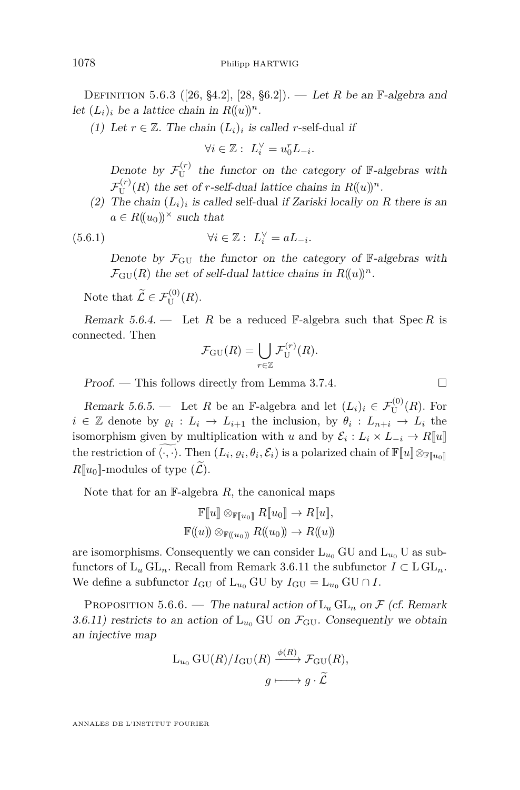<span id="page-48-0"></span>DEFINITION 5.6.3 ([\[26,](#page-72-0) §4.2], [\[28,](#page-72-0) §6.2]). — Let *R* be an  $\mathbb{F}\text{-algebra}$  and let  $(L_i)_i$  be a lattice chain in  $R((u))^n$ .

(1) Let  $r \in \mathbb{Z}$ . The chain  $(L_i)_i$  is called *r*-self-dual if

$$
\forall i\in\mathbb{Z}:\ L_i^\vee=u_0^rL_{-i}.
$$

Denote by  $\mathcal{F}_{\text{U}}^{(r)}$  $U<sup>(r)</sup>$  the functor on the category of F-algebras with  $\mathcal{F}_{\text{U}}^{(r)}$  $U^{(r)}(R)$  the set of *r*-self-dual lattice chains in  $R((u))^n$ .

(2) The chain  $(L_i)_i$  is called self-dual if Zariski locally on R there is an  $a \in R((u_0))^{\times}$  such that

(5.6.1) 
$$
\forall i \in \mathbb{Z}: L_i^{\vee} = aL_{-i}.
$$

Denote by  $\mathcal{F}_{\text{GU}}$  the functor on the category of  $\mathbb{F}_{\text{-}algebras}$  with  $\mathcal{F}_{\rm GU}(R)$  the set of self-dual lattice chains in  $R((u))^n$ .

Note that 
$$
\widetilde{\mathcal{L}} \in \mathcal{F}_{\mathrm{U}}^{(0)}(R)
$$
.

Remark 5.6.4. — Let R be a reduced F-algebra such that  $\text{Spec } R$  is connected. Then

$$
\mathcal{F}_{\mathrm{GU}}(R) = \bigcup_{r \in \mathbb{Z}} \mathcal{F}_{\mathrm{U}}^{(r)}(R).
$$

Proof. — This follows directly from Lemma [3.7.4.](#page-33-0)  $\Box$ 

Remark 5.6.5. — Let *R* be an F-algebra and let  $(L_i)_i \in \mathcal{F}_{\text{U}}^{(0)}(R)$ . For  $i \in \mathbb{Z}$  denote by  $\varrho_i : L_i \to L_{i+1}$  the inclusion, by  $\theta_i : L_{n+i} \to L_i$  the isomorphism given by multiplication with *u* and by  $\mathcal{E}_i: L_i \times L_{-i} \to R[\![u]\!]$ the restriction of  $\langle \cdot, \cdot \rangle$ . Then  $(L_i, \varrho_i, \theta_i, \mathcal{E}_i)$  is a polarized chain of  $\mathbb{F}[u] \otimes_{\mathbb{F}[u_0]}$  $R[\![u_0]\!]$ -modules of type  $(\mathcal{L})$ .

Note that for an F-algebra *R*, the canonical maps

$$
\mathbb{F}[u] \otimes_{\mathbb{F}[u_0]} R[u_0] \to R[u],
$$
  

$$
\mathbb{F}((u)) \otimes_{\mathbb{F}((u_0))} R((u_0)) \to R((u))
$$

are isomorphisms. Consequently we can consider  $L_{u_0}$  GU and  $L_{u_0}$  U as subfunctors of  $L_u GL_n$ . Recall from Remark [3.6.11](#page-31-0) the subfunctor  $I \subset L GL_n$ . We define a subfunctor  $I_{\text{GU}}$  of  $L_{u_0}$  GU by  $I_{\text{GU}} = L_{u_0}$  GU  $\cap$  *I*.

PROPOSITION 5.6.6. — The natural action of  $L_u GL_n$  on  $\mathcal F$  (cf. Remark [3.6.11\)](#page-31-0) restricts to an action of  $L_{u_0}$  GU on  $\mathcal{F}_{GU}$ . Consequently we obtain an injective map

$$
L_{u_0} \text{GU}(R)/I_{\text{GU}}(R) \xrightarrow{\phi(R)} \mathcal{F}_{\text{GU}}(R),
$$

$$
g \longmapsto g \cdot \widetilde{\mathcal{L}}
$$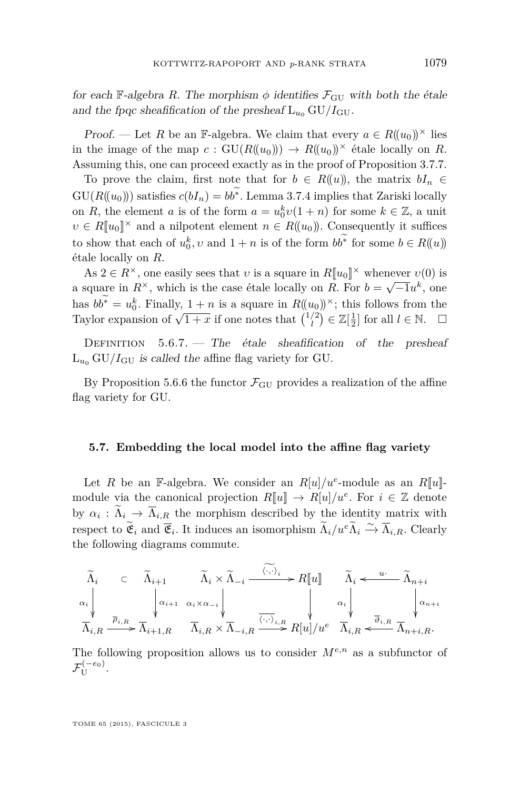for each F-algebra *R*. The morphism  $\phi$  identifies  $\mathcal{F}_{\text{GU}}$  with both the étale and the fpqc sheafification of the presheaf  $L_{u_0}$  GU/ $I_{\text{GU}}$ .

Proof. — Let *R* be an F-algebra. We claim that every  $a \in R((u_0))^{\times}$  lies in the image of the map  $c : \text{GU}(R(\{u_0\})) \to R(\{u_0\})^{\times}$  étale locally on *R*. Assuming this, one can proceed exactly as in the proof of Proposition [3.7.7.](#page-33-0)

To prove the claim, first note that for  $b \in R((u))$ , the matrix  $bI_n \in$  $GU(R(\langle u_0 \rangle))$  satisfies  $c(bI_n) = bb^*$ . Lemma [3.7.4](#page-33-0) implies that Zariski locally on *R*, the element *a* is of the form  $a = u_0^k v(1 + n)$  for some  $k \in \mathbb{Z}$ , a unit  $v \in R[[u_0]]^{\times}$  and a nilpotent element  $n \in R((u_0))$ . Consequently it suffices to show that each of  $u_0^k$ , *v* and  $1 + n$  is of the form  $bb^*$  for some  $b \in R((u))$ étale locally on *R*.

As  $2 \in R^{\times}$ , one easily sees that *v* is a square in  $R[[u_0]^{\times}$  whenever  $v(0)$  is a square in  $R^{\times}$ , which is the case étale locally on *R*. For  $b = \sqrt{-1}u^k$ , one has  $bb^* = u_0^k$ . Finally,  $\frac{1+n}{2}$  is a square in  $R((u_0))^{\times}$ ; this follows from the Taylor expansion of  $\sqrt{1+x}$  is a square in  $I_{\lambda}(\alpha_0)$ , this follows from the Taylor expansion of  $\sqrt{1+x}$  if one notes that  $\binom{1/2}{l} \in \mathbb{Z}[\frac{1}{2}]$  for all  $l \in \mathbb{N}$ .

DEFINITION  $5.6.7.$  The étale sheafification of the presheaf  $L_{u_0}$  GU/ $I_{\text{GU}}$  is called the affine flag variety for GU.

By Proposition [5.6.6](#page-48-0) the functor  $\mathcal{F}_{\text{GU}}$  provides a realization of the affine flag variety for GU.

# **5.7. Embedding the local model into the affine flag variety**

Let *R* be an F-algebra. We consider an  $R[u]/u^e$ -module as an  $R[u]$ module via the canonical projection  $R[\![u]\!] \to R[u]/u^e$ . For  $i \in \mathbb{Z}$  denote by  $\alpha_i : \Lambda_i \to \Lambda_{i,\underline{R}}$  the morphism described by the identity matrix with respect to  $\widetilde{\mathfrak{E}}_i$  and  $\overline{\mathfrak{E}}_i$ . It induces an isomorphism  $\widetilde{\Lambda}_i/u^e \widetilde{\Lambda}_i \xrightarrow{\sim} \overline{\Lambda}_{i,R}$ . Clearly the following diagrams commute.

$$
\widetilde{\Lambda}_i \quad \subset \quad \widetilde{\Lambda}_{i+1} \qquad \widetilde{\Lambda}_i \times \widetilde{\Lambda}_{-i} \xrightarrow{\langle \cdot, \cdot \rangle_i} R[\![u]\!] \qquad \widetilde{\Lambda}_i \xleftarrow{u} \widetilde{\Lambda}_{n+i}
$$
\n
$$
\alpha_i \downarrow \qquad \downarrow \qquad \downarrow \qquad \downarrow \qquad \downarrow \qquad \downarrow \qquad \downarrow \qquad \downarrow \qquad \downarrow \qquad \downarrow \qquad \downarrow \qquad \downarrow \qquad \downarrow \qquad \downarrow \qquad \downarrow \qquad \downarrow \qquad \downarrow \qquad \downarrow \qquad \downarrow \qquad \downarrow \qquad \downarrow \qquad \downarrow \qquad \downarrow \qquad \downarrow \qquad \downarrow \qquad \downarrow \qquad \downarrow \qquad \downarrow \qquad \downarrow \qquad \downarrow \qquad \downarrow \qquad \downarrow \qquad \downarrow \qquad \downarrow \qquad \downarrow \qquad \downarrow \qquad \downarrow \qquad \downarrow \qquad \downarrow \qquad \downarrow \qquad \downarrow \qquad \downarrow \qquad \downarrow \qquad \downarrow \qquad \downarrow \qquad \downarrow \qquad \downarrow \qquad \downarrow \qquad \downarrow \qquad \downarrow \qquad \downarrow \qquad \downarrow \qquad \downarrow \qquad \downarrow \qquad \downarrow \qquad \downarrow \qquad \downarrow \qquad \downarrow \qquad \downarrow \qquad \downarrow \qquad \downarrow \qquad \downarrow \qquad \downarrow \qquad \downarrow \qquad \downarrow \qquad \downarrow \qquad \downarrow \qquad \downarrow \qquad \downarrow \qquad \downarrow \qquad \downarrow \qquad \downarrow \qquad \downarrow \qquad \downarrow \qquad \downarrow \qquad \downarrow \qquad \downarrow \qquad \downarrow \qquad \downarrow \qquad \downarrow \qquad \downarrow \qquad \downarrow \qquad \downarrow \qquad \downarrow \qquad \downarrow \qquad \downarrow \qquad \downarrow \qquad \downarrow \qquad \downarrow \qquad \downarrow \qquad \downarrow \qquad \downarrow \qquad \downarrow \qquad \downarrow \qquad \downarrow \qquad \downarrow \qquad \downarrow \qquad \downarrow \qquad \downarrow \qquad \downarrow \qquad \downarrow \qquad \downarrow \qquad \downarrow \qquad \downarrow \qquad \downarrow \qquad \downarrow \qquad \downarrow \qquad \downarrow \qquad \downarrow \q
$$

The following proposition allows us to consider *Me,n* as a subfunctor of  $\mathcal{F}_{\mathrm{U}}^{(-e_{0})}.$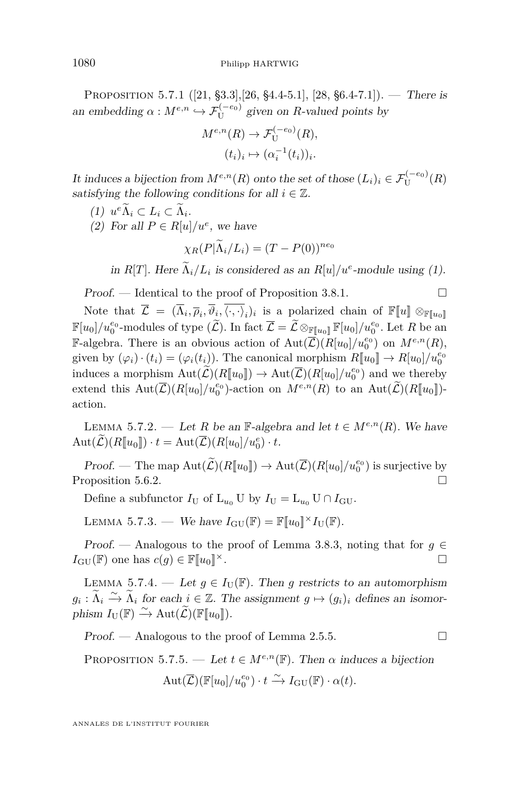<span id="page-50-0"></span>PROPOSITION 5.7.1  $([21, §3.3], [26, §4.4-5.1], [28, §6.4-7.1]).$  $([21, §3.3], [26, §4.4-5.1], [28, §6.4-7.1]).$  $([21, §3.3], [26, §4.4-5.1], [28, §6.4-7.1]).$  $([21, §3.3], [26, §4.4-5.1], [28, §6.4-7.1]).$  $([21, §3.3], [26, §4.4-5.1], [28, §6.4-7.1]).$  $([21, §3.3], [26, §4.4-5.1], [28, §6.4-7.1]).$  $([21, §3.3], [26, §4.4-5.1], [28, §6.4-7.1]).$  There is an embedding  $\alpha : M^{e,n} \hookrightarrow \mathcal{F}_{U}^{(-e_0)}$  given on *R*-valued points by

$$
M^{e,n}(R) \to \mathcal{F}_{\mathbf{U}}^{(-e_0)}(R),
$$

$$
(t_i)_i \mapsto (\alpha_i^{-1}(t_i))_i.
$$

It induces a bijection from  $M^{e,n}(R)$  onto the set of those  $(L_i)_i \in \mathcal{F}_{\text{U}}^{(-e_0)}(R)$ satisfying the following conditions for all  $i \in \mathbb{Z}$ .

$$
(1) ue \widetilde{\Lambda}_i \subset L_i \subset \widetilde{\Lambda}_i.
$$

(2) For all  $P \in R[u]/u^e$ , we have

$$
\chi_R(P|\widetilde{\Lambda}_i/L_i) = (T - P(0))^{ne_0}
$$

in *R*[*T*]. Here  $\Lambda_i/L_i$  is considered as an *R*[*u*]/*u*<sup>*e*</sup>-module using (1).

 $Proof.$  — Identical to the proof of Proposition [3.8.1.](#page-35-0)

Note that  $\overline{\mathcal{L}} = (\overline{\Lambda}_i, \overline{\rho}_i, \overline{\langle \cdot, \cdot \rangle}_i)$  is a polarized chain of  $\mathbb{F}[\![u]\!] \otimes_{\mathbb{F}[\![u_0]\!]}$  $\mathbb{F}[u_0]/u_0^{e_0}$ -modules of type  $(\widetilde{\mathcal{L}})$ . In fact  $\overline{\mathcal{L}} = \widetilde{\mathcal{L}} \otimes_{\mathbb{F}[u_0]} \mathbb{F}[u_0]/u_0^{e_0}$ . Let  $R$  be an F-algebra. There is an obvious action of  $Aut(\overline{\mathcal{L}})(R[u_0]/u_0^{e_0})$  on  $M^{e,n}(R)$ , given by  $(\varphi_i) \cdot (t_i) = (\varphi_i(t_i))$ . The canonical morphism  $R[\![u_0]\!] \to R[u_0]/u_0^{e_0}$ induces a morphism  $\text{Aut}(\widetilde{\mathcal{L}})(R[\![u_0]\!]) \to \text{Aut}(\widetilde{\mathcal{L}})(R[\![u_0]\!]/u_0^{e_0})$  and we thereby extend this  $Aut(\overline{\mathcal{L}})(R[u_0]/u_0^{e_0})$ -action on  $M^{e,n}(R)$  to an  $Aut(\widetilde{\mathcal{L}})(R[u_0])$ action.

LEMMA 5.7.2. — Let *R* be an F-algebra and let  $t \in M^{e,n}(R)$ . We have  $\mathrm{Aut}(\mathcal{L})(R[\![u_0]\!]) \cdot t = \mathrm{Aut}(\mathcal{L})(R[u_0]/u_0^e) \cdot t.$ 

Proof. — The map  $\text{Aut}(\widetilde{\mathcal{L}})(R[\![u_0]\!]) \to \text{Aut}(\overline{\mathcal{L}})(R[\![u_0]\!]/u_0^{e_0})$  is surjective by Proposition [5.6.2.](#page-47-0)

Define a subfunctor  $I_U$  of  $L_{u_0}$  U by  $I_U = L_{u_0}$  U  $\cap$   $I_{GU}$ .

LEMMA 5.7.3. — We have  $I_{\text{GU}}(\mathbb{F}) = \mathbb{F}[u_0]^{\times}I_{\text{U}}(\mathbb{F})$ .

Proof. — Analogous to the proof of Lemma [3.8.3,](#page-36-0) noting that for  $g \in$  $I_{\mathrm{GU}}(\mathbb{F})$  one has  $c(g) \in \mathbb{F}[u_0]^{\times}$ .

LEMMA 5.7.4. — Let  $g \in I_{\mathrm{U}}(\mathbb{F})$ . Then g restricts to an automorphism  $g_i: \widetilde{\Lambda}_i \xrightarrow{\sim} \widetilde{\Lambda}_i$  for each  $i \in \mathbb{Z}$ . The assignment  $g \mapsto (g_i)_i$  defines an isomorphism  $I_{\mathrm{U}}(\mathbb{F}) \xrightarrow{\sim} \mathrm{Aut}(\widetilde{\mathcal{L}})(\mathbb{F}[\![u_0]\!]).$ 

 $Proof.$  — Analogous to the proof of Lemma [2.5.5.](#page-18-0)

PROPOSITION 5.7.5. — Let  $t \in M^{e,n}(\mathbb{F})$ . Then  $\alpha$  induces a bijection

$$
Aut(\overline{\mathcal{L}})(\mathbb{F}[u_0]/u_0^{e_0}) \cdot t \xrightarrow{\sim} I_{\mathrm{GU}}(\mathbb{F}) \cdot \alpha(t).
$$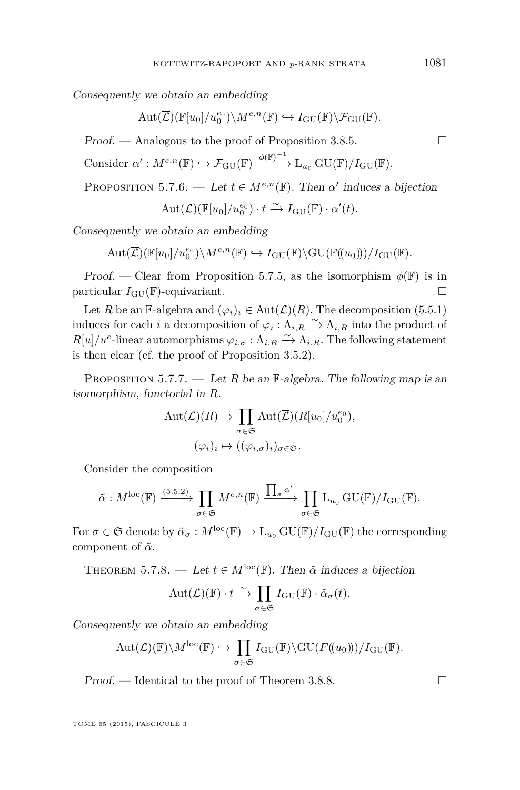<span id="page-51-0"></span>Consequently we obtain an embedding

$$
\mathrm{Aut}(\overline{\mathcal{L}})(\mathbb{F}[u_0]/u_0^{e_0})\backslash M^{e,n}(\mathbb{F}) \hookrightarrow I_{\mathrm{GU}}(\mathbb{F})\backslash \mathcal{F}_{\mathrm{GU}}(\mathbb{F}).
$$

Proof. — Analogous to the proof of Proposition [3.8.5.](#page-36-0)

Consider  $\alpha': M^{e,n}(\mathbb{F}) \hookrightarrow \mathcal{F}_{\mathrm{GU}}(\mathbb{F}) \xrightarrow{\phi(\mathbb{F})^{-1}} L_{u_0} \mathrm{GU}(\mathbb{F})/I_{\mathrm{GU}}(\mathbb{F}).$ 

PROPOSITION 5.7.6. — Let  $t \in M^{e,n}(\mathbb{F})$ . Then  $\alpha'$  induces a bijection

 $\mathrm{Aut}(\overline{\mathcal{L}})(\mathbb{F}[u_0]/u_0^{e_0}) \cdot t \xrightarrow{\sim} I_{\mathrm{GU}}(\mathbb{F}) \cdot \alpha'(t).$ 

Consequently we obtain an embedding

$$
\mathrm{Aut}(\overline{\mathcal{L}})(\mathbb{F}[u_0]/u_0^{e_0})\backslash M^{e,n}(\mathbb{F}) \hookrightarrow I_{\mathrm{GU}}(\mathbb{F})\backslash \mathrm{GU}(\mathbb{F}(\!(u_0)\!))/I_{\mathrm{GU}}(\mathbb{F}).
$$

Proof. — Clear from Proposition [5.7.5,](#page-50-0) as the isomorphism  $\phi(\mathbb{F})$  is in particular  $I_{\text{GU}}(\mathbb{F})$ -equivariant.

Let *R* be an F-algebra and  $(\varphi_i)_i \in \text{Aut}(\mathcal{L})(R)$ . The decomposition [\(5.5.1\)](#page-46-0) induces for each *i* a decomposition of  $\varphi_i : \Lambda_{i,R} \xrightarrow{\sim} \Lambda_{i,R}$  into the product of  $R[u]/u^e$ -linear automorphisms  $\varphi_{i,\sigma} : \overline{\Lambda}_{i,R} \stackrel{\sim}{\to} \overline{\Lambda}_{i,R}$ . The following statement is then clear (cf. the proof of Proposition [3.5.2\)](#page-29-0).

PROPOSITION 5.7.7. — Let *R* be an  $\mathbb{F}\text{-algebra}$ . The following map is an isomorphism, functorial in *R*.

$$
\text{Aut}(\mathcal{L})(R) \to \prod_{\sigma \in \mathfrak{S}} \text{Aut}(\overline{\mathcal{L}})(R[u_0]/u_0^{e_0}),
$$
  

$$
(\varphi_i)_i \mapsto ((\varphi_{i,\sigma})_i)_{\sigma \in \mathfrak{S}}.
$$

Consider the composition

$$
\tilde{\alpha}: M^{\text{loc}}(\mathbb{F}) \xrightarrow{\text{(5.5.2)}} \prod_{\sigma \in \mathfrak{S}} M^{e,n}(\mathbb{F}) \xrightarrow{\prod_{\sigma} \alpha'} \prod_{\sigma \in \mathfrak{S}} L_{u_0} \text{GU}(\mathbb{F})/I_{\text{GU}}(\mathbb{F}).
$$

For  $\sigma \in \mathfrak{S}$  denote by  $\tilde{\alpha}_{\sigma}: M^{\text{loc}}(\mathbb{F}) \to L_{u_0} \text{GU}(\mathbb{F})/I_{\text{GU}}(\mathbb{F})$  the corresponding component of  $\tilde{\alpha}$ .

THEOREM 5.7.8. — Let  $t \in M^{\text{loc}}(\mathbb{F})$ . Then  $\tilde{\alpha}$  induces a bijection

$$
\mathrm{Aut}(\mathcal{L})(\mathbb{F}) \cdot t \xrightarrow{\sim} \prod_{\sigma \in \mathfrak{S}} I_{\mathrm{GU}}(\mathbb{F}) \cdot \tilde{\alpha}_{\sigma}(t).
$$

Consequently we obtain an embedding

$$
\mathrm{Aut}(\mathcal{L})(\mathbb{F})\backslash M^{\mathrm{loc}}(\mathbb{F})\hookrightarrow \prod_{\sigma\in\mathfrak{S}}I_{\mathrm{GU}}(\mathbb{F})\backslash\mathrm{GU}(F(\!(u_0)\!))/I_{\mathrm{GU}}(\mathbb{F}).
$$

 $Proof.$  — Identical to the proof of Theorem [3.8.8.](#page-37-0)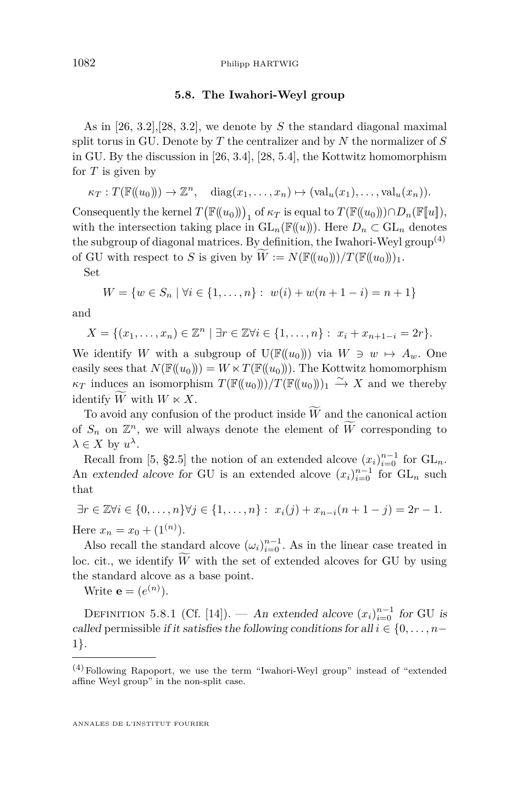### **5.8. The Iwahori-Weyl group**

As in [\[26,](#page-72-0) 3.2],[\[28,](#page-72-0) 3.2], we denote by *S* the standard diagonal maximal split torus in GU. Denote by *T* the centralizer and by *N* the normalizer of *S* in GU. By the discussion in [\[26,](#page-72-0) 3.4], [\[28,](#page-72-0) 5.4], the Kottwitz homomorphism for *T* is given by

 $\kappa_T : T(\mathbb{F}((u_0))) \to \mathbb{Z}^n$ , diag $(x_1, \ldots, x_n) \mapsto (\text{val}_u(x_1), \ldots, \text{val}_u(x_n)).$ 

Consequently the kernel  $T(\mathbb{F}((u_0)))_1$  of  $\kappa_T$  is equal to  $T(\mathbb{F}((u_0))) \cap D_n(\mathbb{F}[u]),$ with the intersection taking place in  $GL_n(\mathbb{F}(\!(u)\!)).$  Here  $D_n \subset GL_n$  denotes the subgroup of diagonal matrices. By definition, the Iwahori-Weyl group<sup> $(4)$ </sup> of GU with respect to *S* is given by  $W := N(\mathbb{F}((u_0)))/T(\mathbb{F}((u_0)))_1$ .

Set

$$
W = \{ w \in S_n \mid \forall i \in \{1, \dots, n\} : w(i) + w(n+1-i) = n+1 \}
$$

and

$$
X = \{(x_1, \ldots, x_n) \in \mathbb{Z}^n \mid \exists r \in \mathbb{Z} \forall i \in \{1, \ldots, n\} : x_i + x_{n+1-i} = 2r\}.
$$

We identify *W* with a subgroup of  $U(\mathbb{F}((u_0)))$  via  $W \ni w \mapsto A_w$ . One easily sees that  $N(\mathbb{F}((u_0))) = W \ltimes T(\mathbb{F}((u_0)))$ . The Kottwitz homomorphism  $\kappa_T$  induces an isomorphism  $T(\mathbb{F}((u_0)))/T(\mathbb{F}((u_0)))_1 \stackrel{\sim}{\to} X$  and we thereby identify  $\tilde{W}$  with  $W \ltimes X$ .

To avoid any confusion of the product inside  $\widetilde{W}$  and the canonical action of  $S_n$  on  $\mathbb{Z}^n$ , we will always denote the element of  $\widetilde{W}$  corresponding to  $\lambda \in X$  by  $u^{\lambda}$ .

Recall from [\[5,](#page-71-0) §2.5] the notion of an extended alcove  $(x_i)_{i=0}^{n-1}$  for  $GL_n$ . An extended alcove for GU is an extended alcove  $(x_i)_{i=0}^{n-1}$  for  $GL_n$  such that

$$
\exists r \in \mathbb{Z} \forall i \in \{0, ..., n\} \forall j \in \{1, ..., n\} : x_i(j) + x_{n-i}(n+1-j) = 2r - 1.
$$
  
Here  $x_n = x_0 + (1^{(n)})$ .

Also recall the standard alcove  $(\omega_i)_{i=0}^{n-1}$ . As in the linear case treated in loc. cit., we identify  $\tilde{W}$  with the set of extended alcoves for GU by using the standard alcove as a base point.

Write  $\mathbf{e} = (e^{(n)})$ .

DEFINITION 5.8.1 (Cf. [\[14\]](#page-72-0)). — An extended alcove  $(x_i)_{i=0}^{n-1}$  for GU is called permissible if it satisfies the following conditions for all  $i \in \{0, \ldots, n-1\}$ 1}.

 $(4)$  Following Rapoport, we use the term "Iwahori-Weyl group" instead of "extended affine Weyl group" in the non-split case.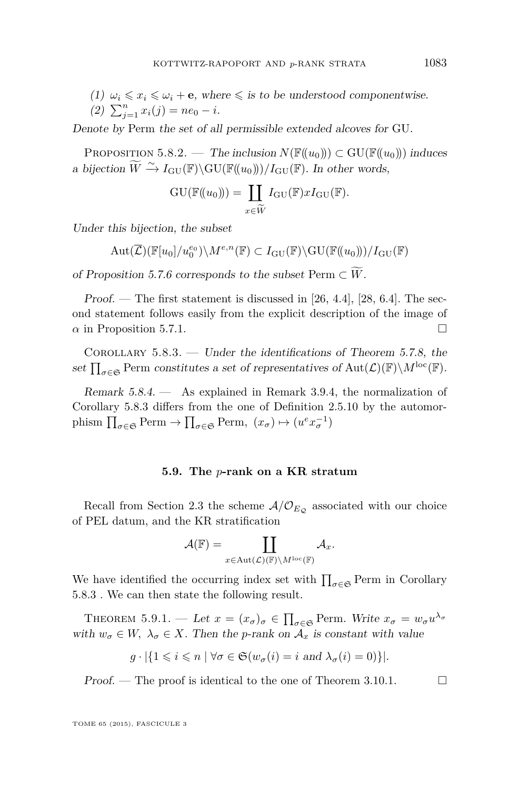(1)  $\omega_i \leq x_i \leq \omega_i + \mathbf{e}$ , where  $\leq$  is to be understood componentwise.

(2) 
$$
\sum_{j=1}^{n} x_i(j) = ne_0 - i.
$$

Denote by Perm the set of all permissible extended alcoves for GU.

PROPOSITION 5.8.2. — The inclusion  $N(\mathbb{F}(\langle u_0 \rangle)) \subset \text{GU}(\mathbb{F}(\langle u_0 \rangle))$  induces a bijection  $\widetilde{W} \xrightarrow{\sim} I_{\text{GU}}(\mathbb{F})\backslash\text{GU}(\mathbb{F}((u_0)))/I_{\text{GU}}(\mathbb{F})$ . In other words,

$$
GU(\mathbb{F}(\!(u_0)\!)) = \coprod_{x \in \widetilde{W}} I_{GU}(\mathbb{F}) x I_{GU}(\mathbb{F}).
$$

Under this bijection, the subset

$$
\operatorname{Aut}(\overline{\mathcal{L}})(\mathbb{F}[u_0]/u_0^{e_0})\backslash M^{e,n}(\mathbb{F})\subset I_{\text{GU}}(\mathbb{F})\backslash \text{GU}(\mathbb{F}((u_0)))/I_{\text{GU}}(\mathbb{F})
$$

of Proposition [5.7.6](#page-51-0) corresponds to the subset Perm  $\subset W$ .

Proof. — The first statement is discussed in  $[26, 4.4]$  $[26, 4.4]$ ,  $[28, 6.4]$  $[28, 6.4]$ . The second statement follows easily from the explicit description of the image of  $\alpha$  in Proposition [5.7.1.](#page-50-0)

Corollary 5.8.3. — Under the identifications of Theorem [5.7.8,](#page-51-0) the set  $\prod_{\sigma\in\mathfrak{S}}$  Perm constitutes a set of representatives of  $Aut(\mathcal{L})(\mathbb{F})\backslash M^{\text{loc}}(\mathbb{F})$ .

Remark 5.8.4. — As explained in Remark [3.9.4,](#page-38-0) the normalization of Corollary 5.8.3 differs from the one of Definition [2.5.10](#page-22-0) by the automorphism  $\prod_{\sigma \in \mathfrak{S}} \text{Perm} \to \prod_{\sigma \in \mathfrak{S}} \text{Perm}, \ (x_{\sigma}) \mapsto (u^e x_{\sigma}^{-1})$ 

### **5.9. The** *p***-rank on a KR stratum**

Recall from Section [2.3](#page-11-0) the scheme  $A/O_{E_Q}$  associated with our choice of PEL datum, and the KR stratification

$$
\mathcal{A}(\mathbb{F})=\coprod_{x\in \text{Aut}(\mathcal{L})(\mathbb{F})\backslash M^{\text{loc}}(\mathbb{F})}\mathcal{A}_{x}.
$$

We have identified the occurring index set with  $\prod_{\sigma \in \mathfrak{S}}$  Perm in Corollary 5.8.3 . We can then state the following result.

THEOREM 5.9.1. — Let  $x = (x_{\sigma})_{\sigma} \in \prod_{\sigma \in \mathfrak{S}}$  Perm. Write  $x_{\sigma} = w_{\sigma} u^{\lambda_{\sigma}}$ with  $w_{\sigma} \in W$ ,  $\lambda_{\sigma} \in X$ . Then the *p*-rank on  $\mathcal{A}_x$  is constant with value

$$
g \cdot |\{1 \leq i \leq n \mid \forall \sigma \in \mathfrak{S}(w_{\sigma}(i) = i \text{ and } \lambda_{\sigma}(i) = 0)\}|.
$$

Proof. — The proof is identical to the one of Theorem [3.10.1.](#page-39-0)  $\Box$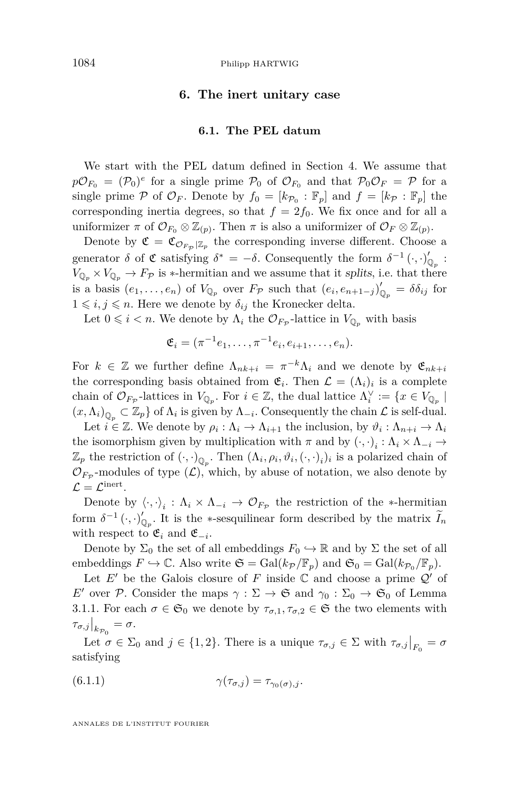## **6. The inert unitary case**

### **6.1. The PEL datum**

<span id="page-54-0"></span>We start with the PEL datum defined in Section [4.](#page-42-0) We assume that  $p\mathcal{O}_{F_0} = (\mathcal{P}_0)^e$  for a single prime  $\mathcal{P}_0$  of  $\mathcal{O}_{F_0}$  and that  $\mathcal{P}_0\mathcal{O}_F = \mathcal{P}$  for a single prime  $P$  of  $\mathcal{O}_F$ . Denote by  $f_0 = [k_{\mathcal{P}_0} : \mathbb{F}_p]$  and  $f = [k_{\mathcal{P}} : \mathbb{F}_p]$  the corresponding inertia degrees, so that  $f = 2f_0$ . We fix once and for all a uniformizer  $\pi$  of  $\mathcal{O}_{F_0} \otimes \mathbb{Z}_{(p)}$ . Then  $\pi$  is also a uniformizer of  $\mathcal{O}_F \otimes \mathbb{Z}_{(p)}$ .

Denote by  $\mathfrak{C} = \mathfrak{C}_{\mathcal{O}_{F_{\mathcal{P}}}|\mathbb{Z}_p}$  the corresponding inverse different. Choose a generator  $\delta$  of  $\mathfrak C$  satisfying  $\delta^* = -\delta$ . Consequently the form  $\delta^{-1}(\cdot,\cdot)_{\mathbb Q_p}'$ .  $V_{\mathbb{Q}_p} \times V_{\mathbb{Q}_p} \to F_{\mathcal{P}}$  is \*-hermitian and we assume that it splits, i.e. that there is a basis  $(e_1, \ldots, e_n)$  of  $V_{\mathbb{Q}_p}$  over  $F_{\mathcal{P}}$  such that  $(e_i, e_{n+1-j})'_{\mathbb{Q}_p} = \delta \delta_{ij}$  for  $1 \leq i, j \leq n$ . Here we denote by  $\delta_{ij}$  the Kronecker delta.

Let  $0 \leq i < n$ . We denote by  $\Lambda_i$  the  $\mathcal{O}_{F_{\mathcal{P}}}$ -lattice in  $V_{\mathbb{Q}_p}$  with basis

$$
\mathfrak{E}_i = (\pi^{-1}e_1, \dots, \pi^{-1}e_i, e_{i+1}, \dots, e_n).
$$

For  $k \in \mathbb{Z}$  we further define  $\Lambda_{nk+i} = \pi^{-k}\Lambda_i$  and we denote by  $\mathfrak{E}_{nk+i}$ the corresponding basis obtained from  $\mathfrak{E}_i$ . Then  $\mathcal{L} = (\Lambda_i)_i$  is a complete chain of  $\mathcal{O}_{F_{\mathcal{P}}}$ -lattices in  $V_{\mathbb{Q}_p}$ . For  $i \in \mathbb{Z}$ , the dual lattice  $\Lambda_i^{\vee} := \{x \in V_{\mathbb{Q}_p} \mid$  $(x, \Lambda_i)_{\mathbb{Q}_p} \subset \mathbb{Z}_p$  of  $\Lambda_i$  is given by  $\Lambda_{-i}$ . Consequently the chain  $\mathcal L$  is self-dual.

Let  $i \in \mathbb{Z}$ . We denote by  $\rho_i : \Lambda_i \to \Lambda_{i+1}$  the inclusion, by  $\vartheta_i : \Lambda_{n+i} \to \Lambda_i$ the isomorphism given by multiplication with  $\pi$  and by  $(\cdot, \cdot)_i : \Lambda_i \times \Lambda_{-i} \to$  $\mathbb{Z}_p$  the restriction of  $(\cdot, \cdot)_{\mathbb{Q}_p}$ . Then  $(\Lambda_i, \rho_i, \vartheta_i, (\cdot, \cdot)_i)_i$  is a polarized chain of  $\mathcal{O}_{F_{\mathcal{P}}}$ -modules of type  $(\mathcal{L})$ , which, by abuse of notation, we also denote by  $\mathcal{L} = \mathcal{L}^{\text{inert}}.$ 

Denote by  $\langle \cdot, \cdot \rangle_i : \Lambda_i \times \Lambda_{-i} \to \mathcal{O}_{F_{\mathcal{P}}}$  the restriction of the ∗-hermitian form  $\delta^{-1}(\cdot, \cdot)_{\mathbb{Q}_p}^{\prime}$ . It is the ∗-sesquilinear form described by the matrix  $\widetilde{I}_n$ with respect to  $\mathfrak{E}_i$  and  $\mathfrak{E}_{-i}$ .

Denote by  $\Sigma_0$  the set of all embeddings  $F_0 \hookrightarrow \mathbb{R}$  and by  $\Sigma$  the set of all embeddings  $F \hookrightarrow \mathbb{C}$ . Also write  $\mathfrak{S} = \text{Gal}(k_{\mathcal{P}}/\mathbb{F}_p)$  and  $\mathfrak{S}_0 = \text{Gal}(k_{\mathcal{P}_0}/\mathbb{F}_p)$ .

Let  $E'$  be the Galois closure of  $F$  inside  $\mathbb C$  and choose a prime  $\mathcal Q'$  of *E*<sup>0</sup> over P. Consider the maps  $\gamma : \Sigma \to \mathfrak{S}$  and  $\gamma_0 : \Sigma_0 \to \mathfrak{S}_0$  of Lemma [3.1.1.](#page-25-0) For each  $\sigma \in \mathfrak{S}_0$  we denote by  $\tau_{\sigma,1}, \tau_{\sigma,2} \in \mathfrak{S}$  the two elements with  $\tau_{\sigma,j}|_{k_{\mathcal{P}_0}} = \sigma.$ 

Let  $\sigma \in \Sigma_0$  and  $j \in \{1, 2\}$ . There is a unique  $\tau_{\sigma, j} \in \Sigma$  with  $\tau_{\sigma, j}|_{F_0} = \sigma$ satisfying

(6.1.1) 
$$
\gamma(\tau_{\sigma,j}) = \tau_{\gamma_0(\sigma),j}.
$$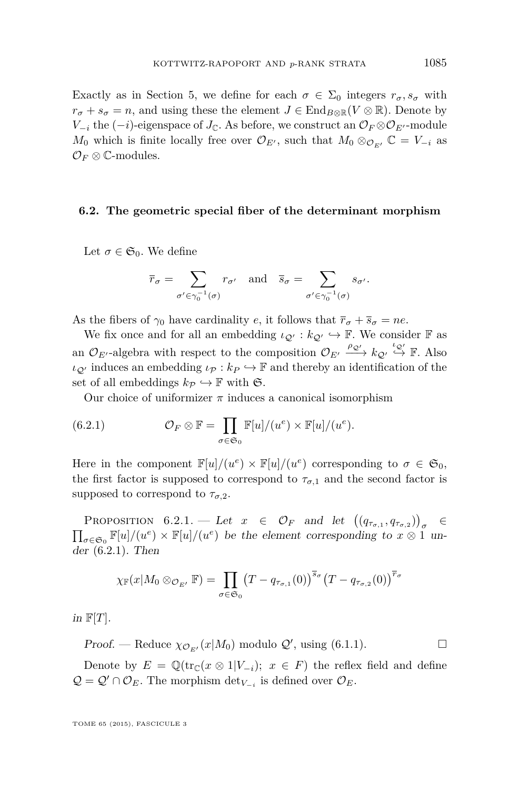<span id="page-55-0"></span>Exactly as in Section [5,](#page-43-0) we define for each  $\sigma \in \Sigma_0$  integers  $r_{\sigma}, s_{\sigma}$  with  $r_{\sigma} + s_{\sigma} = n$ , and using these the element  $J \in$  End<sub>*B*⊗R</sub>(*V* ⊗ R). Denote by *V*<sub>−*i*</sub> the  $(-i)$ -eigenspace of *J*<sub>C</sub>. As before, we construct an  $\mathcal{O}_F \otimes \mathcal{O}_{E'}$ -module *M*<sub>0</sub> which is finite locally free over  $\mathcal{O}_{E'}$ , such that  $M_0 \otimes_{\mathcal{O}_{E'}} \mathbb{C} = V_{-i}$  as  $\mathcal{O}_F\otimes\mathbb{C}$ -modules.

### **6.2. The geometric special fiber of the determinant morphism**

Let  $\sigma \in \mathfrak{S}_0$ . We define

$$
\overline{r}_{\sigma} = \sum_{\sigma' \in \gamma_0^{-1}(\sigma)} r_{\sigma'} \quad \text{and} \quad \overline{s}_{\sigma} = \sum_{\sigma' \in \gamma_0^{-1}(\sigma)} s_{\sigma'}.
$$

As the fibers of  $\gamma_0$  have cardinality *e*, it follows that  $\bar{r}_{\sigma} + \bar{s}_{\sigma} = ne$ .

We fix once and for all an embedding  $\iota_{\mathcal{Q}} : k_{\mathcal{Q}} \hookrightarrow \mathbb{F}$ . We consider  $\mathbb{F}$  as an  $\mathcal{O}_{E'}$ -algebra with respect to the composition  $\mathcal{O}_{E'} \xrightarrow{\rho_{\mathcal{Q}'}} k_{\mathcal{Q}'} \stackrel{\iota_{\mathcal{Q}'}}{\rightarrow} \mathbb{F}$ . Also  $\iota_{\mathcal{Q}}$  induces an embedding  $\iota_{\mathcal{P}} : k_P \hookrightarrow \mathbb{F}$  and thereby an identification of the set of all embeddings  $k_P \hookrightarrow \mathbb{F}$  with  $\mathfrak{S}$ .

Our choice of uniformizer  $\pi$  induces a canonical isomorphism

(6.2.1) 
$$
\mathcal{O}_F \otimes \mathbb{F} = \prod_{\sigma \in \mathfrak{S}_0} \mathbb{F}[u]/(u^e) \times \mathbb{F}[u]/(u^e).
$$

Here in the component  $\mathbb{F}[u]/(u^e) \times \mathbb{F}[u]/(u^e)$  corresponding to  $\sigma \in \mathfrak{S}_0$ , the first factor is supposed to correspond to  $\tau_{\sigma,1}$  and the second factor is supposed to correspond to  $\tau_{\sigma,2}$ .

PROPOSITION 6.2.1. — Let  $x \in \mathcal{O}_F$  and let  $((q_{\tau_{\sigma,1}}, q_{\tau_{\sigma,2}}))_{\sigma}$ ∈  $\prod_{\sigma \in \mathfrak{S}_0} \mathbb{F}[u]/(u^e) \times \mathbb{F}[u]/(u^e)$  be the element corresponding to  $x \otimes 1$  under (6.2.1). Then

$$
\chi_{\mathbb{F}}(x|M_0\otimes_{\mathcal{O}_{E'}}\mathbb{F})=\prod_{\sigma\in\mathfrak{S}_0}\left(T-q_{\tau_{\sigma,1}}(0)\right)^{\overline{s}_{\sigma}}\left(T-q_{\tau_{\sigma,2}}(0)\right)^{\overline{r}_{\sigma}}
$$

in  $\mathbb{F}[T]$ .

Proof. — Reduce  $\chi_{\mathcal{O}_{E'}}(x|M_0)$  modulo  $\mathcal{Q}'$ , using [\(6.1.1\)](#page-54-0).

Denote by  $E = \mathbb{Q}(\text{tr}_{\mathbb{C}}(x \otimes 1|V_{-i}); x \in F)$  the reflex field and define  $Q = Q' \cap O_E$ . The morphism  $\det_{V_{-i}}$  is defined over  $O_E$ .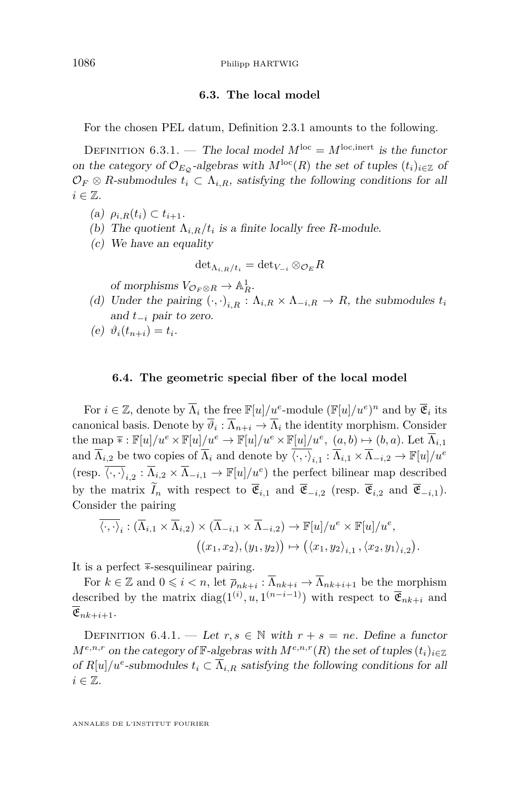## **6.3. The local model**

For the chosen PEL datum, Definition [2.3.1](#page-11-0) amounts to the following.

DEFINITION 6.3.1. — The local model  $M^{\text{loc}} = M^{\text{loc, inert}}$  is the functor on the category of  $\mathcal{O}_{E_{\mathcal{O}}}$ -algebras with  $M^{\text{loc}}(R)$  the set of tuples  $(t_i)_{i\in\mathbb{Z}}$  of  $\mathcal{O}_F \otimes R$ -submodules  $t_i \subset \Lambda_{i,R}$ , satisfying the following conditions for all  $i \in \mathbb{Z}$ .

- $(\mathbf{a})$   $\rho_{i,R}(t_i) \subset t_{i+1}.$
- (b) The quotient  $\Lambda_{i,R}/t_i$  is a finite locally free *R*-module.
- (c) We have an equality

$$
{\det}_{{\Lambda}_{i,R}/t_i}={\det}_{V_{-i}}\otimes_{{\mathcal O}_E}R
$$

of morphisms  $V_{\mathcal{O}_F \otimes R} \to \mathbb{A}^1_R$ .

- (d) Under the pairing  $(\cdot, \cdot)_{i,R} : \Lambda_{i,R} \times \Lambda_{-i,R} \to R$ , the submodules  $t_i$ and *t*<sup>−</sup>*<sup>i</sup>* pair to zero.
- (e)  $\vartheta_i(t_{n+i}) = t_i$ .

### **6.4. The geometric special fiber of the local model**

For  $i \in \mathbb{Z}$ , denote by  $\overline{\Lambda}_i$  the free  $\mathbb{F}[u]/u^e$ -module  $(\mathbb{F}[u]/u^e)^n$  and by  $\overline{\mathfrak{E}}_i$  its canonical basis. Denote by  $\vartheta_i: \Lambda_{n+i} \to \Lambda_i$  the identity morphism. Consider the map  $\overline{*}: \mathbb{F}[u]/u^e \times \mathbb{F}[u]/u^e \to \mathbb{F}[u]/u^e \times \mathbb{F}[u]/u^e$ ,  $(a, b) \mapsto (b, a)$ . Let  $\overline{\Lambda}_{i,1}$ and  $\overline{\Lambda}_{i,2}$  be two copies of  $\overline{\Lambda}_i$  and denote by  $\overline{\langle \cdot, \cdot \rangle}_{i,1} : \overline{\Lambda}_{i,1} \times \overline{\Lambda}_{-i,2} \to \mathbb{F}[u]/u^e$ (resp.  $\overline{\langle \cdot, \cdot \rangle}_{i,2} : \overline{\Lambda}_{i,2} \times \overline{\Lambda}_{-i,1} \to \mathbb{F}[u]/u^e$ ) the perfect bilinear map described by the matrix  $\widetilde{I}_n$  with respect to  $\overline{\mathfrak{E}}_{i,1}$  and  $\overline{\mathfrak{E}}_{-i,2}$  (resp.  $\overline{\mathfrak{E}}_{i,2}$  and  $\overline{\mathfrak{E}}_{-i,1}$ ). Consider the pairing

$$
\overline{\langle \cdot, \cdot \rangle}_i : (\overline{\Lambda}_{i,1} \times \overline{\Lambda}_{i,2}) \times (\overline{\Lambda}_{-i,1} \times \overline{\Lambda}_{-i,2}) \to \mathbb{F}[u]/u^e \times \mathbb{F}[u]/u^e,
$$
  

$$
((x_1, x_2), (y_1, y_2)) \mapsto (\langle x_1, y_2 \rangle_{i,1}, \langle x_2, y_1 \rangle_{i,2}).
$$

It is a perfect  $\overline{*}$ -sesquilinear pairing.

For  $k \in \mathbb{Z}$  and  $0 \leqslant i < n$ , let  $\overline{\rho}_{nk+i} : \overline{\Lambda}_{nk+i} \to \overline{\Lambda}_{nk+i+1}$  be the morphism described by the matrix  $diag(1^{(i)}, u, 1^{(n-i-1)})$  with respect to  $\overline{\mathfrak{E}}_{nk+i}$  and  $\overline{\mathfrak{E}}_{nk+i+1}.$ 

DEFINITION 6.4.1. — Let  $r, s \in \mathbb{N}$  with  $r + s = ne$ . Define a functor  $M^{e,n,r}$  on the category of  $\mathbb{F}\text{-}algebras$  with  $M^{e,n,r}(R)$  the set of tuples  $(t_i)_{i\in\mathbb{Z}}$ of  $R[u]/u^e$ -submodules  $t_i \subset \overline{\Lambda}_{i,R}$  satisfying the following conditions for all  $i \in \mathbb{Z}$ .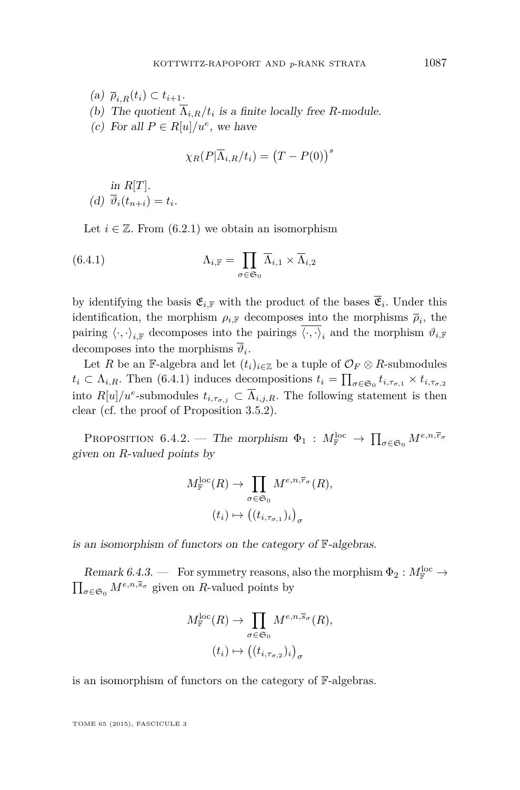<span id="page-57-0"></span> $(a)$   $\overline{\rho}_{i}$   $_{R}(t_i) \subset t_{i+1}.$ (b) The quotient  $\Lambda_{i,R}/t_i$  is a finite locally free *R*-module. (c) For all  $P \in R[u]/u^e$ , we have

$$
\chi_R(P|\overline{\Lambda}_{i,R}/t_i) = (T - P(0))^s
$$

in  $R[T]$ . (d)  $\vartheta_i(t_{n+i}) = t_i$ .

Let  $i \in \mathbb{Z}$ . From [\(6.2.1\)](#page-55-0) we obtain an isomorphism

(6.4.1) 
$$
\Lambda_{i,\mathbb{F}} = \prod_{\sigma \in \mathfrak{S}_0} \overline{\Lambda}_{i,1} \times \overline{\Lambda}_{i,2}
$$

by identifying the basis  $\mathfrak{E}_{i,\mathbb{F}}$  with the product of the bases  $\mathfrak{E}_i$ . Under this identification, the morphism  $\rho_{i,\mathbb{F}}$  decomposes into the morphisms  $\overline{\rho}_i$ , the pairing  $\langle \cdot, \cdot \rangle_{i,\mathbb{F}}$  decomposes into the pairings  $\langle \cdot, \cdot \rangle_i$  and the morphism  $\vartheta_{i,\mathbb{F}}$ decomposes into the morphisms  $\vartheta_i$ .

Let *R* be an F-algebra and let  $(t_i)_{i \in \mathbb{Z}}$  be a tuple of  $\mathcal{O}_F \otimes R$ -submodules  $t_i \subset \Lambda_{i,R}$ . Then (6.4.1) induces decompositions  $t_i = \prod_{\sigma \in \mathfrak{S}_0} t_{i,\tau_{\sigma,1}} \times t_{i,\tau_{\sigma,2}}$ into  $R[u]/u^e$ -submodules  $t_{i, \tau_{\sigma, j}} \subset \overline{\Lambda}_{i, j, R}$ . The following statement is then clear (cf. the proof of Proposition [3.5.2\)](#page-29-0).

PROPOSITION 6.4.2. — The morphism  $\Phi_1: M_{\mathbb{F}}^{\text{loc}} \to \prod_{\sigma \in \mathfrak{S}_0} M^{e,n,\overline{r}_{\sigma}}$ given on *R*-valued points by

$$
M_{\mathbb{F}}^{\text{loc}}(R) \to \prod_{\sigma \in \mathfrak{S}_0} M^{e, n, \overline{r}_{\sigma}}(R),
$$

$$
(t_i) \mapsto ((t_{i, \tau_{\sigma, 1}})_i)_{\sigma}
$$

is an isomorphism of functors on the category of F-algebras.

Remark 6.4.3. — For symmetry reasons, also the morphism  $\Phi_2: M_{\mathbb{F}}^{\text{loc}} \to$  $\prod_{\sigma \in \mathfrak{S}_0} M^{e, n, \overline{s}_{\sigma}}$  given on *R*-valued points by

$$
M_{\mathbb{F}}^{\text{loc}}(R) \to \prod_{\sigma \in \mathfrak{S}_0} M^{e, n, \overline{s}_{\sigma}}(R),
$$

$$
(t_i) \mapsto ((t_{i, \tau_{\sigma, 2}})_i)_{\sigma}
$$

is an isomorphism of functors on the category of F-algebras.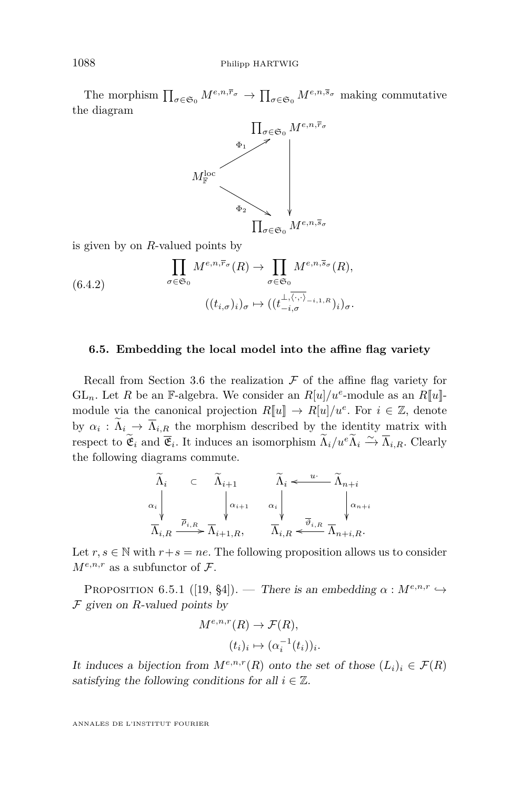The morphism  $\prod_{\sigma \in \mathfrak{S}_0} M^{e,n,\overline{r}_{\sigma}} \to \prod_{\sigma \in \mathfrak{S}_0} M^{e,n,\overline{s}_{\sigma}}$  making commutative the diagram



is given by on *R*-valued points by

(6.4.2) 
$$
\prod_{\sigma \in \mathfrak{S}_0} M^{e, n, \overline{r}_{\sigma}}(R) \to \prod_{\sigma \in \mathfrak{S}_0} M^{e, n, \overline{s}_{\sigma}}(R),
$$

$$
((t_{i, \sigma})_i)_{\sigma} \mapsto ((t_{-i, \sigma}^{\perp, \overline{\langle \cdot, \cdot \rangle}})^{-i, 1, R})_i)_{\sigma}.
$$

### **6.5. Embedding the local model into the affine flag variety**

Recall from Section [3.6](#page-29-0) the realization  $\mathcal F$  of the affine flag variety for GL<sub>n</sub>. Let *R* be an F-algebra. We consider an  $R[u]/u^e$ -module as an  $R[u]$ module via the canonical projection  $R[\![u]\!] \to R[u]/u^e$ . For  $i \in \mathbb{Z}$ , denote by  $\alpha_i : \Lambda_i \to \Lambda_{i,\underline{R}}$  the morphism described by the identity matrix with respect to  $\widetilde{\mathfrak{E}}_i$  and  $\overline{\mathfrak{E}}_i$ . It induces an isomorphism  $\widetilde{\Lambda}_i/u^e \widetilde{\Lambda}_i \xrightarrow{\sim} \overline{\Lambda}_{i,R}$ . Clearly the following diagrams commute.

$$
\begin{array}{ccc}\n\widetilde{\Lambda}_i & \subset & \widetilde{\Lambda}_{i+1} & \widetilde{\Lambda}_i \leftarrow^{\phantom{a}u \cdot \phantom{a}} \widetilde{\Lambda}_{n+i} \\
\alpha_i & \downarrow & \phantom{a} \downarrow & \phantom{a} \downarrow & \phantom{a} \downarrow & \phantom{a} \downarrow & \phantom{a} \downarrow \\
\overline{\Lambda}_{i,R} & \xrightarrow{\overline{\rho}_{i,R}} \overline{\Lambda}_{i+1,R}, & \phantom{a} \overline{\Lambda}_{i,R} \leftarrow^{\phantom{a}u \cdot \phantom{a}} \overline{\Lambda}_{n+i,R}.\n\end{array}
$$

Let  $r, s \in \mathbb{N}$  with  $r+s = ne$ . The following proposition allows us to consider  $M^{e,n,r}$  as a subfunctor of  $\mathcal{F}.$ 

PROPOSITION 6.5.1 ([\[19,](#page-72-0) §4]). — There is an embedding  $\alpha : M^{e,n,r} \to$ F given on *R*-valued points by

$$
M^{e,n,r}(R) \to \mathcal{F}(R),
$$

$$
(t_i)_i \mapsto (\alpha_i^{-1}(t_i))_i.
$$

It induces a bijection from  $M^{e,n,r}(R)$  onto the set of those  $(L_i)_i \in \mathcal{F}(R)$ satisfying the following conditions for all  $i \in \mathbb{Z}$ .

<span id="page-58-0"></span>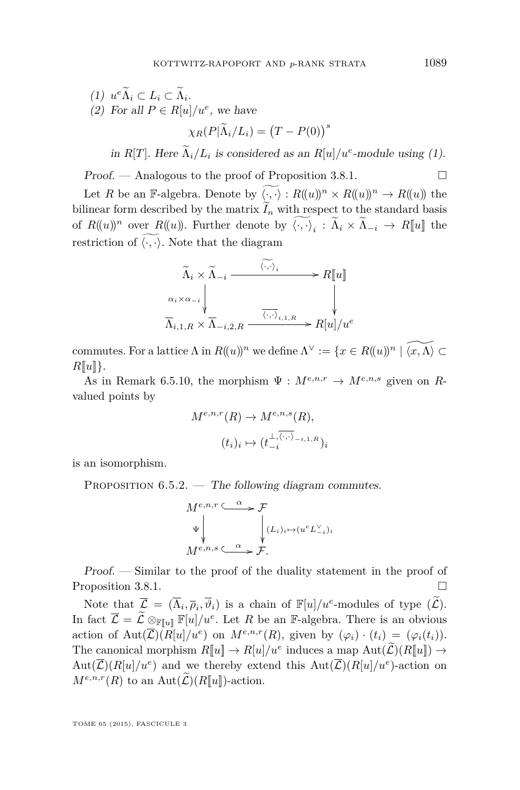<span id="page-59-0"></span>(1) 
$$
u^e \widetilde{\Lambda}_i \subset L_i \subset \widetilde{\Lambda}_i
$$
.  
\n(2) For all  $P \in R[u]/u^e$ , we have  
\n
$$
\chi_R(P|\widetilde{\Lambda}_i/L_i) = (T - P(0))^s
$$

in *R*[*T*]. Here  $\Lambda_i/L_i$  is considered as an *R*[*u*]/ $u^e$ -module using (1).

Proof. — Analogous to the proof of Proposition [3.8.1.](#page-35-0)  $\Box$ 

Let *R* be an F-algebra. Denote by  $\langle \cdot, \cdot \rangle : R((u))^n \times R((u))^n \to R((u))$  the bilinear form described by the matrix  $\widetilde{I}_n$  with respect to the standard basis of  $R((u))^n$  over  $R((u))$ . Further denote by  $\langle \cdot, \cdot \rangle_i : \Lambda_i \times \Lambda_{-i} \to R[[u]]$  the restriction of  $\langle \cdot, \cdot \rangle$ . Note that the diagram

$$
\widetilde{\Lambda}_i \times \widetilde{\Lambda}_{-i} \xrightarrow{\langle \cdot, \cdot \rangle_i} R[\![u]\!]
$$
\n
$$
\alpha_i \times \alpha_{-i} \downarrow \qquad \qquad \downarrow
$$
\n
$$
\overline{\Lambda}_{i,1,R} \times \overline{\Lambda}_{-i,2,R} \xrightarrow{\langle \cdot, \cdot \rangle_{i,1,R}} R[\![u]\!]/u^e
$$

commutes. For a lattice  $\Lambda$  in  $R((u))^n$  we define  $\Lambda^{\vee} := \{x \in R((u))^n \mid \widetilde{\langle x, \Lambda \rangle} \subset \Lambda\}$  $R[\![u]\!]$ .

As in Remark [6.5.10,](#page-61-0) the morphism  $\Psi : M^{e,n,r} \to M^{e,n,s}$  given on Rvalued points by

$$
M^{e,n,r}(R) \to M^{e,n,s}(R),
$$

$$
(t_i)_i \mapsto (t_{-i}^{\perp,\overline{\langle \cdot, \cdot \rangle}_{-i,1,R}})_i
$$

is an isomorphism.

PROPOSITION  $6.5.2.$  — The following diagram commutes.

$$
\begin{array}{ccc}\nM^{e,n,r} & \xrightarrow{\alpha} & \mathcal{F} \\
\Psi & & \downarrow \\
M^{e,n,s} & \xrightarrow{\alpha} & \mathcal{F}.\n\end{array}
$$

Proof. — Similar to the proof of the duality statement in the proof of Proposition [3.8.1.](#page-35-0)

Note that  $\overline{\mathcal{L}} = (\overline{\Lambda}_i, \overline{\rho}_i, \overline{\vartheta}_i)$  is a chain of  $\mathbb{F}[u]/u^e$ -modules of type  $(\widetilde{\mathcal{L}})$ . In fact  $\overline{\mathcal{L}} = \widetilde{\mathcal{L}} \otimes_{\mathbb{F}[u]} \mathbb{F}[u]/u^e$ . Let *R* be an F-algebra. There is an obvious action of  $Aut(\overline{\mathcal{L}})(R[u]/u^e)$  on  $M^{e,n,r}(R)$ , given by  $(\varphi_i) \cdot (t_i) = (\varphi_i(t_i))$ . The canonical morphism  $R[\![u]\!] \to R[u]/u^e$  induces a map  $Aut(\widetilde{\mathcal{L}})(R[\![u]\!]) \to$  $Aut(\overline{\mathcal{L}})(R[u]/u^e)$  and we thereby extend this  $Aut(\overline{\mathcal{L}})(R[u]/u^e)$ -action on  $M^{e,n,r}(R)$  to an Aut $(\widetilde{\mathcal{L}})(R[\![u]\!])$ -action.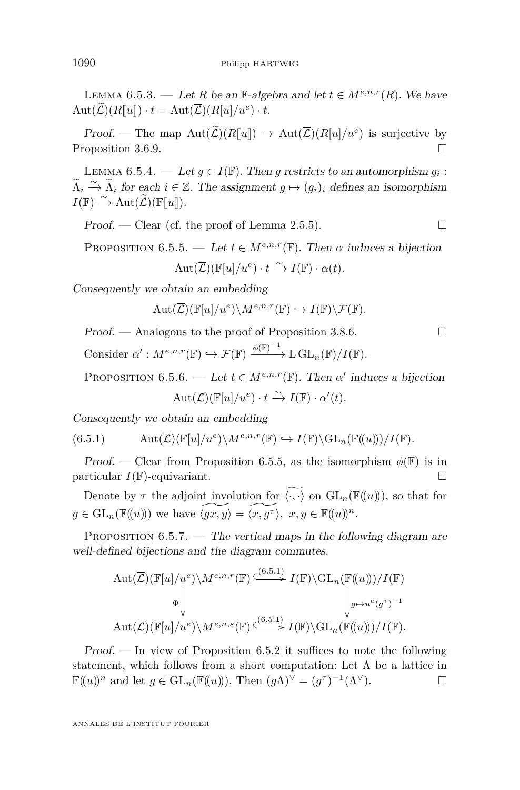<span id="page-60-0"></span>LEMMA 6.5.3. — Let *R* be an F-algebra and let  $t \in M^{e,n,r}(R)$ . We have  $Aut(\mathcal{L})(R[\![u]\!]) \cdot t = Aut(\mathcal{L})(R[u]/u^e) \cdot t.$ 

Proof. — The map  $\text{Aut}(\mathcal{L})(R[\![u]\!]) \to \text{Aut}(\mathcal{L})(R[\![u]\!]/u^e)$  is surjective by Proposition [3.6.9.](#page-30-0)

LEMMA 6.5.4. — Let  $g \in I(\mathbb{F})$ . Then g restricts to an automorphism  $g_i$ :  $\widetilde{\Lambda}_i \xrightarrow{\sim} \widetilde{\Lambda}_i$  for each  $i \in \mathbb{Z}$ . The assignment  $g \mapsto (g_i)_i$  defines an isomorphism  $I(\mathbb{F}) \xrightarrow{\sim} \text{Aut}(\widetilde{\mathcal{L}})(\mathbb{F}[\![u]\!]).$ 

 $Proof.$  — Clear (cf. the proof of Lemma [2.5.5\)](#page-18-0).

PROPOSITION 6.5.5. — Let  $t \in M^{e,n,r}(\mathbb{F})$ . Then  $\alpha$  induces a bijection

$$
Aut(\overline{\mathcal{L}})(\mathbb{F}[u]/u^e) \cdot t \xrightarrow{\sim} I(\mathbb{F}) \cdot \alpha(t).
$$

Consequently we obtain an embedding

$$
\mathrm{Aut}(\overline{\mathcal{L}})(\mathbb{F}[u]/u^e)\backslash M^{e,n,r}(\mathbb{F})\hookrightarrow I(\mathbb{F})\backslash \mathcal{F}(\mathbb{F}).
$$

Proof. — Analogous to the proof of Proposition [3.8.6.](#page-36-0)

Consider  $\alpha': M^{e,n,r}(\mathbb{F}) \hookrightarrow \mathcal{F}(\mathbb{F}) \xrightarrow{\phi(\mathbb{F})^{-1}} L GL_n(\mathbb{F})/I(\mathbb{F}).$ 

PROPOSITION 6.5.6. — Let  $t \in M^{e,n,r}(\mathbb{F})$ . Then  $\alpha'$  induces a bijection  $Aut(\overline{\mathcal{L}})(\mathbb{F}[u]/u^e) \cdot t \xrightarrow{\sim} I(\mathbb{F}) \cdot \alpha'(t).$ 

Consequently we obtain an embedding

(6.5.1) 
$$
\mathrm{Aut}(\overline{\mathcal{L}})(\mathbb{F}[u]/u^e)\backslash M^{e,n,r}(\mathbb{F}) \hookrightarrow I(\mathbb{F})\backslash \mathrm{GL}_n(\mathbb{F}(\!(u)\!))/I(\mathbb{F}).
$$

Proof. — Clear from Proposition 6.5.5, as the isomorphism  $\phi(\mathbb{F})$  is in particular  $I(\mathbb{F})$ -equivariant.

Denote by  $\tau$  the adjoint involution for  $\widetilde{\langle \cdot, \cdot \rangle}$  on  $\mathrm{GL}_n(\mathbb{F}(\langle u \rangle))$ , so that for  $g \in GL_n(\mathbb{F}(\!(u)\!))$  we have  $\widetilde{\langle gx, y \rangle} = \widetilde{\langle x, g^{\tau} \rangle}, x, y \in \mathbb{F}(\!(u)\!)^n$ .

PROPOSITION  $6.5.7.$  — The vertical maps in the following diagram are well-defined bijections and the diagram commutes.

$$
\operatorname{Aut}(\overline{\mathcal{L}})(\mathbb{F}[u]/u^e)\backslash M^{e,n,r}(\mathbb{F}) \xrightarrow{\left(\begin{smallmatrix} (6.5.1) & & \\ & \searrow & \\ & & \downarrow & \\ & & & \downarrow & \\ & & & & \downarrow & \\ & & & & \downarrow & \\ & & & & \downarrow & \\ \operatorname{Aut}(\overline{\mathcal{L}})(\mathbb{F}[u]/u^e)\backslash M^{e,n,s}(\mathbb{F}) \xrightarrow{\left(\begin{smallmatrix} (6.5.1) & & \\ & (6.5.1) & & \\ & & \downarrow & \\ & & & \downarrow & \\ & & & & \downarrow & \\ & & & & & \downarrow \end{smallmatrix}\right)} I(\mathbb{F})\backslash \operatorname{GL}_n(\mathbb{F}((u)))/I(\mathbb{F}).
$$

 $Proof.$  — In view of Proposition [6.5.2](#page-59-0) it suffices to note the following statement, which follows from a short computation: Let  $\Lambda$  be a lattice in  $\mathbb{F}((u))^n$  and let  $g \in \mathrm{GL}_n(\mathbb{F}((u)))$ . Then  $(g\Lambda)^{\vee} = (g^{\tau})^{-1}(\Lambda^{\vee})$ .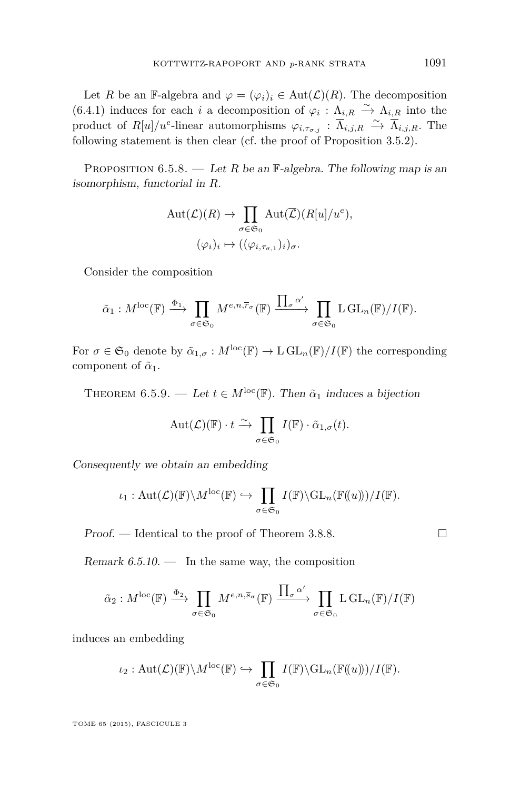<span id="page-61-0"></span>Let *R* be an F-algebra and  $\varphi = (\varphi_i)_i \in Aut(\mathcal{L})(R)$ . The decomposition [\(6.4.1\)](#page-57-0) induces for each *i* a decomposition of  $\varphi_i : \Lambda_{i,R} \stackrel{\sim}{\to} \Lambda_{i,R}$  into the product of  $R[u]/u^e$ -linear automorphisms  $\varphi_{i,\tau_{\sigma,j}} : \overline{\Lambda}_{i,j,R} \stackrel{\sim}{\to} \overline{\Lambda}_{i,j,R}$ . The following statement is then clear (cf. the proof of Proposition [3.5.2\)](#page-29-0).

PROPOSITION  $6.5.8.$  — Let *R* be an F-algebra. The following map is an isomorphism, functorial in *R*.

$$
\mathrm{Aut}(\mathcal{L})(R) \to \prod_{\sigma \in \mathfrak{S}_0} \mathrm{Aut}(\overline{\mathcal{L}})(R[u]/u^e),
$$
  

$$
(\varphi_i)_i \mapsto ((\varphi_{i,\tau_{\sigma,1}})_i)_{\sigma}.
$$

Consider the composition

$$
\tilde{\alpha}_1: M^{\text{loc}}(\mathbb{F}) \xrightarrow{\Phi_1} \prod_{\sigma \in \mathfrak{S}_0} M^{e,n,\overline{r}_{\sigma}}(\mathbb{F}) \xrightarrow{\prod_{\sigma} \alpha'} \prod_{\sigma \in \mathfrak{S}_0} L \, \text{GL}_n(\mathbb{F})/I(\mathbb{F}).
$$

For  $\sigma \in \mathfrak{S}_0$  denote by  $\tilde{\alpha}_{1,\sigma}: M^{\text{loc}}(\mathbb{F}) \to \text{L} \text{GL}_n(\mathbb{F})/I(\mathbb{F})$  the corresponding component of  $\tilde{\alpha}_1$ .

THEOREM 6.5.9. — Let  $t \in M^{\text{loc}}(\mathbb{F})$ . Then  $\tilde{\alpha}_1$  induces a bijection

$$
\mathrm{Aut}(\mathcal{L})(\mathbb{F}) \cdot t \xrightarrow{\sim} \prod_{\sigma \in \mathfrak{S}_0} I(\mathbb{F}) \cdot \tilde{\alpha}_{1,\sigma}(t).
$$

Consequently we obtain an embedding

$$
\iota_1: \mathrm{Aut}(\mathcal{L})(\mathbb{F})\backslash M^{\mathrm{loc}}(\mathbb{F}) \hookrightarrow \prod_{\sigma\in\mathfrak{S}_0} I(\mathbb{F})\backslash \mathrm{GL}_n(\mathbb{F}(\!(u)\!))/I(\mathbb{F}).
$$

 $Proof.$  — Identical to the proof of Theorem [3.8.8.](#page-37-0)

Remark  $6.5.10.$  — In the same way, the composition

$$
\tilde{\alpha}_2: M^{\text{loc}}(\mathbb{F}) \xrightarrow{\Phi_2} \prod_{\sigma \in \mathfrak{S}_0} M^{e,n,\overline{s}_{\sigma}}(\mathbb{F}) \xrightarrow{\prod_{\sigma} \alpha'} \prod_{\sigma \in \mathfrak{S}_0} L \, GL_n(\mathbb{F})/I(\mathbb{F})
$$

induces an embedding

$$
\iota_2: \mathrm{Aut}(\mathcal{L})(\mathbb{F})\backslash M^{\mathrm{loc}}(\mathbb{F}) \hookrightarrow \prod_{\sigma \in \mathfrak{S}_0} I(\mathbb{F})\backslash \mathrm{GL}_n(\mathbb{F}(\!(u)\!))/I(\mathbb{F}).
$$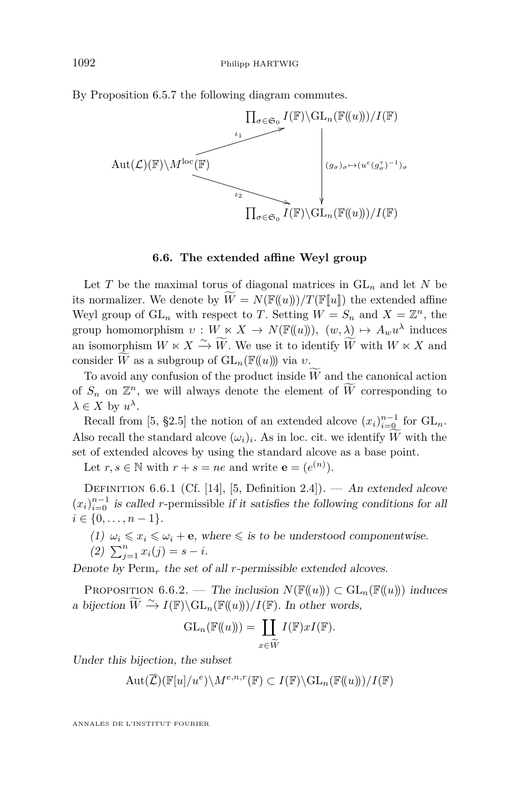<span id="page-62-0"></span>By Proposition [6.5.7](#page-60-0) the following diagram commutes.



### **6.6. The extended affine Weyl group**

Let *T* be the maximal torus of diagonal matrices in  $GL_n$  and let *N* be its normalizer. We denote by  $W = N(\mathbb{F}(\!(u)\!))/T(\mathbb{F}[\![u]\!])$  the extended affine Weyl group of  $GL_n$  with respect to *T*. Setting  $W = S_n$  and  $X = \mathbb{Z}^n$ , the group homomorphism  $v: W \ltimes X \to N(\mathbb{F}((u))), (w, \lambda) \mapsto A_w u^{\lambda}$  induces an isomorphism  $W \ltimes X \xrightarrow{\sim} \widetilde{W}$ . We use it to identify  $\widetilde{W}$  with  $W \ltimes X$  and consider  $\widetilde{W}$  as a subgroup of  $GL_n(\mathbb{F}(\!(u)\!))$  via *v*.

To avoid any confusion of the product inside  $\overline{W}$  and the canonical action of  $S_n$  on  $\mathbb{Z}^n$ , we will always denote the element of  $\widetilde{W}$  corresponding to  $\lambda \in X$  by  $u^{\lambda}$ .

Recall from [\[5,](#page-71-0) §2.5] the notion of an extended alcove  $(x_i)_{i=0}^{n-1}$  for  $GL_n$ . Also recall the standard alcove  $(\omega_i)_i$ . As in loc. cit. we identify *W* with the set of extended alcoves by using the standard alcove as a base point.

Let  $r, s \in \mathbb{N}$  with  $r + s = ne$  and write  $\mathbf{e} = (e^{(n)})$ .

DEFINITION 6.6.1 (Cf. [\[14\]](#page-72-0), [\[5,](#page-71-0) Definition 2.4]). — An extended alcove  $(x_i)_{i=0}^{n-1}$  is called *r*-permissible if it satisfies the following conditions for all  $i \in \{0, \ldots, n-1\}.$ 

(1)  $\omega_i \leq x_i \leq \omega_i + \mathbf{e}$ , where  $\leq$  is to be understood componentwise.

(2) 
$$
\sum_{j=1}^{n} x_i(j) = s - i.
$$

Denote by Perm*<sup>r</sup>* the set of all *r*-permissible extended alcoves.

PROPOSITION 6.6.2. — The inclusion  $N(\mathbb{F}(\!(u)\!)) \subset \mathrm{GL}_n(\mathbb{F}(\!(u)\!))$  induces a bijection  $\widetilde{W} \xrightarrow{\sim} I(\mathbb{F}) \backslash GL_n(\mathbb{F}(\!(u)\!))/I(\mathbb{F})$ . In other words,

$$
GL_n(\mathbb{F}(\!(u)\!)) = \coprod_{x \in \widetilde{W}} I(\mathbb{F}) x I(\mathbb{F}).
$$

Under this bijection, the subset

$$
\operatorname{Aut}(\overline{\mathcal{L}})(\mathbb{F}[u]/u^e)\backslash M^{e,n,r}(\mathbb{F})\subset I(\mathbb{F})\backslash\mathrm{GL}_n(\mathbb{F}(\!(u)\!))/I(\mathbb{F})
$$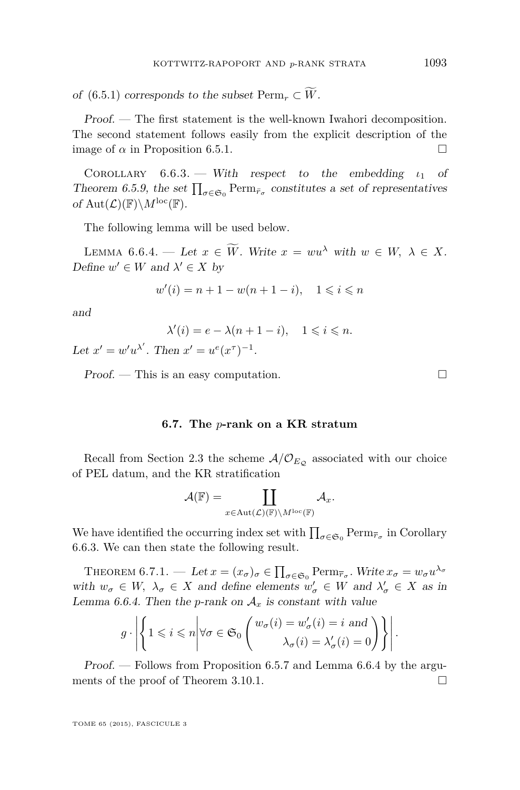<span id="page-63-0"></span>of [\(6.5.1\)](#page-60-0) corresponds to the subset  $\text{Perm}_r \subset \widetilde{W}$ .

Proof. — The first statement is the well-known Iwahori decomposition. The second statement follows easily from the explicit description of the image of  $\alpha$  in Proposition [6.5.1.](#page-58-0)

Corollary 6.6.3. — With respect to the embedding *ι*<sup>1</sup> of Theorem [6.5.9,](#page-61-0) the set  $\prod_{\sigma \in \mathfrak{S}_0} \text{Perm}_{\bar{r}_{\sigma}}$  constitutes a set of representatives of  $Aut(\mathcal{L})(\mathbb{F})\backslash M^{\text{loc}}(\mathbb{F})$ .

The following lemma will be used below.

LEMMA 6.6.4. — Let  $x \in \widetilde{W}$ . Write  $x = w u^{\lambda}$  with  $w \in W$ ,  $\lambda \in X$ . Define  $w' \in W$  and  $\lambda' \in X$  by

$$
w'(i) = n + 1 - w(n + 1 - i), \quad 1 \le i \le n
$$

and

$$
\lambda'(i) = e - \lambda(n+1-i), \quad 1 \leq i \leq n.
$$

Let  $x' = w'u^{\lambda'}$ . Then  $x' = u^e(x^{\tau})^{-1}$ .

 $Proof.$  — This is an easy computation.  $\square$ 

**6.7. The** *p***-rank on a KR stratum**

Recall from Section [2.3](#page-11-0) the scheme  $A/\mathcal{O}_{E_Q}$  associated with our choice of PEL datum, and the KR stratification

$$
\mathcal{A}(\mathbb{F})=\coprod_{x\in \text{Aut}(\mathcal{L})(\mathbb{F})\backslash M^{\text{loc}}(\mathbb{F})}\mathcal{A}_{x}.
$$

We have identified the occurring index set with  $\prod_{\sigma \in \mathfrak{S}_0} \text{Perm}_{\overline{r}_{\sigma}}$  in Corollary 6.6.3. We can then state the following result.

THEOREM 6.7.1. — Let  $x = (x_{\sigma})_{\sigma} \in \prod_{\sigma \in \mathfrak{S}_0} \text{Perm}_{\overline{r}_{\sigma}}$ . Write  $x_{\sigma} = w_{\sigma} u^{\lambda_{\sigma}}$ with  $w_{\sigma} \in W$ ,  $\lambda_{\sigma} \in X$  and define elements  $w'_{\sigma} \in W$  and  $\lambda'_{\sigma} \in X$  as in Lemma 6.6.4. Then the *p*-rank on  $A_x$  is constant with value

$$
g \cdot \left| \left\{ 1 \leq i \leq n \middle| \forall \sigma \in \mathfrak{S}_0 \left( \begin{matrix} w_{\sigma}(i) = w_{\sigma}'(i) = i \text{ and } \\ \lambda_{\sigma}(i) = \lambda_{\sigma}'(i) = 0 \end{matrix} \right) \right\} \right|.
$$

Proof. — Follows from Proposition [6.5.7](#page-60-0) and Lemma 6.6.4 by the argu-ments of the proof of Theorem [3.10.1.](#page-39-0)  $\Box$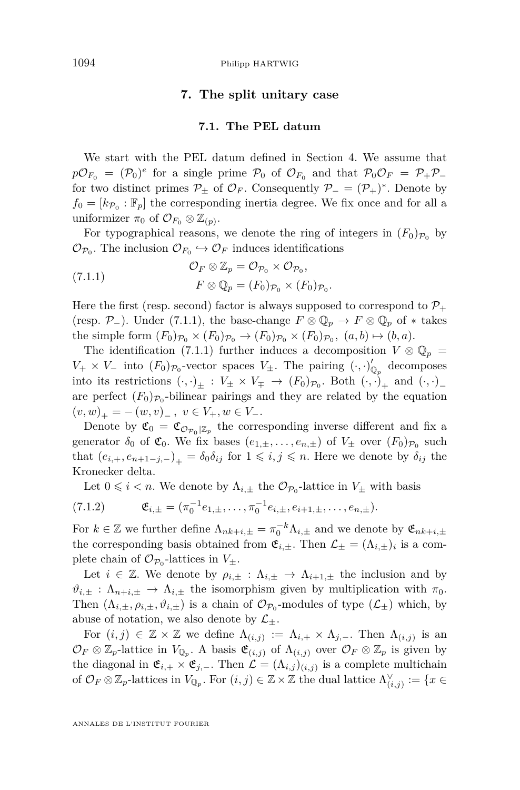# **7. The split unitary case**

## **7.1. The PEL datum**

<span id="page-64-0"></span>We start with the PEL datum defined in Section [4.](#page-42-0) We assume that  $p\mathcal{O}_{F_0} = (\mathcal{P}_0)^e$  for a single prime  $\mathcal{P}_0$  of  $\mathcal{O}_{F_0}$  and that  $\mathcal{P}_0\mathcal{O}_F = \mathcal{P}_+\mathcal{P}_$ for two distinct primes  $\mathcal{P}_{\pm}$  of  $\mathcal{O}_F$ . Consequently  $\mathcal{P}_{-} = (\mathcal{P}_{+})^*$ . Denote by  $f_0 = [k_{\mathcal{P}_0} : \mathbb{F}_p]$  the corresponding inertia degree. We fix once and for all a uniformizer  $\pi_0$  of  $\mathcal{O}_{F_0} \otimes \mathbb{Z}_{(p)}$ .

For typographical reasons, we denote the ring of integers in  $(F_0)_{\mathcal{P}_0}$  by  $\mathcal{O}_{\mathcal{P}_0}$ . The inclusion  $\mathcal{O}_{F_0} \hookrightarrow \mathcal{O}_F$  induces identifications

(7.1.1) 
$$
\mathcal{O}_F \otimes \mathbb{Z}_p = \mathcal{O}_{\mathcal{P}_0} \times \mathcal{O}_{\mathcal{P}_0}, \nF \otimes \mathbb{Q}_p = (F_0)_{\mathcal{P}_0} \times (F_0)_{\mathcal{P}_0}.
$$

Here the first (resp. second) factor is always supposed to correspond to  $\mathcal{P}_+$ (resp.  $\mathcal{P}_-$ ). Under (7.1.1), the base-change  $F \otimes \mathbb{Q}_p \to F \otimes \mathbb{Q}_p$  of  $*$  takes the simple form  $(F_0)_{\mathcal{P}_0} \times (F_0)_{\mathcal{P}_0} \to (F_0)_{\mathcal{P}_0} \times (F_0)_{\mathcal{P}_0}$ ,  $(a, b) \mapsto (b, a)$ .

The identification (7.1.1) further induces a decomposition  $V \otimes \mathbb{Q}_p =$  $V_+ \times V_-$  into  $(F_0)_{\mathcal{P}_0}$ -vector spaces  $V_{\pm}$ . The pairing  $(\cdot, \cdot)_{\mathbb{Q}_p}^{\prime}$  decomposes into its restrictions  $(\cdot, \cdot)_\pm : V_\pm \times V_\mp \to (F_0)_{\mathcal{P}_0}$ . Both  $(\cdot, \cdot)_+$  and  $(\cdot, \cdot)_$ are perfect  $(F_0)_{\mathcal{P}_0}$ -bilinear pairings and they are related by the equation  $(v, w)_+ = -(w, v)_-, v \in V_+, w \in V_-.$ 

Denote by  $\mathfrak{C}_0 = \mathfrak{C}_{\mathcal{O}_{\mathcal{P}_0}|\mathbb{Z}_p}$  the corresponding inverse different and fix a generator  $\delta_0$  of  $\mathfrak{C}_0$ . We fix bases  $(e_{1,\pm}, \ldots, e_{n,\pm})$  of  $V_{\pm}$  over  $(F_0)_{\mathcal{P}_0}$  such that  $(e_{i,+}, e_{n+1-j,-})_+ = \delta_0 \delta_{ij}$  for  $1 \leq i, j \leq n$ . Here we denote by  $\delta_{ij}$  the Kronecker delta.

Let  $0 \leq i < n$ . We denote by  $\Lambda_{i,\pm}$  the  $\mathcal{O}_{\mathcal{P}_0}$ -lattice in  $V_{\pm}$  with basis

(7.1.2) 
$$
\mathfrak{E}_{i,\pm} = (\pi_0^{-1}e_{1,\pm}, \ldots, \pi_0^{-1}e_{i,\pm}, e_{i+1,\pm}, \ldots, e_{n,\pm}).
$$

For  $k \in \mathbb{Z}$  we further define  $\Lambda_{nk+i,\pm} = \pi_0^{-k} \Lambda_{i,\pm}$  and we denote by  $\mathfrak{E}_{nk+i,\pm}$ the corresponding basis obtained from  $\mathfrak{E}_{i,\pm}$ . Then  $\mathcal{L}_{\pm} = (\Lambda_{i,\pm})_i$  is a complete chain of  $\mathcal{O}_{\mathcal{P}_0}$ -lattices in  $V_{\pm}$ .

Let  $i \in \mathbb{Z}$ . We denote by  $\rho_{i,\pm} : \Lambda_{i,\pm} \to \Lambda_{i+1,\pm}$  the inclusion and by  $\vartheta_{i,\pm} : \Lambda_{n+i,\pm} \to \Lambda_{i,\pm}$  the isomorphism given by multiplication with  $\pi_0$ . Then  $(\Lambda_{i,\pm}, \rho_{i,\pm}, \vartheta_{i,\pm})$  is a chain of  $\mathcal{O}_{\mathcal{P}_0}$ -modules of type  $(\mathcal{L}_{\pm})$  which, by abuse of notation, we also denote by  $\mathcal{L}_{\pm}$ .

For  $(i, j) \in \mathbb{Z} \times \mathbb{Z}$  we define  $\Lambda_{(i,j)} := \Lambda_{i,+} \times \Lambda_{j,-}$ . Then  $\Lambda_{(i,j)}$  is an  $\mathcal{O}_F \otimes \mathbb{Z}_p$ -lattice in  $V_{\mathbb{Q}_p}$ . A basis  $\mathfrak{E}_{(i,j)}$  of  $\Lambda_{(i,j)}$  over  $\mathcal{O}_F \otimes \mathbb{Z}_p$  is given by the diagonal in  $\mathfrak{E}_{i,+} \times \mathfrak{E}_{j,-}$ . Then  $\mathcal{L} = (\Lambda_{i,j})_{(i,j)}$  is a complete multichain of  $\mathcal{O}_F \otimes \mathbb{Z}_p$ -lattices in  $V_{\mathbb{Q}_p}$ . For  $(i, j) \in \mathbb{Z} \times \mathbb{Z}$  the dual lattice  $\Lambda_{(i,j)}^{\vee} := \{x \in$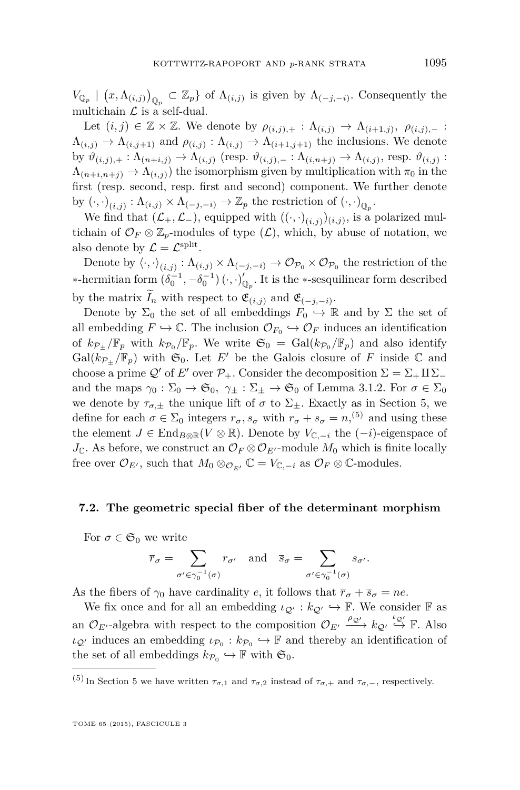$V_{\mathbb{Q}_p}$  |  $(x, \Lambda_{(i,j)})_{\mathbb{Q}_p} \subset \mathbb{Z}_p$  of  $\Lambda_{(i,j)}$  is given by  $\Lambda_{(-j,-i)}$ . Consequently the multichain  $\mathcal L$  is a self-dual.

Let  $(i, j) \in \mathbb{Z} \times \mathbb{Z}$ . We denote by  $\rho_{(i,j),+} : \Lambda_{(i,j)} \to \Lambda_{(i+1,j)}, \rho_{(i,j),-} :$  $\Lambda_{(i,j)} \to \Lambda_{(i,j+1)}$  and  $\rho_{(i,j)} : \Lambda_{(i,j)} \to \Lambda_{(i+1,j+1)}$  the inclusions. We denote by  $\vartheta_{(i,j),+}: \Lambda_{(n+i,j)} \to \Lambda_{(i,j)}$  (resp.  $\vartheta_{(i,j),-}: \Lambda_{(i,n+j)} \to \Lambda_{(i,j)}$ , resp.  $\vartheta_{(i,j)}$ :  $\Lambda_{(n+i,n+j)} \to \Lambda_{(i,j)}$ ) the isomorphism given by multiplication with  $\pi_0$  in the first (resp. second, resp. first and second) component. We further denote by  $(\cdot, \cdot)_{(i,j)} : \Lambda_{(i,j)} \times \Lambda_{(-j,-i)} \to \mathbb{Z}_p$  the restriction of  $(\cdot, \cdot)_{\mathbb{Q}_p}$ .

We find that  $(\mathcal{L}_+,\mathcal{L}_-)$ , equipped with  $((\cdot,\cdot)_{(i,j)})_{(i,j)}$ , is a polarized multichain of  $\mathcal{O}_F \otimes \mathbb{Z}_p$ -modules of type  $(\mathcal{L})$ , which, by abuse of notation, we also denote by  $\mathcal{L} = \mathcal{L}^{\text{split}}$ .

Denote by  $\langle \cdot, \cdot \rangle_{(i,j)} : \Lambda_{(i,j)} \times \Lambda_{(-j,-i)} \to \mathcal{O}_{\mathcal{P}_0} \times \mathcal{O}_{\mathcal{P}_0}$  the restriction of the  $*$ -hermitian form  $(\delta_0^{-1}, -\delta_0^{-1})$  (⋅*,*⋅)'<sub> $\mathbb{Q}_p$ . It is the ∗-sesquilinear form described</sub> by the matrix  $I_n$  with respect to  $\mathfrak{E}_{(i,j)}$  and  $\mathfrak{E}_{(-j,-i)}$ .

Denote by  $\Sigma_0$  the set of all embeddings  $F_0 \hookrightarrow \mathbb{R}$  and by  $\Sigma$  the set of all embedding  $F \hookrightarrow \mathbb{C}$ . The inclusion  $\mathcal{O}_{F_0} \hookrightarrow \mathcal{O}_F$  induces an identification of  $k_{\mathcal{P}_{\pm}}/\mathbb{F}_p$  with  $k_{\mathcal{P}_0}/\mathbb{F}_p$ . We write  $\mathfrak{S}_0 = \text{Gal}(k_{\mathcal{P}_0}/\mathbb{F}_p)$  and also identify Gal( $k_{\mathcal{P}_+}/\mathbb{F}_p$ ) with  $\mathfrak{S}_0$ . Let *E'* be the Galois closure of *F* inside  $\mathbb C$  and choose a prime Q' of *E'* over  $\mathcal{P}_+$ . Consider the decomposition  $\Sigma = \Sigma_+ \amalg \Sigma_$ and the maps  $\gamma_0 : \Sigma_0 \to \mathfrak{S}_0$ ,  $\gamma_{\pm} : \Sigma_{\pm} \to \mathfrak{S}_0$  of Lemma [3.1.2.](#page-25-0) For  $\sigma \in \Sigma_0$ we denote by  $\tau_{\sigma,\pm}$  the unique lift of  $\sigma$  to  $\Sigma_{\pm}$ . Exactly as in Section [5,](#page-43-0) we define for each  $\sigma \in \Sigma_0$  integers  $r_{\sigma}$ ,  $s_{\sigma}$  with  $r_{\sigma} + s_{\sigma} = n$ , <sup>(5)</sup> and using these the element  $J \in$  End<sub>B⊗R</sub>( $V \otimes \mathbb{R}$ ). Denote by  $V_{\mathbb{C}, -i}$  the  $(-i)$ -eigenspace of  $J_{\mathbb{C}}$ . As before, we construct an  $\mathcal{O}_F \otimes \mathcal{O}_{E'}$ -module  $M_0$  which is finite locally free over  $\mathcal{O}_{E'}$ , such that  $M_0 \otimes_{\mathcal{O}_{E'}} \mathbb{C} = V_{\mathbb{C}, -i}$  as  $\mathcal{O}_F \otimes \mathbb{C}$ -modules.

### **7.2. The geometric special fiber of the determinant morphism**

For  $\sigma \in \mathfrak{S}_0$  we write

$$
\overline{r}_{\sigma} = \sum_{\sigma' \in \gamma_0^{-1}(\sigma)} r_{\sigma'} \quad \text{and} \quad \overline{s}_{\sigma} = \sum_{\sigma' \in \gamma_0^{-1}(\sigma)} s_{\sigma'}.
$$

As the fibers of  $\gamma_0$  have cardinality *e*, it follows that  $\overline{r}_{\sigma} + \overline{s}_{\sigma} = ne$ .

We fix once and for all an embedding  $\iota_{\mathcal{Q}'} : k_{\mathcal{Q}'} \hookrightarrow \mathbb{F}$ . We consider  $\mathbb{F}$  as an  $\mathcal{O}_{E'}$ -algebra with respect to the composition  $\mathcal{O}_{E'} \xrightarrow{\rho_{\mathcal{Q}'}} k_{\mathcal{Q}'} \stackrel{\iota_{\mathcal{Q}'}}{\rightarrow} \mathbb{F}$ . Also  $\iota_{\mathcal{Q}}$  induces an embedding  $\iota_{\mathcal{P}_0} : k_{\mathcal{P}_0} \hookrightarrow \mathbb{F}$  and thereby an identification of the set of all embeddings  $k_{\mathcal{P}_0} \hookrightarrow \mathbb{F}$  with  $\mathfrak{S}_0$ .

<sup>(</sup>[5](#page-43-0)) In Section 5 we have written  $\tau_{\sigma,1}$  and  $\tau_{\sigma,2}$  instead of  $\tau_{\sigma,+}$  and  $\tau_{\sigma,-}$ , respectively.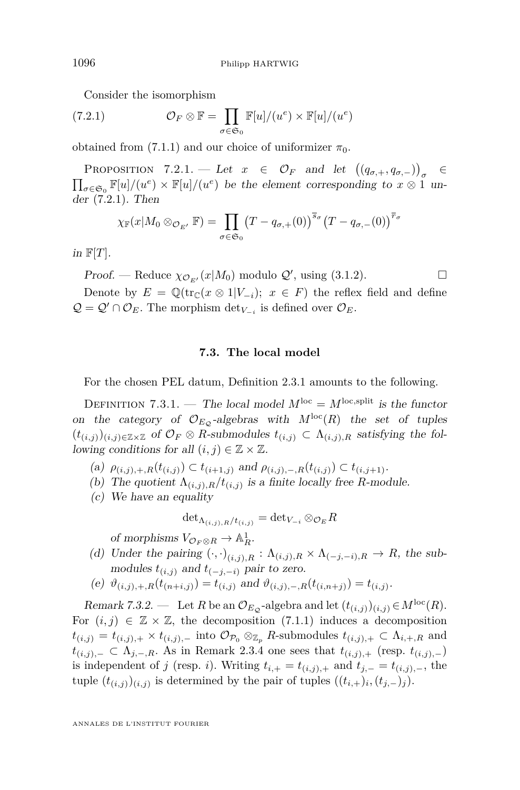Consider the isomorphism

(7.2.1) 
$$
\mathcal{O}_F \otimes \mathbb{F} = \prod_{\sigma \in \mathfrak{S}_0} \mathbb{F}[u]/(u^e) \times \mathbb{F}[u]/(u^e)
$$

obtained from [\(7.1.1\)](#page-64-0) and our choice of uniformizer  $\pi_0$ .

PROPOSITION 7.2.1. — Let  $x \in \mathcal{O}_F$  and let  $((q_{\sigma,+}, q_{\sigma,-}))_{\sigma} \in$  $\prod_{\sigma \in \mathfrak{S}_0} \mathbb{F}[u]/(u^e) \times \mathbb{F}[u]/(u^e)$  be the element corresponding to  $x \otimes 1$  under (7.2.1). Then

$$
\chi_{\mathbb{F}}(x|M_0\otimes_{\mathcal{O}_{E'}}\mathbb{F})=\prod_{\sigma\in\mathfrak{S}_0}(T-q_{\sigma,+}(0))^{\overline{s}_{\sigma}}(T-q_{\sigma,-}(0))^{\overline{r}_{\sigma}}
$$

in  $\mathbb{F}[T]$ .

Proof. — Reduce  $\chi_{\mathcal{O}_{E'}}(x|M_0)$  modulo  $\mathcal{Q}'$ , using [\(3.1.2\)](#page-25-0).

Denote by  $E = \mathbb{Q}(\text{tr}_{\mathbb{C}}(x \otimes 1|V_{-i}); x \in F)$  the reflex field and define  $Q = Q' \cap O_E$ . The morphism  $\det_{V_{-i}}$  is defined over  $O_E$ .

#### **7.3. The local model**

For the chosen PEL datum, Definition [2.3.1](#page-11-0) amounts to the following.

DEFINITION 7.3.1. — The local model  $M^{\text{loc}} = M^{\text{loc, split}}$  is the functor on the category of  $\mathcal{O}_{E_{\mathcal{O}}}$ -algebras with  $M^{\text{loc}}(R)$  the set of tuples  $(t_{(i,j)})_{(i,j)\in\mathbb{Z}\times\mathbb{Z}}$  of  $\mathcal{O}_F\otimes R$ -submodules  $t_{(i,j)}\subset \Lambda_{(i,j),R}$  satisfying the following conditions for all  $(i, j) \in \mathbb{Z} \times \mathbb{Z}$ .

(a)  $\rho_{(i,j),+,R}(t_{(i,j)}) \subset t_{(i+1,j)}$  and  $\rho_{(i,j),-,R}(t_{(i,j)}) \subset t_{(i,j+1)}$ .

- (b) The quotient  $\Lambda_{(i,j),R}/t_{(i,j)}$  is a finite locally free *R*-module.
- (c) We have an equality

$$
\det\nolimits_{\Lambda(i,j),R/t(i,j)} = \det\nolimits_{V_{-i}} \otimes_{\mathcal{O}_E} R
$$

of morphisms  $V_{\mathcal{O}_F \otimes R} \to \mathbb{A}^1_R$ .

- (d) Under the pairing  $(\cdot, \cdot)_{(i,j),R} : \Lambda_{(i,j),R} \times \Lambda_{(-j,-i),R} \to R$ , the submodules  $t_{(i,j)}$  and  $t_{(-j,-i)}$  pair to zero.
- $(e) \ \vartheta_{(i,j),+,R}(t_{(n+i,j)}) = t_{(i,j)} \text{ and } \vartheta_{(i,j),-,R}(t_{(i,n+j)}) = t_{(i,j)}.$

Remark 7.3.2. — Let *R* be an  $\mathcal{O}_{E_{\mathcal{Q}}}$ -algebra and let  $(t_{(i,j)})_{(i,j)} \in M^{\text{loc}}(R)$ . For  $(i, j) \in \mathbb{Z} \times \mathbb{Z}$ , the decomposition [\(7.1.1\)](#page-64-0) induces a decomposition  $t_{(i,j)} = t_{(i,j),+} \times t_{(i,j),-}$  into  $\mathcal{O}_{\mathcal{P}_0} \otimes_{\mathbb{Z}_p} R$ -submodules  $t_{(i,j),+} \subset \Lambda_{i,+,R}$  and *t*<sub>(*i,j*)</sub>,− ⊂  $\Lambda$ <sub>*j*,−</sub>,*R*. As in Remark [2.3.4](#page-12-0) one sees that  $t_{(i,j),+}$  (resp.  $t_{(i,j),-}$ ) is independent of *j* (resp. *i*). Writing  $t_{i,+} = t_{(i,j),+}$  and  $t_{j,-} = t_{(i,j),-}$ , the tuple  $(t_{(i,j)})_{(i,j)}$  is determined by the pair of tuples  $((t_{i,+})_i, (t_{j,-})_j)$ .

<span id="page-66-0"></span>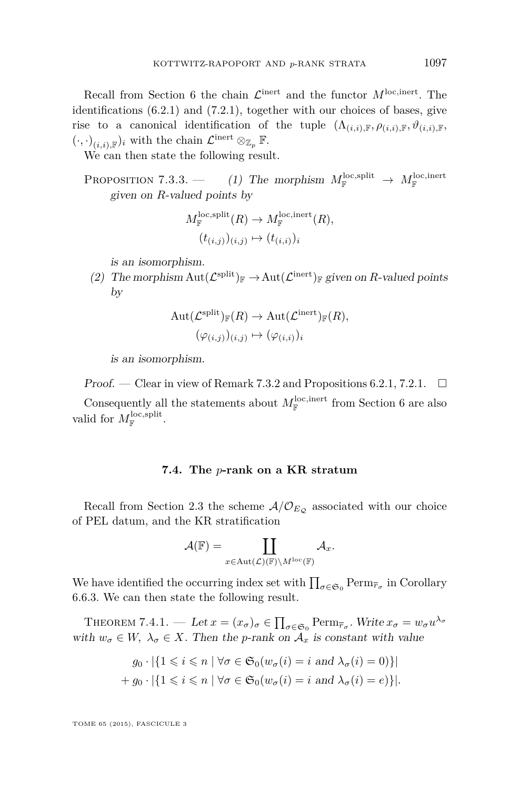<span id="page-67-0"></span>Recall from Section [6](#page-54-0) the chain  $\mathcal{L}^{\text{inert}}$  and the functor  $M^{\text{loc, inert}}$ . The identifications [\(6.2.1\)](#page-55-0) and [\(7.2.1\)](#page-66-0), together with our choices of bases, give rise to a canonical identification of the tuple  $(\Lambda_{(i,i),\mathbb{F}}, \rho_{(i,i),\mathbb{F}}, \vartheta_{(i,i),\mathbb{F}},\vartheta_{(i,i),\mathbb{F}},\vartheta_{(i,i),\mathbb{F}},\vartheta_{(i,i),\mathbb{F}},\vartheta_{(i,i),\mathbb{F}},\vartheta_{(i,i),\mathbb{F}},\vartheta_{(i,i),\mathbb{F}},\vartheta_{(i,i),\mathbb{F}},\vartheta_{(i,i),\mathbb{F}},\vartheta_{(i,i),\mathbb{F}},\vartheta_{(i$  $(\cdot,\cdot)_{(i,i),\mathbb{F}})_i$  with the chain  $\mathcal{L}^{\text{inert}} \otimes_{\mathbb{Z}_p} \mathbb{F}$ .

We can then state the following result.

PROPOSITION 7.3.3. — (1) The morphism  $M_{\mathbb{F}}^{\text{loc,split}} \to M_{\mathbb{F}}^{\text{loc,inert}}$ given on *R*-valued points by

$$
M_{\mathbb{F}}^{\text{loc,split}}(R) \to M_{\mathbb{F}}^{\text{loc,inert}}(R),
$$

$$
(t_{(i,j)})_{(i,j)} \mapsto (t_{(i,i)})_i
$$

is an isomorphism.

(2) The morphism  $Aut(\mathcal{L}^{\text{split}})_\mathbb{F} \to Aut(\mathcal{L}^{\text{inert}})_\mathbb{F}$  given on *R*-valued points by

$$
\mathrm{Aut}(\mathcal{L}^{\mathrm{split}})_\mathbb{F}(R) \to \mathrm{Aut}(\mathcal{L}^{\mathrm{inert}})_\mathbb{F}(R),
$$

$$
(\varphi_{(i,j)})_{(i,j)} \mapsto (\varphi_{(i,i)})_i
$$

is an isomorphism.

Proof. — Clear in view of Remark [7.3.2](#page-66-0) and Propositions [6.2.1,](#page-55-0) [7.2.1.](#page-66-0)  $\Box$ 

Consequently all the statements about  $M_{\mathbb{F}}^{\text{loc, inert}}$  from Section [6](#page-54-0) are also valid for  $M_{\mathbb{F}}^{\text{loc,split}}$ .

## **7.4. The** *p***-rank on a KR stratum**

Recall from Section [2.3](#page-11-0) the scheme  $A/O_{E_Q}$  associated with our choice of PEL datum, and the KR stratification

$$
\mathcal{A}(\mathbb{F})=\coprod_{x\in \text{Aut}(\mathcal{L})(\mathbb{F})\backslash M^{\text{loc}}(\mathbb{F})}\mathcal{A}_{x}.
$$

We have identified the occurring index set with  $\prod_{\sigma \in \mathfrak{S}_0} \text{Perm}_{\overline{r}_{\sigma}}$  in Corollary [6.6.3.](#page-63-0) We can then state the following result.

THEOREM 7.4.1. — Let  $x = (x_{\sigma})_{\sigma} \in \prod_{\sigma \in \mathfrak{S}_0} \text{Perm}_{\overline{r}_{\sigma}}$ . Write  $x_{\sigma} = w_{\sigma} u^{\lambda_{\sigma}}$ with  $w_{\sigma} \in W$ ,  $\lambda_{\sigma} \in X$ . Then the *p*-rank on  $\mathcal{A}_x$  is constant with value

$$
g_0 \cdot |\{1 \le i \le n \mid \forall \sigma \in \mathfrak{S}_0(w_\sigma(i) = i \text{ and } \lambda_\sigma(i) = 0)\}|
$$
  
+ 
$$
g_0 \cdot |\{1 \le i \le n \mid \forall \sigma \in \mathfrak{S}_0(w_\sigma(i) = i \text{ and } \lambda_\sigma(i) = e)\}|.
$$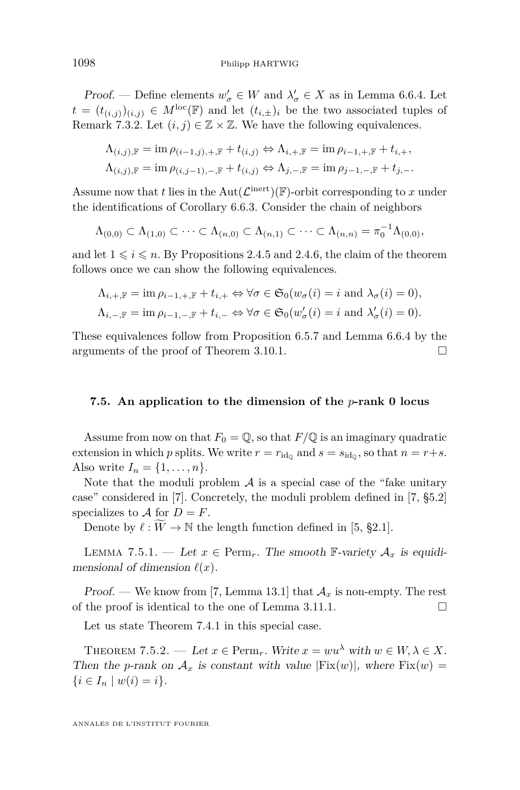<span id="page-68-0"></span>*Proof.* — Define elements  $w'_{\sigma} \in W$  and  $\lambda'_{\sigma} \in X$  as in Lemma [6.6.4.](#page-63-0) Let  $t = (t_{(i,j)})_{(i,j)} \in M^{\text{loc}}(\mathbb{F})$  and let  $(t_{i,\pm})_i$  be the two associated tuples of Remark [7.3.2.](#page-66-0) Let  $(i, j) \in \mathbb{Z} \times \mathbb{Z}$ . We have the following equivalences.

$$
\Lambda_{(i,j),\mathbb{F}} = \operatorname{im} \rho_{(i-1,j),+,\mathbb{F}} + t_{(i,j)} \Leftrightarrow \Lambda_{i,+\mathbb{F}} = \operatorname{im} \rho_{i-1,+\mathbb{F}} + t_{i,+},
$$
  

$$
\Lambda_{(i,j),\mathbb{F}} = \operatorname{im} \rho_{(i,j-1),-,\mathbb{F}} + t_{(i,j)} \Leftrightarrow \Lambda_{j,-,\mathbb{F}} = \operatorname{im} \rho_{j-1,-,\mathbb{F}} + t_{j,-}.
$$

Assume now that *t* lies in the  $Aut(\mathcal{L}^{\text{inert}})(\mathbb{F})$ -orbit corresponding to *x* under the identifications of Corollary [6.6.3.](#page-63-0) Consider the chain of neighbors

$$
\Lambda_{(0,0)} \subset \Lambda_{(1,0)} \subset \cdots \subset \Lambda_{(n,0)} \subset \Lambda_{(n,1)} \subset \cdots \subset \Lambda_{(n,n)} = \pi_0^{-1} \Lambda_{(0,0)},
$$

and let  $1 \leq i \leq n$ . By Propositions [2.4.5](#page-14-0) and [2.4.6,](#page-15-0) the claim of the theorem follows once we can show the following equivalences.

$$
\Lambda_{i, +, \mathbb{F}} = \text{im } \rho_{i-1, +, \mathbb{F}} + t_{i, +} \Leftrightarrow \forall \sigma \in \mathfrak{S}_0(w_{\sigma}(i) = i \text{ and } \lambda_{\sigma}(i) = 0),
$$
  

$$
\Lambda_{i, -, \mathbb{F}} = \text{im } \rho_{i-1, -, \mathbb{F}} + t_{i, -} \Leftrightarrow \forall \sigma \in \mathfrak{S}_0(w'_{\sigma}(i) = i \text{ and } \lambda'_{\sigma}(i) = 0).
$$

These equivalences follow from Proposition [6.5.7](#page-60-0) and Lemma [6.6.4](#page-63-0) by the arguments of the proof of Theorem [3.10.1.](#page-39-0)

## **7.5. An application to the dimension of the** *p***-rank 0 locus**

Assume from now on that  $F_0 = \mathbb{Q}$ , so that  $F/\mathbb{Q}$  is an imaginary quadratic extension in which *p* splits. We write  $r = r_{\rm id_0}$  and  $s = s_{\rm id_0}$ , so that  $n = r + s$ . Also write  $I_n = \{1, ..., n\}.$ 

Note that the moduli problem  $A$  is a special case of the "fake unitary" case" considered in [\[7\]](#page-71-0). Concretely, the moduli problem defined in [\[7,](#page-71-0) §5.2] specializes to  $\mathcal A$  for  $D = F$ .

Denote by  $\ell : W \to \mathbb{N}$  the length function defined in [\[5,](#page-71-0) §2.1].

LEMMA 7.5.1. — Let  $x \in \text{Perm}_r$ . The smooth F-variety  $\mathcal{A}_x$  is equidimensional of dimension  $\ell(x)$ .

Proof. — We know from [\[7,](#page-71-0) Lemma 13.1] that  $\mathcal{A}_x$  is non-empty. The rest of the proof is identical to the one of Lemma [3.11.1.](#page-40-0)

Let us state Theorem [7.4.1](#page-67-0) in this special case.

THEOREM 7.5.2. — Let  $x \in \text{Perm}_r$ . Write  $x = w u^{\lambda}$  with  $w \in W, \lambda \in X$ . Then the *p*-rank on  $A_x$  is constant with value  $|Fix(w)|$ , where  $Fix(w)$  $\{i \in I_n \mid w(i) = i\}.$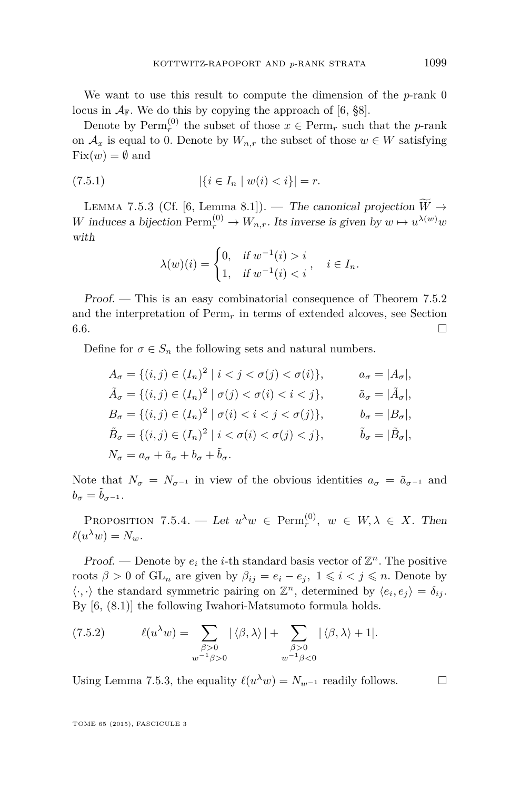<span id="page-69-0"></span>We want to use this result to compute the dimension of the *p*-rank 0 locus in  $A_F$ . We do this by copying the approach of [\[6,](#page-71-0) §8].

Denote by  $\text{Perm}_r^{(0)}$  the subset of those  $x \in \text{Perm}_r$  such that the *p*-rank on  $\mathcal{A}_x$  is equal to 0. Denote by  $W_{n,r}$  the subset of those  $w \in W$  satisfying  $Fix(w) = \emptyset$  and

$$
(7.5.1) \t\t | \{i \in I_n \mid w(i) < i\}| = r.
$$

LEMMA 7.5.3 (Cf. [\[6,](#page-71-0) Lemma 8.1]). — The canonical projection  $\widetilde{W} \rightarrow$ *W* induces a bijection  $\text{Perm}_r^{(0)} \to W_{n,r}$ . Its inverse is given by  $w \mapsto u^{\lambda(w)}w$ with

$$
\lambda(w)(i) = \begin{cases} 0, & \text{if } w^{-1}(i) > i \\ 1, & \text{if } w^{-1}(i) < i \end{cases}, \quad i \in I_n.
$$

Proof. — This is an easy combinatorial consequence of Theorem [7.5.2](#page-68-0) and the interpretation of  $\mathrm{Perm}_r$  in terms of extended alcoves, see Section  $6.6.$ 

Define for  $\sigma \in S_n$  the following sets and natural numbers.

$$
A_{\sigma} = \{(i, j) \in (I_n)^2 \mid i < j < \sigma(j) < \sigma(i)\}, \qquad a_{\sigma} = |A_{\sigma}|,
$$
\n
$$
\tilde{A}_{\sigma} = \{(i, j) \in (I_n)^2 \mid \sigma(j) < \sigma(i) < i < j\}, \qquad \tilde{a}_{\sigma} = |\tilde{A}_{\sigma}|,
$$
\n
$$
B_{\sigma} = \{(i, j) \in (I_n)^2 \mid \sigma(i) < i < j < \sigma(j)\}, \qquad b_{\sigma} = |B_{\sigma}|,
$$
\n
$$
\tilde{B}_{\sigma} = \{(i, j) \in (I_n)^2 \mid i < \sigma(i) < \sigma(j) < j\}, \qquad \tilde{b}_{\sigma} = |\tilde{B}_{\sigma}|,
$$
\n
$$
N_{\sigma} = a_{\sigma} + \tilde{a}_{\sigma} + b_{\sigma} + \tilde{b}_{\sigma}.
$$

Note that  $N_{\sigma} = N_{\sigma^{-1}}$  in view of the obvious identities  $a_{\sigma} = \tilde{a}_{\sigma^{-1}}$  and  $b_{\sigma} = \tilde{b}_{\sigma^{-1}}$ .

PROPOSITION 7.5.4. — Let  $u^{\lambda}w \in \text{Perm}_r^{(0)}$ ,  $w \in W, \lambda \in X$ . Then  $\ell(u^{\lambda}w) = N_w.$ 

**Proof.** — Denote by  $e_i$  the *i*-th standard basis vector of  $\mathbb{Z}^n$ . The positive roots  $\beta > 0$  of  $GL_n$  are given by  $\beta_{ij} = e_i - e_j$ ,  $1 \leq i \leq j \leq n$ . Denote by  $\langle \cdot, \cdot \rangle$  the standard symmetric pairing on  $\mathbb{Z}^n$ , determined by  $\langle e_i, e_j \rangle = \delta_{ij}$ . By [\[6,](#page-71-0) (8.1)] the following Iwahori-Matsumoto formula holds.

(7.5.2) 
$$
\ell(u^{\lambda}w) = \sum_{\substack{\beta > 0 \\ w^{-1}\beta > 0}} |\langle \beta, \lambda \rangle| + \sum_{\substack{\beta > 0 \\ w^{-1}\beta < 0}} |\langle \beta, \lambda \rangle + 1|.
$$

Using Lemma 7.5.3, the equality  $\ell(u^{\lambda}w) = N_{w^{-1}}$  readily follows.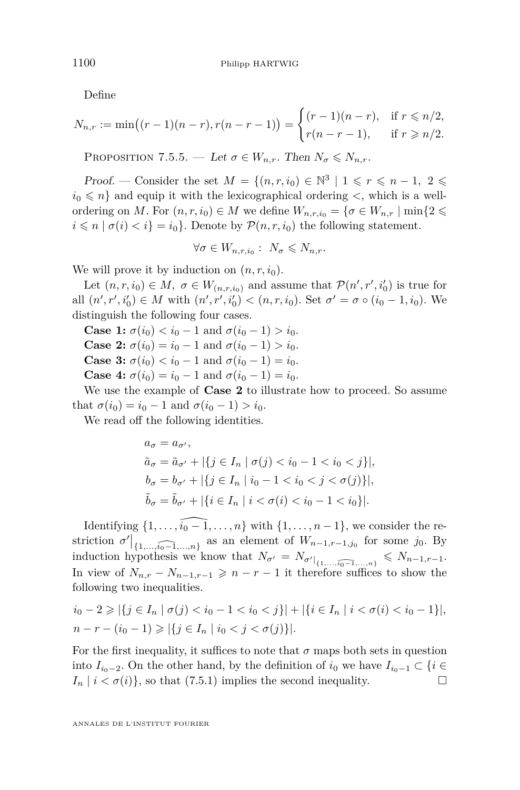Define

$$
N_{n,r} := \min((r-1)(n-r), r(n-r-1)) = \begin{cases} (r-1)(n-r), & \text{if } r \leq n/2, \\ r(n-r-1), & \text{if } r \geq n/2. \end{cases}
$$

PROPOSITION 7.5.5. — Let  $\sigma \in W_{n,r}$ . Then  $N_{\sigma} \leqslant N_{n,r}$ .

*Proof.* — Consider the set  $M = \{(n, r, i_0) \in \mathbb{N}^3 \mid 1 \leq r \leq n-1, 2 \leq$  $i_0 \leq n$  and equip it with the lexicographical ordering  $\leq$ , which is a wellordering on *M*. For  $(n, r, i_0) \in M$  we define  $W_{n, r, i_0} = \{ \sigma \in W_{n, r} \mid \min\{2 \leq \sigma \}$  $i \leq n | \sigma(i) < i$  = *i*<sub>0</sub>. Denote by  $\mathcal{P}(n, r, i_0)$  the following statement.

$$
\forall \sigma \in W_{n,r,i_0} : N_{\sigma} \leqslant N_{n,r}.
$$

We will prove it by induction on  $(n, r, i_0)$ .

Let  $(n, r, i_0) \in M$ ,  $\sigma \in W_{(n, r, i_0)}$  and assume that  $\mathcal{P}(n', r', i'_0)$  is true for all  $(n', r', i'_0) \in M$  with  $(n', r', i'_0) < (n, r, i_0)$ . Set  $\sigma' = \sigma \circ (i_0 - 1, i_0)$ . We distinguish the following four cases.

**Case 1:**  $\sigma(i_0) < i_0 - 1$  and  $\sigma(i_0 - 1) > i_0$ . **Case 2:**  $\sigma(i_0) = i_0 - 1$  and  $\sigma(i_0 - 1) > i_0$ . **Case 3:**  $\sigma(i_0) < i_0 - 1$  and  $\sigma(i_0 - 1) = i_0$ . **Case 4:**  $\sigma(i_0) = i_0 - 1$  and  $\sigma(i_0 - 1) = i_0$ .

We use the example of **Case 2** to illustrate how to proceed. So assume that  $\sigma(i_0) = i_0 - 1$  and  $\sigma(i_0 - 1) > i_0$ .

We read off the following identities.

$$
a_{\sigma} = a_{\sigma'},
$$
  
\n
$$
\tilde{a}_{\sigma} = \tilde{a}_{\sigma'} + |\{j \in I_n \mid \sigma(j) < i_0 - 1 < i_0 < j\}|,
$$
  
\n
$$
b_{\sigma} = b_{\sigma'} + |\{j \in I_n \mid i_0 - 1 < i_0 < j < \sigma(j)\}|,
$$
  
\n
$$
\tilde{b}_{\sigma} = \tilde{b}_{\sigma'} + |\{i \in I_n \mid i < \sigma(i) < i_0 - 1 < i_0\}|.
$$

Identifying  $\{1, \ldots, \widehat{i_0 - 1}, \ldots, n\}$  with  $\{1, \ldots, n - 1\}$ , we consider the restriction  $\sigma' \big|_{\{1,\ldots,\widehat{i_0-1},\ldots,n\}}$  as an element of  $W_{n-1,r-1,j_0}$  for some  $j_0$ . By induction hypothesis we know that  $N_{\sigma'} = N_{\sigma' \mid \{1, ..., \widehat{i_0-1}, ..., n\}} \leq N_{n-1,r-1}.$ In view of  $N_{n,r} - N_{n-1,r-1} \geqslant n-r-1$  it therefore suffices to show the following two inequalities.

$$
i_0 - 2 \ge |\{j \in I_n \mid \sigma(j) < i_0 - 1 < i_0 < j\}| + |\{i \in I_n \mid i < \sigma(i) < i_0 - 1\}|,
$$
\n
$$
n - r - (i_0 - 1) \ge |\{j \in I_n \mid i_0 < j < \sigma(j)\}|.
$$

For the first inequality, it suffices to note that  $\sigma$  maps both sets in question into  $I_{i_0-2}$ . On the other hand, by the definition of  $i_0$  we have  $I_{i_0-1} \subset \{i \in$  $I_n \mid i < \sigma(i) \}$ , so that [\(7.5.1\)](#page-69-0) implies the second inequality.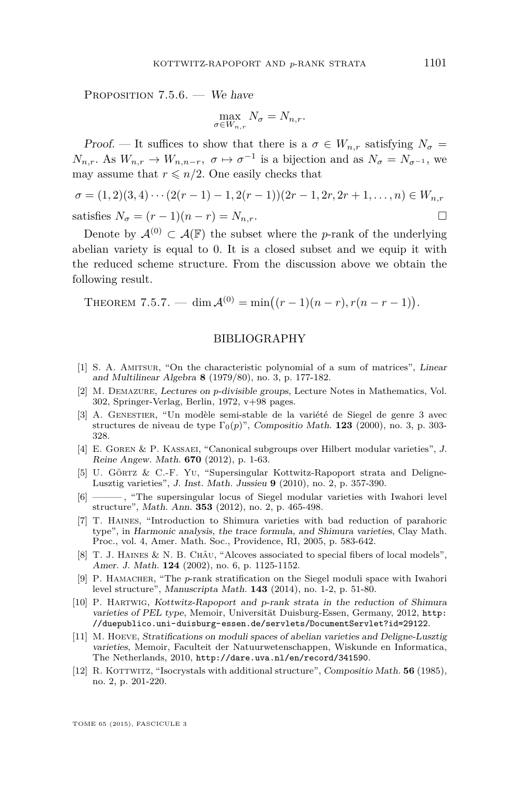<span id="page-71-0"></span>PROPOSITION 7.5.6. — We have

$$
\max_{\sigma \in W_{n,r}} N_{\sigma} = N_{n,r}.
$$

Proof. — It suffices to show that there is a  $\sigma \in W_{n,r}$  satisfying  $N_{\sigma}$  =  $N_{n,r}$ . As  $W_{n,r} \to W_{n,n-r}$ ,  $\sigma \mapsto \sigma^{-1}$  is a bijection and as  $N_{\sigma} = N_{\sigma^{-1}}$ , we may assume that  $r \leq n/2$ . One easily checks that

$$
\sigma = (1,2)(3,4)\cdots(2(r-1)-1,2(r-1))(2r-1,2r,2r+1,\ldots,n) \in W_{n,r}
$$
  
satisfies  $N_{\sigma} = (r-1)(n-r) = N_{n,r}$ .

Denote by  $\mathcal{A}^{(0)} \subset \mathcal{A}(\mathbb{F})$  the subset where the *p*-rank of the underlying abelian variety is equal to 0. It is a closed subset and we equip it with the reduced scheme structure. From the discussion above we obtain the following result.

THEOREM 7.5.7. — dim  $\mathcal{A}^{(0)} = \min((r-1)(n-r), r(n-r-1)).$ 

## BIBLIOGRAPHY

- [1] S. A. Amitsur, "On the characteristic polynomial of a sum of matrices", Linear and Multilinear Algebra **8** (1979/80), no. 3, p. 177-182.
- [2] M. Demazure, Lectures on *p*-divisible groups, Lecture Notes in Mathematics, Vol. 302, Springer-Verlag, Berlin, 1972, v+98 pages.
- [3] A. Genestier, "Un modèle semi-stable de la variété de Siegel de genre 3 avec structures de niveau de type  $\Gamma_0(p)$ ", Compositio Math. **123** (2000), no. 3, p. 303-328.
- [4] E. Goren & P. Kassaei, "Canonical subgroups over Hilbert modular varieties", J. Reine Angew. Math. **670** (2012), p. 1-63.
- [5] U. Görtz & C.-F. Yu, "Supersingular Kottwitz-Rapoport strata and Deligne-Lusztig varieties", J. Inst. Math. Jussieu **9** (2010), no. 2, p. 357-390.
- $-$ , "The supersingular locus of Siegel modular varieties with Iwahori level structure", Math. Ann. **353** (2012), no. 2, p. 465-498.
- [7] T. Haines, "Introduction to Shimura varieties with bad reduction of parahoric type", in Harmonic analysis, the trace formula, and Shimura varieties, Clay Math. Proc., vol. 4, Amer. Math. Soc., Providence, RI, 2005, p. 583-642.
- [8] T. J. Haines & N. B. Châu, "Alcoves associated to special fibers of local models", Amer. J. Math. **124** (2002), no. 6, p. 1125-1152.
- [9] P. HAMACHER, "The *p*-rank stratification on the Siegel moduli space with Iwahori level structure", Manuscripta Math. **143** (2014), no. 1-2, p. 51-80.
- [10] P. Hartwig, Kottwitz-Rapoport and p-rank strata in the reduction of Shimura varieties of PEL type, Memoir, Universität Duisburg-Essen, Germany, 2012, [http:](http://duepublico.uni-duisburg-essen.de/servlets/DocumentServlet?id=29122) [//duepublico.uni-duisburg-essen.de/servlets/DocumentServlet?id=29122](http://duepublico.uni-duisburg-essen.de/servlets/DocumentServlet?id=29122).
- [11] M. Hoeve, Stratifications on moduli spaces of abelian varieties and Deligne-Lusztig varieties, Memoir, Faculteit der Natuurwetenschappen, Wiskunde en Informatica, The Netherlands, 2010, <http://dare.uva.nl/en/record/341590>.
- [12] R. KOTTWITZ, "Isocrystals with additional structure", Compositio Math. **56** (1985), no. 2, p. 201-220.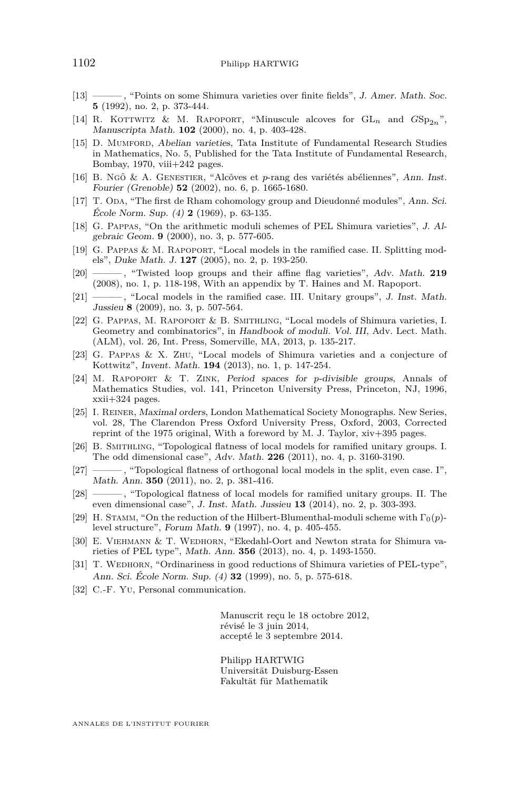- [13] ——— , "Points on some Shimura varieties over finite fields", J. Amer. Math. Soc. **5** (1992), no. 2, p. 373-444.
- [14] R. KOTTWITZ & M. RAPOPORT, "Minuscule alcoves for  $GL_n$  and  $GSp_{2n}$ ", Manuscripta Math. **102** (2000), no. 4, p. 403-428.
- [15] D. Mumford, Abelian varieties, Tata Institute of Fundamental Research Studies in Mathematics, No. 5, Published for the Tata Institute of Fundamental Research, Bombay, 1970, viii+242 pages.
- [16] B. Ngô & A. Genestier, "Alcôves et *p*-rang des variétés abéliennes", Ann. Inst. Fourier (Grenoble) **52** (2002), no. 6, p. 1665-1680.
- [17] T. ODA, "The first de Rham cohomology group and Dieudonné modules", Ann. Sci. École Norm. Sup. (4) **2** (1969), p. 63-135.
- [18] G. Pappas, "On the arithmetic moduli schemes of PEL Shimura varieties", J. Algebraic Geom. **9** (2000), no. 3, p. 577-605.
- [19] G. Pappas & M. Rapoport, "Local models in the ramified case. II. Splitting models", Duke Math. J. **127** (2005), no. 2, p. 193-250.
- [20] ——— , "Twisted loop groups and their affine flag varieties", Adv. Math. **219** (2008), no. 1, p. 118-198, With an appendix by T. Haines and M. Rapoport.
- [21] ——— , "Local models in the ramified case. III. Unitary groups", J. Inst. Math. Jussieu **8** (2009), no. 3, p. 507-564.
- [22] G. Pappas, M. Rapoport & B. Smithling, "Local models of Shimura varieties, I. Geometry and combinatorics", in Handbook of moduli. Vol. III, Adv. Lect. Math. (ALM), vol. 26, Int. Press, Somerville, MA, 2013, p. 135-217.
- [23] G. Pappas & X. Zhu, "Local models of Shimura varieties and a conjecture of Kottwitz", Invent. Math. **194** (2013), no. 1, p. 147-254.
- [24] M. Rapoport & T. Zink, Period spaces for *p*-divisible groups, Annals of Mathematics Studies, vol. 141, Princeton University Press, Princeton, NJ, 1996, xxii+324 pages.
- [25] I. Reiner, Maximal orders, London Mathematical Society Monographs. New Series, vol. 28, The Clarendon Press Oxford University Press, Oxford, 2003, Corrected reprint of the 1975 original, With a foreword by M. J. Taylor, xiv+395 pages.
- [26] B. Smithling, "Topological flatness of local models for ramified unitary groups. I. The odd dimensional case", Adv. Math. **226** (2011), no. 4, p. 3160-3190.
- [27] ——— , "Topological flatness of orthogonal local models in the split, even case. I", Math. Ann. **350** (2011), no. 2, p. 381-416.
- [28] ——— , "Topological flatness of local models for ramified unitary groups. II. The even dimensional case", J. Inst. Math. Jussieu **13** (2014), no. 2, p. 303-393.
- [29] H. STAMM, "On the reduction of the Hilbert-Blumenthal-moduli scheme with  $\Gamma_0(p)$ level structure", Forum Math. **9** (1997), no. 4, p. 405-455.
- [30] E. VIEHMANN & T. WEDHORN, "Ekedahl-Oort and Newton strata for Shimura varieties of PEL type", Math. Ann. **356** (2013), no. 4, p. 1493-1550.
- [31] T. WEDHORN, "Ordinariness in good reductions of Shimura varieties of PEL-type", Ann. Sci. École Norm. Sup. (4) **32** (1999), no. 5, p. 575-618.
- [32] C.-F. Yu, Personal communication.

Manuscrit reçu le 18 octobre 2012, révisé le 3 juin 2014, accepté le 3 septembre 2014.

Philipp HARTWIG Universität Duisburg-Essen Fakultät für Mathematik